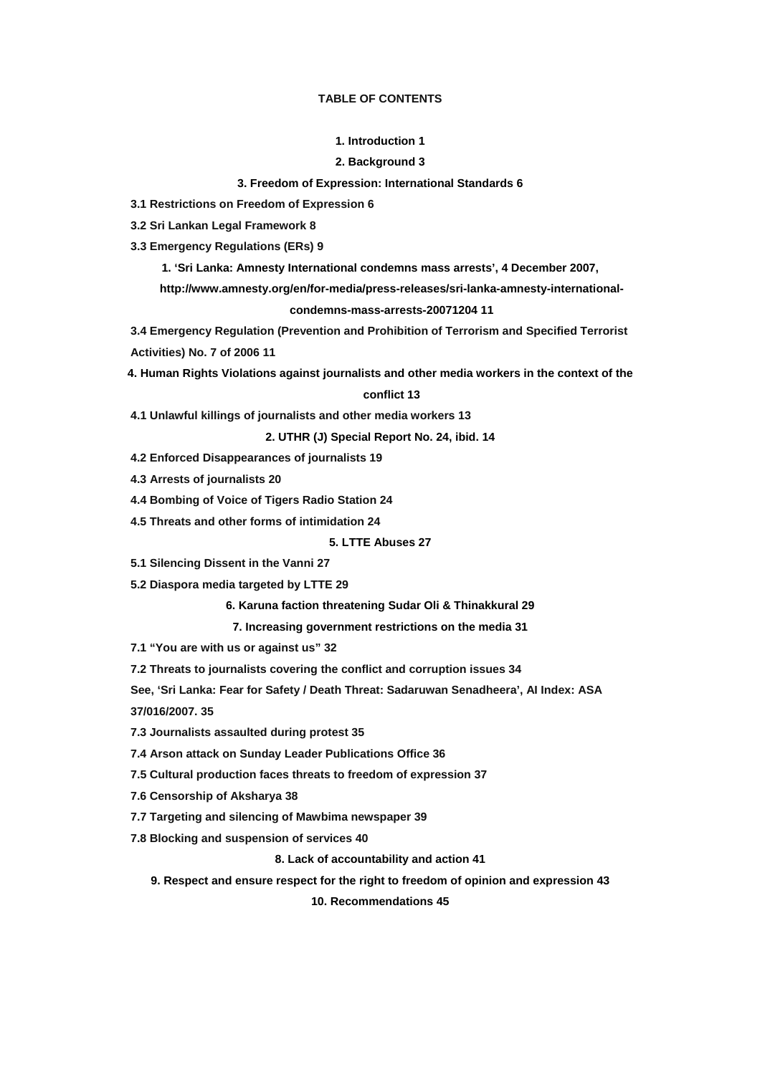#### **TABLE OF CONTENTS**

#### **[1. Introduction 1](http://www.amnesty.org/en/alfresco_asset/0d18ed0f-cb33-11dc-b181-d35374267ce9/asa370012008eng.html#1.Introduction|outline#1.Introduction|outline)**

#### **[2. Background 3](http://www.amnesty.org/en/alfresco_asset/0d18ed0f-cb33-11dc-b181-d35374267ce9/asa370012008eng.html#2.Background%20|outline#2.Background%20|outline)**

#### **[3. Freedom of Expression: International Standards 6](http://www.amnesty.org/en/alfresco_asset/0d18ed0f-cb33-11dc-b181-d35374267ce9/asa370012008eng.html#3.Freedom%20of%20Expression:%20International%20Standards|outline#3.Freedom%20of%20Expression:%20International%20Standards|outline)**

**3.1 Restrictions on Freedom of Expression 6** 

**3.2 Sri Lankan Legal Framework 8** 

**3.3 Emergency Regulations (ERs) 9** 

**[1. 'Sri Lanka: Amnesty International condemns mass arrests', 4 December 2007,](http://www.amnesty.org/en/alfresco_asset/0d18ed0f-cb33-11dc-b181-d35374267ce9/asa370012008eng.html#1.%20%E2%80%98Sri%20Lanka:%20Amnesty%20International%20condemns%20mass%20arrests%E2%80%99,%204%20December%202007,%20http://www.amnesty.org/en/for-media/press-releases/sri-lanka-amnesty-international-condemns-mass-arrests-20071204%20|outline#1.%20%E2%80%98Sri%20Lanka:%20Amnesty%20International%20condemns%20mass%20arrests%E2%80%99,%204%20December%202007,%20http://www.amnesty.org/en/for-media/press-releases/sri-lanka-amnesty-international-condemns-mass-arrests-20071204%20|outline)** 

**[http://www.amnesty.org/en/for-media/press-releases/sri-lanka-amnesty-international-](http://www.amnesty.org/en/alfresco_asset/0d18ed0f-cb33-11dc-b181-d35374267ce9/asa370012008eng.html#1.%20%E2%80%98Sri%20Lanka:%20Amnesty%20International%20condemns%20mass%20arrests%E2%80%99,%204%20December%202007,%20http://www.amnesty.org/en/for-media/press-releases/sri-lanka-amnesty-international-condemns-mass-arrests-20071204%20|outline#1.%20%E2%80%98Sri%20Lanka:%20Amnesty%20International%20condemns%20mass%20arrests%E2%80%99,%204%20December%202007,%20http://www.amnesty.org/en/for-media/press-releases/sri-lanka-amnesty-international-condemns-mass-arrests-20071204%20|outline)**

#### **[condemns-mass-arrests-20071204 11](http://www.amnesty.org/en/alfresco_asset/0d18ed0f-cb33-11dc-b181-d35374267ce9/asa370012008eng.html#1.%20%E2%80%98Sri%20Lanka:%20Amnesty%20International%20condemns%20mass%20arrests%E2%80%99,%204%20December%202007,%20http://www.amnesty.org/en/for-media/press-releases/sri-lanka-amnesty-international-condemns-mass-arrests-20071204%20|outline#1.%20%E2%80%98Sri%20Lanka:%20Amnesty%20International%20condemns%20mass%20arrests%E2%80%99,%204%20December%202007,%20http://www.amnesty.org/en/for-media/press-releases/sri-lanka-amnesty-international-condemns-mass-arrests-20071204%20|outline)**

**3.4 Emergency Regulation (Prevention and Prohibition of Terrorism and Specified Terrorist Activities) No. 7 of 2006 11** 

**[4. Human Rights Violations against journalists and other media workers in the context of the](http://www.amnesty.org/en/alfresco_asset/0d18ed0f-cb33-11dc-b181-d35374267ce9/asa370012008eng.html#4.Human%20Rights%20Violations%20against%20journalists%20and%20other%20media%20workers%20in%20the%20context%20of%20the%20conflict|outline#4.Human%20Rights%20Violations%20against%20journalists%20and%20other%20media%20workers%20in%20the%20context%20of%20the%20conflict|outline)** 

#### **[conflict 13](http://www.amnesty.org/en/alfresco_asset/0d18ed0f-cb33-11dc-b181-d35374267ce9/asa370012008eng.html#4.Human%20Rights%20Violations%20against%20journalists%20and%20other%20media%20workers%20in%20the%20context%20of%20the%20conflict|outline#4.Human%20Rights%20Violations%20against%20journalists%20and%20other%20media%20workers%20in%20the%20context%20of%20the%20conflict|outline)**

**4.1 Unlawful killings of journalists and other media workers 13** 

**[2. UTHR \(J\) Special Report No. 24, ibid. 14](http://www.amnesty.org/en/alfresco_asset/0d18ed0f-cb33-11dc-b181-d35374267ce9/asa370012008eng.html#2.%20UTHR%20(J)%20Special%20Report%20No.%2024,%20ibid.|outline#2.%20UTHR%20(J)%20Special%20Report%20No.%2024,%20ibid.|outline)**

**4.2 Enforced Disappearances of journalists 19** 

**4.3 Arrests of journalists 20** 

**4.4 Bombing of Voice of Tigers Radio Station 24** 

**4.5 Threats and other forms of intimidation 24** 

**[5. LTTE Abuses 27](http://www.amnesty.org/en/alfresco_asset/0d18ed0f-cb33-11dc-b181-d35374267ce9/asa370012008eng.html#5.LTTE%20Abuses|outline#5.LTTE%20Abuses|outline)**

**5.1 Silencing Dissent in the Vanni 27** 

**5.2 Diaspora media targeted by LTTE 29** 

**[6. Karuna faction threatening Sudar Oli & Thinakkural 29](http://www.amnesty.org/en/alfresco_asset/0d18ed0f-cb33-11dc-b181-d35374267ce9/asa370012008eng.html#6.Karuna%20faction%20threatening%20Sudar%20Oli%20&%20Thinakkural|outline#6.Karuna%20faction%20threatening%20Sudar%20Oli%20&%20Thinakkural|outline)**

**[7. Increasing government restrictions on the media 31](http://www.amnesty.org/en/alfresco_asset/0d18ed0f-cb33-11dc-b181-d35374267ce9/asa370012008eng.html#7.Increasing%20government%20restrictions%20on%20the%20media|outline#7.Increasing%20government%20restrictions%20on%20the%20media|outline)**

**7.1 "You are with us or against us" 32** 

**7.2 Threats to journalists covering the conflict and corruption issues 34** 

**See, 'Sri Lanka: Fear for Safety / Death Threat: Sadaruwan Senadheera', AI Index: ASA** 

**37/016/2007. 35** 

**7.3 Journalists assaulted during protest 35** 

**7.4 Arson attack on Sunday Leader Publications Office 36** 

**7.5 Cultural production faces threats to freedom of expression 37** 

**7.6 Censorship of Aksharya 38** 

**7.7 Targeting and silencing of Mawbima newspaper 39** 

**7.8 Blocking and suspension of services 40** 

**[8. Lack of accountability and action 41](http://www.amnesty.org/en/alfresco_asset/0d18ed0f-cb33-11dc-b181-d35374267ce9/asa370012008eng.html#8.Lack%20of%20accountability%20and%20action|outline#8.Lack%20of%20accountability%20and%20action|outline)**

**[9. Respect and ensure respect for the right to freedom of opinion and expression 43](http://www.amnesty.org/en/alfresco_asset/0d18ed0f-cb33-11dc-b181-d35374267ce9/asa370012008eng.html#9.Respect%20and%20ensure%20respect%20for%20the%20right%20to%20freedom%20of%20opinion%20and%20expression%20|outline#9.Respect%20and%20ensure%20respect%20for%20the%20right%20to%20freedom%20of%20opinion%20and%20expression%20|outline)**

**[10. Recommendations 45](http://www.amnesty.org/en/alfresco_asset/0d18ed0f-cb33-11dc-b181-d35374267ce9/asa370012008eng.html#10.Recommendations|outline#10.Recommendations|outline)**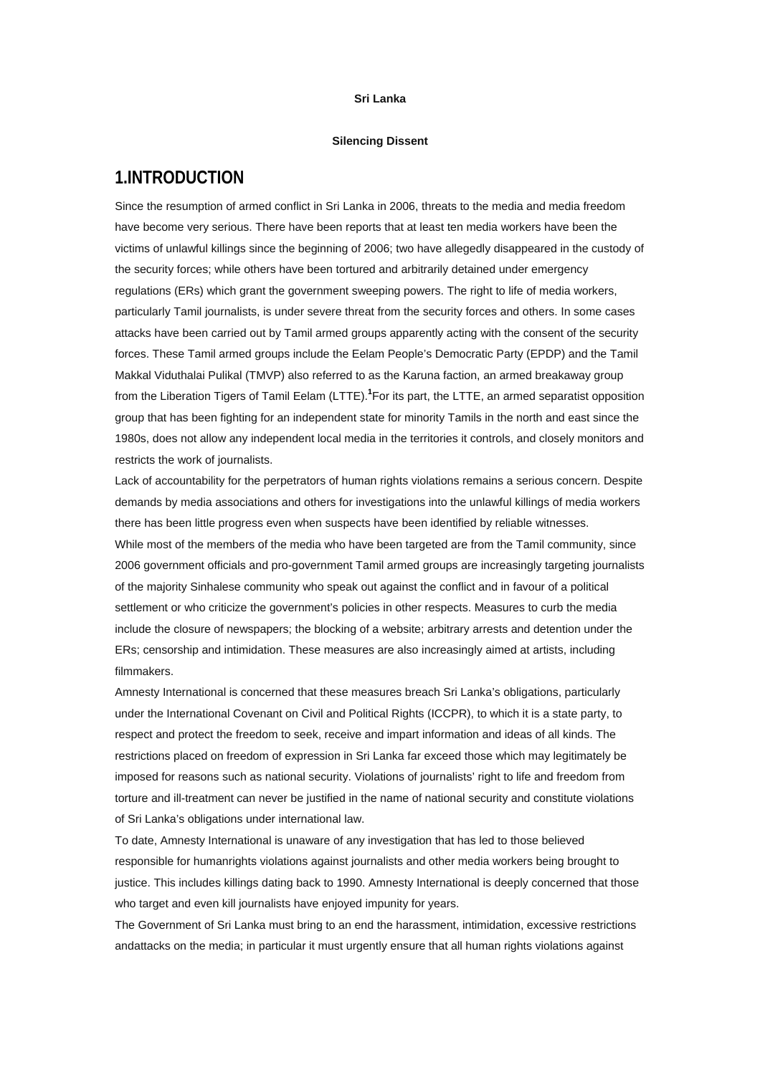#### **Sri Lanka**

#### **Silencing Dissent**

# **1.INTRODUCTION**

Since the resumption of armed conflict in Sri Lanka in 2006, threats to the media and media freedom have become very serious. There have been reports that at least ten media workers have been the victims of unlawful killings since the beginning of 2006; two have allegedly disappeared in the custody of the security forces; while others have been tortured and arbitrarily detained under emergency regulations (ERs) which grant the government sweeping powers. The right to life of media workers, particularly Tamil journalists, is under severe threat from the security forces and others. In some cases attacks have been carried out by Tamil armed groups apparently acting with the consent of the security forces. These Tamil armed groups include the Eelam People's Democratic Party (EPDP) and the Tamil Makkal Viduthalai Pulikal (TMVP) also referred to as the Karuna faction, an armed breakaway group from the Liberation Tigers of Tamil Eelam (LTTE).<sup>[1](http://www.amnesty.org/en/alfresco_asset/0d18ed0f-cb33-11dc-b181-d35374267ce9/asa370012008eng.html#sdfootnote1sym#sdfootnote1sym)</sup> For its part, the LTTE, an armed separatist opposition group that has been fighting for an independent state for minority Tamils in the north and east since the 1980s, does not allow any independent local media in the territories it controls, and closely monitors and restricts the work of journalists.

Lack of accountability for the perpetrators of human rights violations remains a serious concern. Despite demands by media associations and others for investigations into the unlawful killings of media workers there has been little progress even when suspects have been identified by reliable witnesses. While most of the members of the media who have been targeted are from the Tamil community, since 2006 government officials and pro-government Tamil armed groups are increasingly targeting journalists of the majority Sinhalese community who speak out against the conflict and in favour of a political settlement or who criticize the government's policies in other respects. Measures to curb the media include the closure of newspapers; the blocking of a website; arbitrary arrests and detention under the ERs; censorship and intimidation. These measures are also increasingly aimed at artists, including filmmakers.

Amnesty International is concerned that these measures breach Sri Lanka's obligations, particularly under the International Covenant on Civil and Political Rights (ICCPR), to which it is a state party, to respect and protect the freedom to seek, receive and impart information and ideas of all kinds. The restrictions placed on freedom of expression in Sri Lanka far exceed those which may legitimately be imposed for reasons such as national security. Violations of journalists' right to life and freedom from torture and ill-treatment can never be justified in the name of national security and constitute violations of Sri Lanka's obligations under international law.

To date, Amnesty International is unaware of any investigation that has led to those believed responsible for humanrights violations against journalists and other media workers being brought to justice. This includes killings dating back to 1990. Amnesty International is deeply concerned that those who target and even kill journalists have enjoyed impunity for years.

The Government of Sri Lanka must bring to an end the harassment, intimidation, excessive restrictions andattacks on the media; in particular it must urgently ensure that all human rights violations against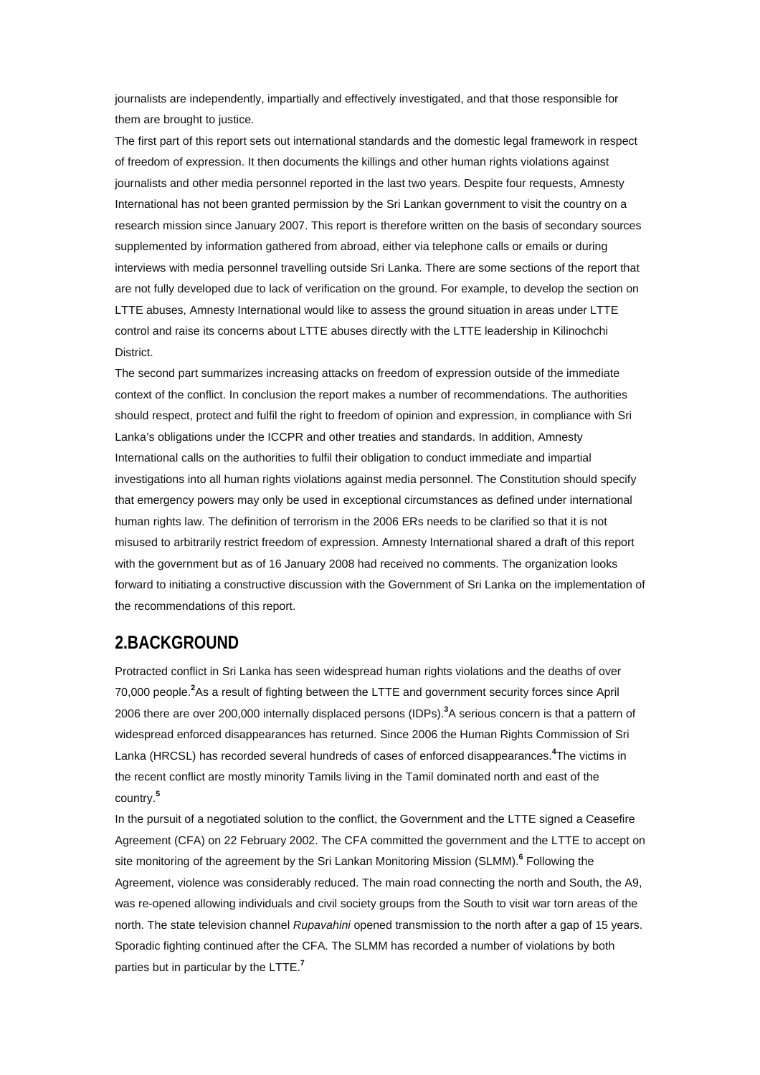journalists are independently, impartially and effectively investigated, and that those responsible for them are brought to justice.

The first part of this report sets out international standards and the domestic legal framework in respect of freedom of expression. It then documents the killings and other human rights violations against journalists and other media personnel reported in the last two years. Despite four requests, Amnesty International has not been granted permission by the Sri Lankan government to visit the country on a research mission since January 2007. This report is therefore written on the basis of secondary sources supplemented by information gathered from abroad, either via telephone calls or emails or during interviews with media personnel travelling outside Sri Lanka. There are some sections of the report that are not fully developed due to lack of verification on the ground. For example, to develop the section on LTTE abuses, Amnesty International would like to assess the ground situation in areas under LTTE control and raise its concerns about LTTE abuses directly with the LTTE leadership in Kilinochchi District.

The second part summarizes increasing attacks on freedom of expression outside of the immediate context of the conflict. In conclusion the report makes a number of recommendations. The authorities should respect, protect and fulfil the right to freedom of opinion and expression, in compliance with Sri Lanka's obligations under the ICCPR and other treaties and standards. In addition, Amnesty International calls on the authorities to fulfil their obligation to conduct immediate and impartial investigations into all human rights violations against media personnel. The Constitution should specify that emergency powers may only be used in exceptional circumstances as defined under international human rights law. The definition of terrorism in the 2006 ERs needs to be clarified so that it is not misused to arbitrarily restrict freedom of expression. Amnesty International shared a draft of this report with the government but as of 16 January 2008 had received no comments. The organization looks forward to initiating a constructive discussion with the Government of Sri Lanka on the implementation of the recommendations of this report.

## **2.BACKGROUND**

Protracted conflict in Sri Lanka has seen widespread human rights violations and the deaths of over 70,000 people.**[2](http://www.amnesty.org/en/alfresco_asset/0d18ed0f-cb33-11dc-b181-d35374267ce9/asa370012008eng.html#sdfootnote2sym#sdfootnote2sym)** As a result of fighting between the LTTE and government security forces since April 2006 there are over 200,000 internally displaced persons (IDPs).**[3](http://www.amnesty.org/en/alfresco_asset/0d18ed0f-cb33-11dc-b181-d35374267ce9/asa370012008eng.html#sdfootnote3sym#sdfootnote3sym)** A serious concern is that a pattern of widespread enforced disappearances has returned. Since 2006 the Human Rights Commission of Sri Lanka (HRCSL) has recorded several hundreds of cases of enforced disappearances.**[4](http://www.amnesty.org/en/alfresco_asset/0d18ed0f-cb33-11dc-b181-d35374267ce9/asa370012008eng.html#sdfootnote4sym#sdfootnote4sym)** The victims in the recent conflict are mostly minority Tamils living in the Tamil dominated north and east of the country.**[5](http://www.amnesty.org/en/alfresco_asset/0d18ed0f-cb33-11dc-b181-d35374267ce9/asa370012008eng.html#sdfootnote5sym#sdfootnote5sym)**

In the pursuit of a negotiated solution to the conflict, the Government and the LTTE signed a Ceasefire Agreement (CFA) on 22 February 2002. The CFA committed the government and the LTTE to accept on site monitoring of the agreement by the Sri Lankan Monitoring Mission (SLMM).**[6](http://www.amnesty.org/en/alfresco_asset/0d18ed0f-cb33-11dc-b181-d35374267ce9/asa370012008eng.html#sdfootnote6sym#sdfootnote6sym)** Following the Agreement, violence was considerably reduced. The main road connecting the north and South, the A9, was re-opened allowing individuals and civil society groups from the South to visit war torn areas of the north. The state television channel *Rupavahini* opened transmission to the north after a gap of 15 years. Sporadic fighting continued after the CFA. The SLMM has recorded a number of violations by both parties but in particular by the LTTE.**[7](http://www.amnesty.org/en/alfresco_asset/0d18ed0f-cb33-11dc-b181-d35374267ce9/asa370012008eng.html#sdfootnote7sym#sdfootnote7sym)**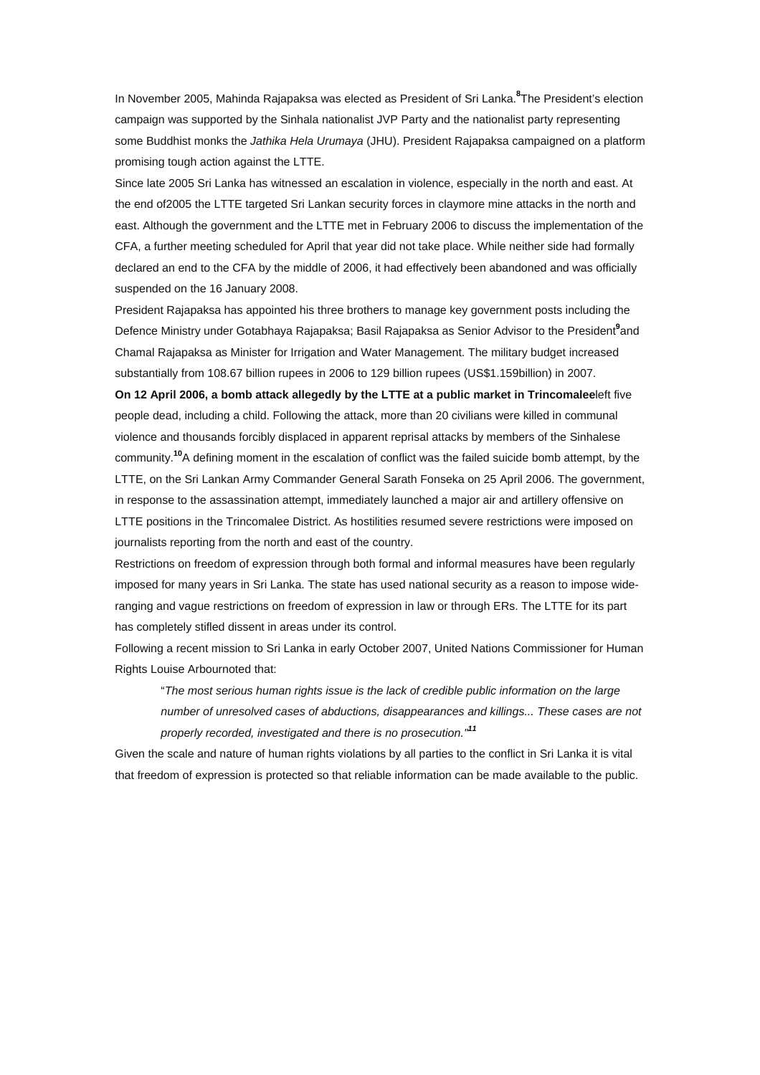In November 2005, Mahinda Rajapaksa was elected as President of Sri Lanka.**[8](http://www.amnesty.org/en/alfresco_asset/0d18ed0f-cb33-11dc-b181-d35374267ce9/asa370012008eng.html#sdfootnote8sym#sdfootnote8sym)** The President's election campaign was supported by the Sinhala nationalist JVP Party and the nationalist party representing some Buddhist monks the *Jathika Hela Urumaya* (JHU). President Rajapaksa campaigned on a platform promising tough action against the LTTE.

Since late 2005 Sri Lanka has witnessed an escalation in violence, especially in the north and east. At the end of2005 the LTTE targeted Sri Lankan security forces in claymore mine attacks in the north and east. Although the government and the LTTE met in February 2006 to discuss the implementation of the CFA, a further meeting scheduled for April that year did not take place. While neither side had formally declared an end to the CFA by the middle of 2006, it had effectively been abandoned and was officially suspended on the 16 January 2008.

President Rajapaksa has appointed his three brothers to manage key government posts including the Defence Ministry under Gotabhaya Rajapaksa; Basil Rajapaksa as Senior Advisor to the President**[9](http://www.amnesty.org/en/alfresco_asset/0d18ed0f-cb33-11dc-b181-d35374267ce9/asa370012008eng.html#sdfootnote9sym#sdfootnote9sym)** and Chamal Rajapaksa as Minister for Irrigation and Water Management. The military budget increased substantially from 108.67 billion rupees in 2006 to 129 billion rupees (US\$1.159billion) in 2007.

**On 12 April 2006, a bomb attack allegedly by the LTTE at a public market in Trincomalee**left five people dead, including a child. Following the attack, more than 20 civilians were killed in communal violence and thousands forcibly displaced in apparent reprisal attacks by members of the Sinhalese community.**[10](http://www.amnesty.org/en/alfresco_asset/0d18ed0f-cb33-11dc-b181-d35374267ce9/asa370012008eng.html#sdfootnote10sym#sdfootnote10sym)**A defining moment in the escalation of conflict was the failed suicide bomb attempt, by the LTTE, on the Sri Lankan Army Commander General Sarath Fonseka on 25 April 2006. The government, in response to the assassination attempt, immediately launched a major air and artillery offensive on LTTE positions in the Trincomalee District. As hostilities resumed severe restrictions were imposed on journalists reporting from the north and east of the country.

Restrictions on freedom of expression through both formal and informal measures have been regularly imposed for many years in Sri Lanka. The state has used national security as a reason to impose wideranging and vague restrictions on freedom of expression in law or through ERs. The LTTE for its part has completely stifled dissent in areas under its control.

Following a recent mission to Sri Lanka in early October 2007, United Nations Commissioner for Human Rights Louise Arbournoted that:

"*The most serious human rights issue is the lack of credible public information on the large number of unresolved cases of abductions, disappearances and killings... These cases are not properly recorded, investigated and there is no prosecution."[11](http://www.amnesty.org/en/alfresco_asset/0d18ed0f-cb33-11dc-b181-d35374267ce9/asa370012008eng.html#sdfootnote11sym#sdfootnote11sym)*

Given the scale and nature of human rights violations by all parties to the conflict in Sri Lanka it is vital that freedom of expression is protected so that reliable information can be made available to the public.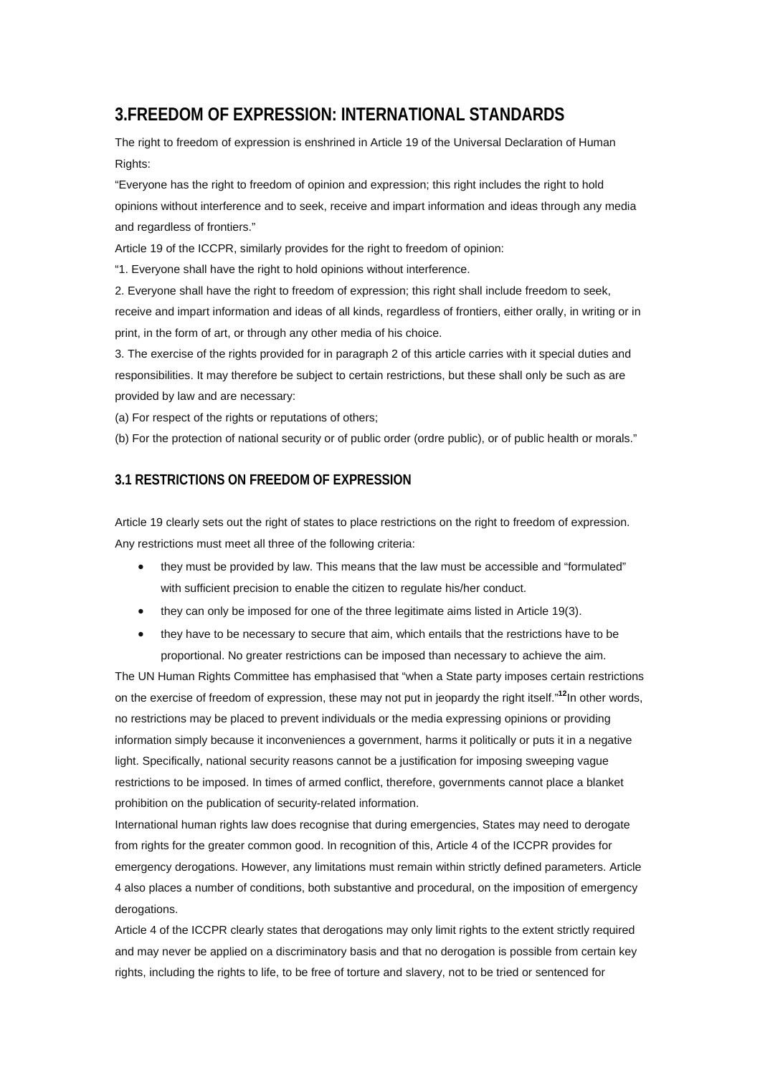# **3.FREEDOM OF EXPRESSION: INTERNATIONAL STANDARDS**

The right to freedom of expression is enshrined in Article 19 of the Universal Declaration of Human Rights:

"Everyone has the right to freedom of opinion and expression; this right includes the right to hold opinions without interference and to seek, receive and impart information and ideas through any media and regardless of frontiers."

Article 19 of the ICCPR, similarly provides for the right to freedom of opinion:

"1. Everyone shall have the right to hold opinions without interference.

2. Everyone shall have the right to freedom of expression; this right shall include freedom to seek,

receive and impart information and ideas of all kinds, regardless of frontiers, either orally, in writing or in print, in the form of art, or through any other media of his choice.

3. The exercise of the rights provided for in paragraph 2 of this article carries with it special duties and responsibilities. It may therefore be subject to certain restrictions, but these shall only be such as are provided by law and are necessary:

(a) For respect of the rights or reputations of others;

(b) For the protection of national security or of public order (ordre public), or of public health or morals."

## **3.1 RESTRICTIONS ON FREEDOM OF EXPRESSION**

Article 19 clearly sets out the right of states to place restrictions on the right to freedom of expression. Any restrictions must meet all three of the following criteria:

- they must be provided by law. This means that the law must be accessible and "formulated" with sufficient precision to enable the citizen to regulate his/her conduct.
- they can only be imposed for one of the three legitimate aims listed in Article 19(3).
- they have to be necessary to secure that aim, which entails that the restrictions have to be proportional. No greater restrictions can be imposed than necessary to achieve the aim.

The UN Human Rights Committee has emphasised that "when a State party imposes certain restrictions on the exercise of freedom of expression, these may not put in jeopardy the right itself."**[12](http://www.amnesty.org/en/alfresco_asset/0d18ed0f-cb33-11dc-b181-d35374267ce9/asa370012008eng.html#sdfootnote12sym#sdfootnote12sym)**In other words, no restrictions may be placed to prevent individuals or the media expressing opinions or providing information simply because it inconveniences a government, harms it politically or puts it in a negative light. Specifically, national security reasons cannot be a justification for imposing sweeping vague restrictions to be imposed. In times of armed conflict, therefore, governments cannot place a blanket prohibition on the publication of security-related information.

International human rights law does recognise that during emergencies, States may need to derogate from rights for the greater common good. In recognition of this, Article 4 of the ICCPR provides for emergency derogations. However, any limitations must remain within strictly defined parameters. Article 4 also places a number of conditions, both substantive and procedural, on the imposition of emergency derogations.

Article 4 of the ICCPR clearly states that derogations may only limit rights to the extent strictly required and may never be applied on a discriminatory basis and that no derogation is possible from certain key rights, including the rights to life, to be free of torture and slavery, not to be tried or sentenced for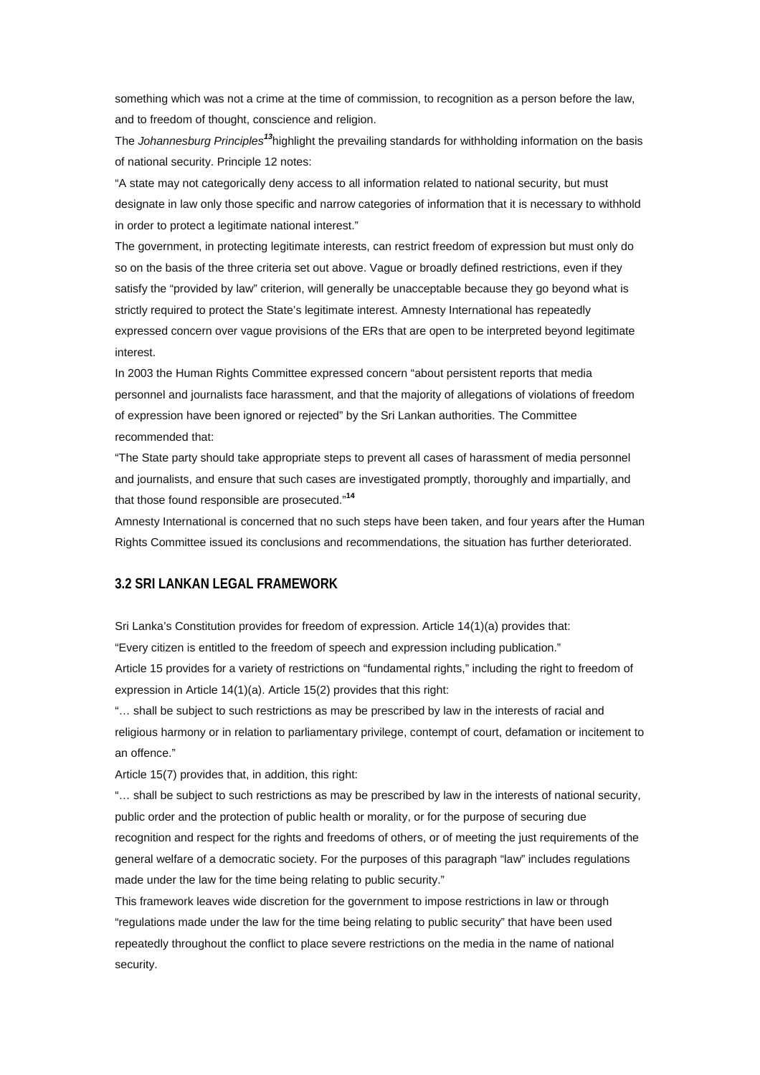something which was not a crime at the time of commission, to recognition as a person before the law, and to freedom of thought, conscience and religion.

The *Johannesburg Principles[13](http://www.amnesty.org/en/alfresco_asset/0d18ed0f-cb33-11dc-b181-d35374267ce9/asa370012008eng.html#sdfootnote13sym#sdfootnote13sym)*highlight the prevailing standards for withholding information on the basis of national security. Principle 12 notes:

"A state may not categorically deny access to all information related to national security, but must designate in law only those specific and narrow categories of information that it is necessary to withhold in order to protect a legitimate national interest."

The government, in protecting legitimate interests, can restrict freedom of expression but must only do so on the basis of the three criteria set out above. Vague or broadly defined restrictions, even if they satisfy the "provided by law" criterion, will generally be unacceptable because they go beyond what is strictly required to protect the State's legitimate interest. Amnesty International has repeatedly expressed concern over vague provisions of the ERs that are open to be interpreted beyond legitimate interest.

In 2003 the Human Rights Committee expressed concern "about persistent reports that media personnel and journalists face harassment, and that the majority of allegations of violations of freedom of expression have been ignored or rejected" by the Sri Lankan authorities. The Committee recommended that:

"The State party should take appropriate steps to prevent all cases of harassment of media personnel and journalists, and ensure that such cases are investigated promptly, thoroughly and impartially, and that those found responsible are prosecuted."**[14](http://www.amnesty.org/en/alfresco_asset/0d18ed0f-cb33-11dc-b181-d35374267ce9/asa370012008eng.html#sdfootnote14sym#sdfootnote14sym)**

Amnesty International is concerned that no such steps have been taken, and four years after the Human Rights Committee issued its conclusions and recommendations, the situation has further deteriorated.

## **3.2 SRI LANKAN LEGAL FRAMEWORK**

Sri Lanka's Constitution provides for freedom of expression. Article 14(1)(a) provides that:

"Every citizen is entitled to the freedom of speech and expression including publication."

Article 15 provides for a variety of restrictions on "fundamental rights," including the right to freedom of expression in Article 14(1)(a). Article 15(2) provides that this right:

"… shall be subject to such restrictions as may be prescribed by law in the interests of racial and religious harmony or in relation to parliamentary privilege, contempt of court, defamation or incitement to an offence."

Article 15(7) provides that, in addition, this right:

"… shall be subject to such restrictions as may be prescribed by law in the interests of national security, public order and the protection of public health or morality, or for the purpose of securing due recognition and respect for the rights and freedoms of others, or of meeting the just requirements of the general welfare of a democratic society. For the purposes of this paragraph "law" includes regulations made under the law for the time being relating to public security."

This framework leaves wide discretion for the government to impose restrictions in law or through "regulations made under the law for the time being relating to public security" that have been used repeatedly throughout the conflict to place severe restrictions on the media in the name of national security.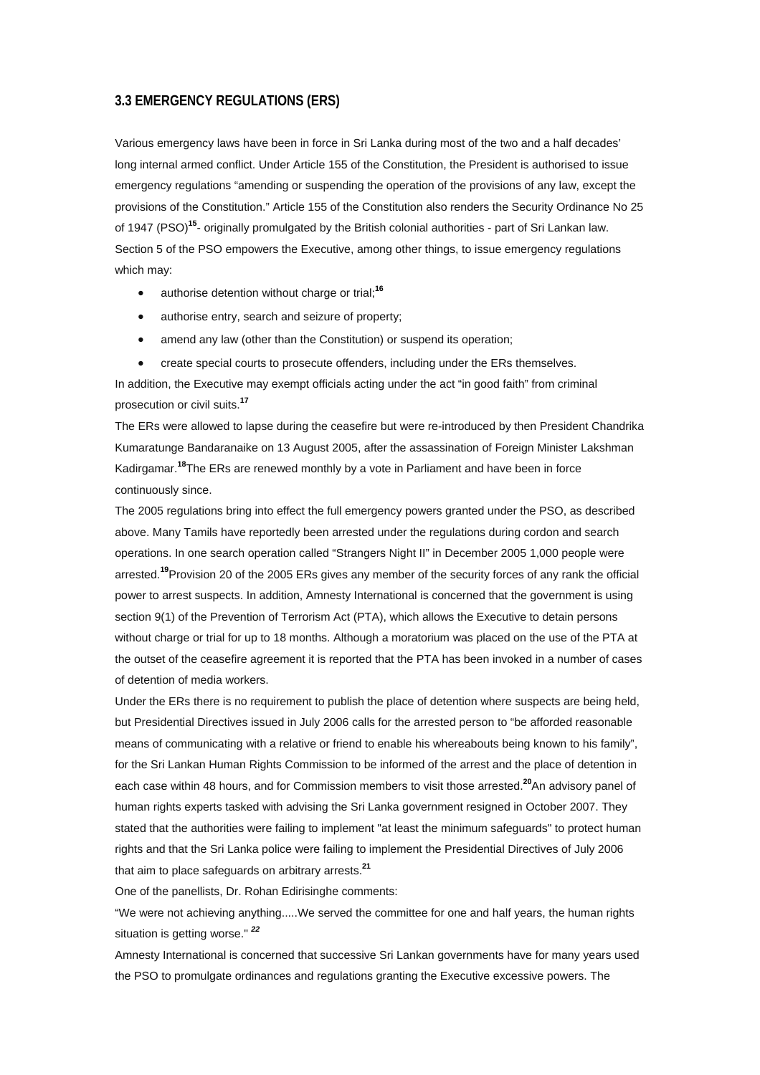### **3.3 EMERGENCY REGULATIONS (ERS)**

Various emergency laws have been in force in Sri Lanka during most of the two and a half decades' long internal armed conflict. Under Article 155 of the Constitution, the President is authorised to issue emergency regulations "amending or suspending the operation of the provisions of any law, except the provisions of the Constitution." Article 155 of the Constitution also renders the Security Ordinance No 25 of 1947 (PSO)**[15](http://www.amnesty.org/en/alfresco_asset/0d18ed0f-cb33-11dc-b181-d35374267ce9/asa370012008eng.html#sdfootnote15sym#sdfootnote15sym)**- originally promulgated by the British colonial authorities - part of Sri Lankan law. Section 5 of the PSO empowers the Executive, among other things, to issue emergency regulations which may:

- authorise detention without charge or trial;**[16](http://www.amnesty.org/en/alfresco_asset/0d18ed0f-cb33-11dc-b181-d35374267ce9/asa370012008eng.html#sdfootnote16sym#sdfootnote16sym)**
- authorise entry, search and seizure of property;
- amend any law (other than the Constitution) or suspend its operation;
- create special courts to prosecute offenders, including under the ERs themselves.

In addition, the Executive may exempt officials acting under the act "in good faith" from criminal prosecution or civil suits.**[17](http://www.amnesty.org/en/alfresco_asset/0d18ed0f-cb33-11dc-b181-d35374267ce9/asa370012008eng.html#sdfootnote17sym#sdfootnote17sym)**

The ERs were allowed to lapse during the ceasefire but were re-introduced by then President Chandrika Kumaratunge Bandaranaike on 13 August 2005, after the assassination of Foreign Minister Lakshman Kadirgamar.**[18](http://www.amnesty.org/en/alfresco_asset/0d18ed0f-cb33-11dc-b181-d35374267ce9/asa370012008eng.html#sdfootnote18sym#sdfootnote18sym)**The ERs are renewed monthly by a vote in Parliament and have been in force continuously since.

The 2005 regulations bring into effect the full emergency powers granted under the PSO, as described above. Many Tamils have reportedly been arrested under the regulations during cordon and search operations. In one search operation called "Strangers Night II" in December 2005 1,000 people were arrested.**[19](http://www.amnesty.org/en/alfresco_asset/0d18ed0f-cb33-11dc-b181-d35374267ce9/asa370012008eng.html#sdfootnote19sym#sdfootnote19sym)**Provision 20 of the 2005 ERs gives any member of the security forces of any rank the official power to arrest suspects. In addition, Amnesty International is concerned that the government is using section 9(1) of the Prevention of Terrorism Act (PTA), which allows the Executive to detain persons without charge or trial for up to 18 months. Although a moratorium was placed on the use of the PTA at the outset of the ceasefire agreement it is reported that the PTA has been invoked in a number of cases of detention of media workers.

Under the ERs there is no requirement to publish the place of detention where suspects are being held, but Presidential Directives issued in July 2006 calls for the arrested person to "be afforded reasonable means of communicating with a relative or friend to enable his whereabouts being known to his family", for the Sri Lankan Human Rights Commission to be informed of the arrest and the place of detention in each case within 48 hours, and for Commission members to visit those arrested.**[20](http://www.amnesty.org/en/alfresco_asset/0d18ed0f-cb33-11dc-b181-d35374267ce9/asa370012008eng.html#sdfootnote20sym#sdfootnote20sym)**An advisory panel of human rights experts tasked with advising the Sri Lanka government resigned in October 2007. They stated that the authorities were failing to implement "at least the minimum safeguards" to protect human rights and that the Sri Lanka police were failing to implement the Presidential Directives of July 2006 that aim to place safeguards on arbitrary arrests.**[21](http://www.amnesty.org/en/alfresco_asset/0d18ed0f-cb33-11dc-b181-d35374267ce9/asa370012008eng.html#sdfootnote21sym#sdfootnote21sym)**

One of the panellists, Dr. Rohan Edirisinghe comments:

"We were not achieving anything.....We served the committee for one and half years, the human rights situation is getting worse." *[22](http://www.amnesty.org/en/alfresco_asset/0d18ed0f-cb33-11dc-b181-d35374267ce9/asa370012008eng.html#sdfootnote22sym#sdfootnote22sym)*

Amnesty International is concerned that successive Sri Lankan governments have for many years used the PSO to promulgate ordinances and regulations granting the Executive excessive powers. The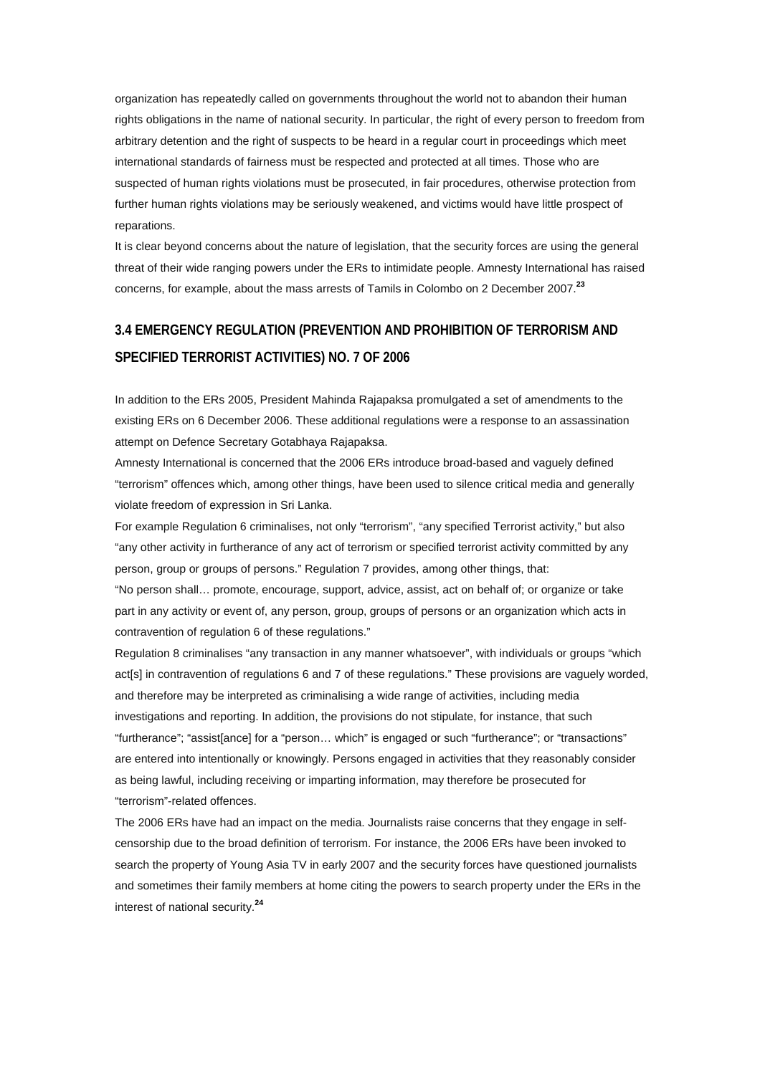organization has repeatedly called on governments throughout the world not to abandon their human rights obligations in the name of national security. In particular, the right of every person to freedom from arbitrary detention and the right of suspects to be heard in a regular court in proceedings which meet international standards of fairness must be respected and protected at all times. Those who are suspected of human rights violations must be prosecuted, in fair procedures, otherwise protection from further human rights violations may be seriously weakened, and victims would have little prospect of reparations.

It is clear beyond concerns about the nature of legislation, that the security forces are using the general threat of their wide ranging powers under the ERs to intimidate people. Amnesty International has raised concerns, for example, about the mass arrests of Tamils in Colombo on 2 December 2007.**[23](http://www.amnesty.org/en/alfresco_asset/0d18ed0f-cb33-11dc-b181-d35374267ce9/asa370012008eng.html#sdfootnote23sym#sdfootnote23sym)**

# **3.4 EMERGENCY REGULATION (PREVENTION AND PROHIBITION OF TERRORISM AND SPECIFIED TERRORIST ACTIVITIES) NO. 7 OF 2006**

In addition to the ERs 2005, President Mahinda Rajapaksa promulgated a set of amendments to the existing ERs on 6 December 2006. These additional regulations were a response to an assassination attempt on Defence Secretary Gotabhaya Rajapaksa.

Amnesty International is concerned that the 2006 ERs introduce broad-based and vaguely defined "terrorism" offences which, among other things, have been used to silence critical media and generally violate freedom of expression in Sri Lanka.

For example Regulation 6 criminalises, not only "terrorism", "any specified Terrorist activity," but also "any other activity in furtherance of any act of terrorism or specified terrorist activity committed by any person, group or groups of persons." Regulation 7 provides, among other things, that:

"No person shall… promote, encourage, support, advice, assist, act on behalf of; or organize or take part in any activity or event of, any person, group, groups of persons or an organization which acts in contravention of regulation 6 of these regulations."

Regulation 8 criminalises "any transaction in any manner whatsoever", with individuals or groups "which act[s] in contravention of regulations 6 and 7 of these regulations." These provisions are vaguely worded, and therefore may be interpreted as criminalising a wide range of activities, including media investigations and reporting. In addition, the provisions do not stipulate, for instance, that such "furtherance"; "assist[ance] for a "person… which" is engaged or such "furtherance"; or "transactions" are entered into intentionally or knowingly. Persons engaged in activities that they reasonably consider as being lawful, including receiving or imparting information, may therefore be prosecuted for "terrorism"-related offences.

The 2006 ERs have had an impact on the media. Journalists raise concerns that they engage in selfcensorship due to the broad definition of terrorism. For instance, the 2006 ERs have been invoked to search the property of Young Asia TV in early 2007 and the security forces have questioned journalists and sometimes their family members at home citing the powers to search property under the ERs in the interest of national security.**[24](http://www.amnesty.org/en/alfresco_asset/0d18ed0f-cb33-11dc-b181-d35374267ce9/asa370012008eng.html#sdfootnote24sym#sdfootnote24sym)**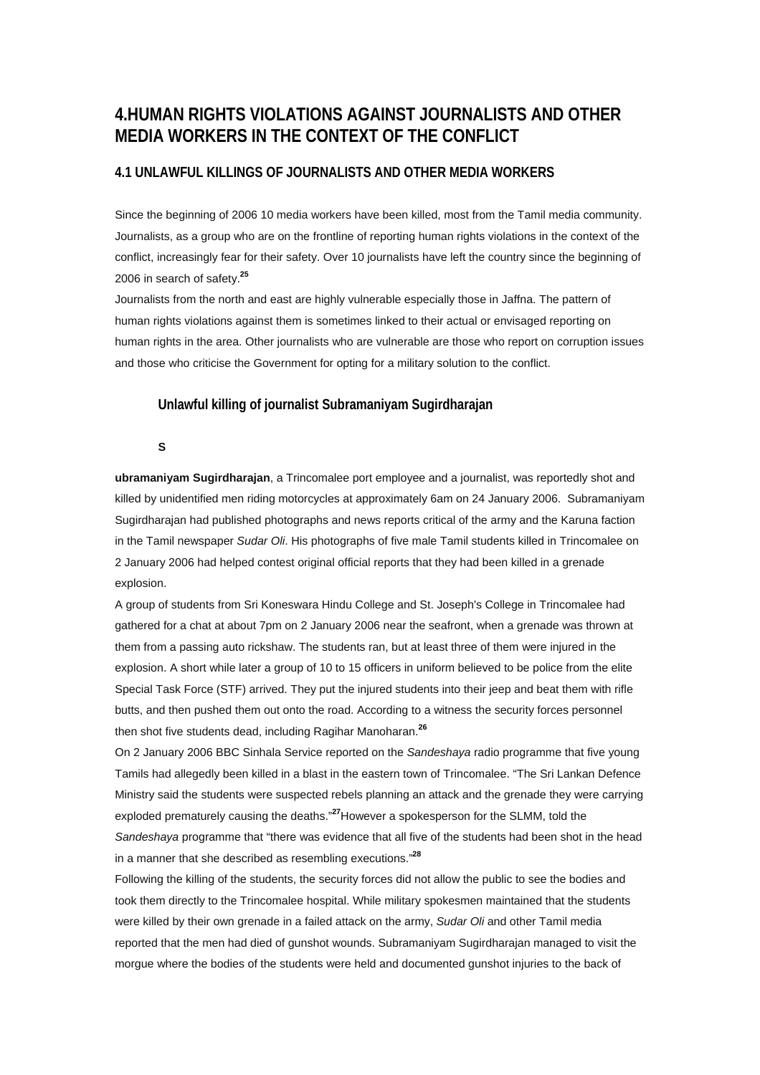# **4.HUMAN RIGHTS VIOLATIONS AGAINST JOURNALISTS AND OTHER MEDIA WORKERS IN THE CONTEXT OF THE CONFLICT**

### **4.1 UNLAWFUL KILLINGS OF JOURNALISTS AND OTHER MEDIA WORKERS**

Since the beginning of 2006 10 media workers have been killed, most from the Tamil media community. Journalists, as a group who are on the frontline of reporting human rights violations in the context of the conflict, increasingly fear for their safety. Over 10 journalists have left the country since the beginning of 2006 in search of safety.**[25](http://www.amnesty.org/en/alfresco_asset/0d18ed0f-cb33-11dc-b181-d35374267ce9/asa370012008eng.html#sdfootnote25sym#sdfootnote25sym)**

Journalists from the north and east are highly vulnerable especially those in Jaffna. The pattern of human rights violations against them is sometimes linked to their actual or envisaged reporting on human rights in the area. Other journalists who are vulnerable are those who report on corruption issues and those who criticise the Government for opting for a military solution to the conflict.

#### **Unlawful killing of journalist Subramaniyam Sugirdharajan**

**S** 

**ubramaniyam Sugirdharajan**, a Trincomalee port employee and a journalist, was reportedly shot and killed by unidentified men riding motorcycles at approximately 6am on 24 January 2006. Subramaniyam Sugirdharajan had published photographs and news reports critical of the army and the Karuna faction in the Tamil newspaper *Sudar Oli*. His photographs of five male Tamil students killed in Trincomalee on 2 January 2006 had helped contest original official reports that they had been killed in a grenade explosion.

A group of students from Sri Koneswara Hindu College and St. Joseph's College in Trincomalee had gathered for a chat at about 7pm on 2 January 2006 near the seafront, when a grenade was thrown at them from a passing auto rickshaw. The students ran, but at least three of them were injured in the explosion. A short while later a group of 10 to 15 officers in uniform believed to be police from the elite Special Task Force (STF) arrived. They put the injured students into their jeep and beat them with rifle butts, and then pushed them out onto the road. According to a witness the security forces personnel then shot five students dead, including Ragihar Manoharan.**[26](http://www.amnesty.org/en/alfresco_asset/0d18ed0f-cb33-11dc-b181-d35374267ce9/asa370012008eng.html#sdfootnote26sym#sdfootnote26sym)**

On 2 January 2006 BBC Sinhala Service reported on the *Sandeshaya* radio programme that five young Tamils had allegedly been killed in a blast in the eastern town of Trincomalee. "The Sri Lankan Defence Ministry said the students were suspected rebels planning an attack and the grenade they were carrying exploded prematurely causing the deaths."**[27](http://www.amnesty.org/en/alfresco_asset/0d18ed0f-cb33-11dc-b181-d35374267ce9/asa370012008eng.html#sdfootnote27sym#sdfootnote27sym)**However a spokesperson for the SLMM, told the *Sandeshaya* programme that "there was evidence that all five of the students had been shot in the head in a manner that she described as resembling executions."**[28](http://www.amnesty.org/en/alfresco_asset/0d18ed0f-cb33-11dc-b181-d35374267ce9/asa370012008eng.html#sdfootnote28sym#sdfootnote28sym)**

Following the killing of the students, the security forces did not allow the public to see the bodies and took them directly to the Trincomalee hospital. While military spokesmen maintained that the students were killed by their own grenade in a failed attack on the army, *Sudar Oli* and other Tamil media reported that the men had died of gunshot wounds. Subramaniyam Sugirdharajan managed to visit the morgue where the bodies of the students were held and documented gunshot injuries to the back of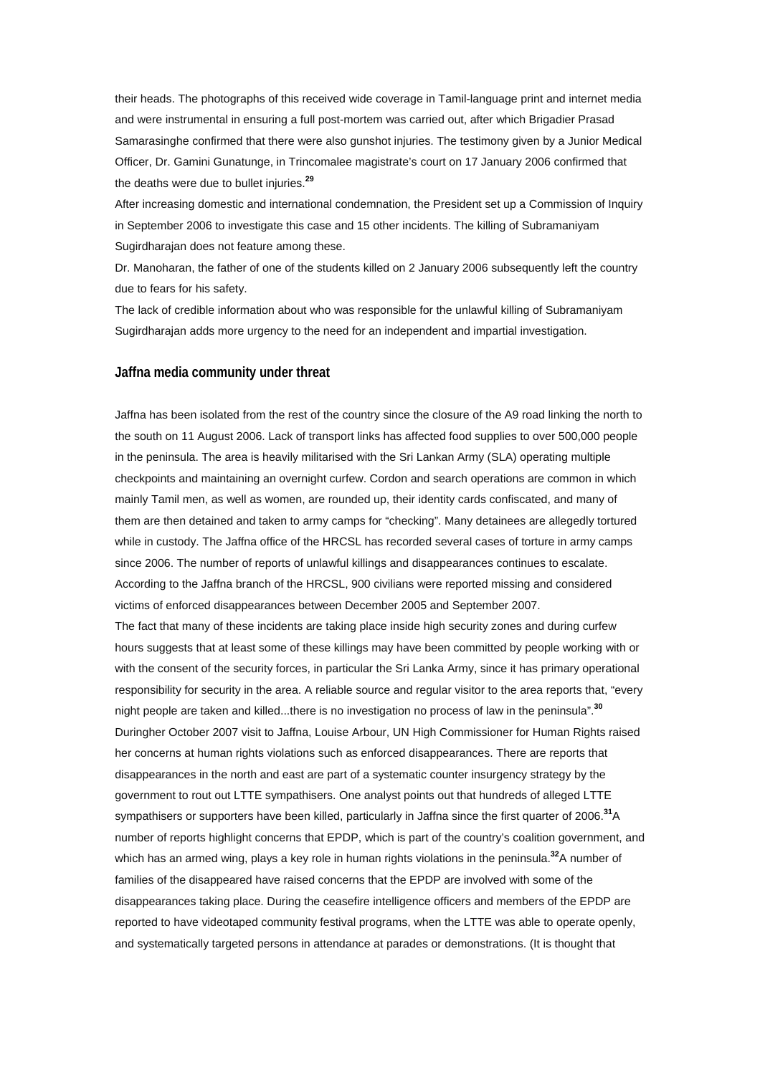their heads. The photographs of this received wide coverage in Tamil-language print and internet media and were instrumental in ensuring a full post-mortem was carried out, after which Brigadier Prasad Samarasinghe confirmed that there were also gunshot injuries. The testimony given by a Junior Medical Officer, Dr. Gamini Gunatunge, in Trincomalee magistrate's court on 17 January 2006 confirmed that the deaths were due to bullet injuries.**[29](http://www.amnesty.org/en/alfresco_asset/0d18ed0f-cb33-11dc-b181-d35374267ce9/asa370012008eng.html#sdfootnote29sym#sdfootnote29sym)**

After increasing domestic and international condemnation, the President set up a Commission of Inquiry in September 2006 to investigate this case and 15 other incidents. The killing of Subramaniyam Sugirdharajan does not feature among these.

Dr. Manoharan, the father of one of the students killed on 2 January 2006 subsequently left the country due to fears for his safety.

The lack of credible information about who was responsible for the unlawful killing of Subramaniyam Sugirdharajan adds more urgency to the need for an independent and impartial investigation.

### **Jaffna media community under threat**

Jaffna has been isolated from the rest of the country since the closure of the A9 road linking the north to the south on 11 August 2006. Lack of transport links has affected food supplies to over 500,000 people in the peninsula. The area is heavily militarised with the Sri Lankan Army (SLA) operating multiple checkpoints and maintaining an overnight curfew. Cordon and search operations are common in which mainly Tamil men, as well as women, are rounded up, their identity cards confiscated, and many of them are then detained and taken to army camps for "checking". Many detainees are allegedly tortured while in custody. The Jaffna office of the HRCSL has recorded several cases of torture in army camps since 2006. The number of reports of unlawful killings and disappearances continues to escalate. According to the Jaffna branch of the HRCSL, 900 civilians were reported missing and considered victims of enforced disappearances between December 2005 and September 2007.

The fact that many of these incidents are taking place inside high security zones and during curfew hours suggests that at least some of these killings may have been committed by people working with or with the consent of the security forces, in particular the Sri Lanka Army, since it has primary operational responsibility for security in the area. A reliable source and regular visitor to the area reports that, "every night people are taken and killed...there is no investigation no process of law in the peninsula".**[30](http://www.amnesty.org/en/alfresco_asset/0d18ed0f-cb33-11dc-b181-d35374267ce9/asa370012008eng.html#sdfootnote30sym#sdfootnote30sym)** Duringher October 2007 visit to Jaffna, Louise Arbour, UN High Commissioner for Human Rights raised her concerns at human rights violations such as enforced disappearances. There are reports that disappearances in the north and east are part of a systematic counter insurgency strategy by the government to rout out LTTE sympathisers. One analyst points out that hundreds of alleged LTTE sympathisers or supporters have been killed, particularly in Jaffna since the first quarter of 2006.**[31](http://www.amnesty.org/en/alfresco_asset/0d18ed0f-cb33-11dc-b181-d35374267ce9/asa370012008eng.html#sdfootnote31sym#sdfootnote31sym)**A number of reports highlight concerns that EPDP, which is part of the country's coalition government, and which has an armed wing, plays a key role in human rights violations in the peninsula.**[32](http://www.amnesty.org/en/alfresco_asset/0d18ed0f-cb33-11dc-b181-d35374267ce9/asa370012008eng.html#sdfootnote32sym#sdfootnote32sym)**A number of families of the disappeared have raised concerns that the EPDP are involved with some of the disappearances taking place. During the ceasefire intelligence officers and members of the EPDP are reported to have videotaped community festival programs, when the LTTE was able to operate openly, and systematically targeted persons in attendance at parades or demonstrations. (It is thought that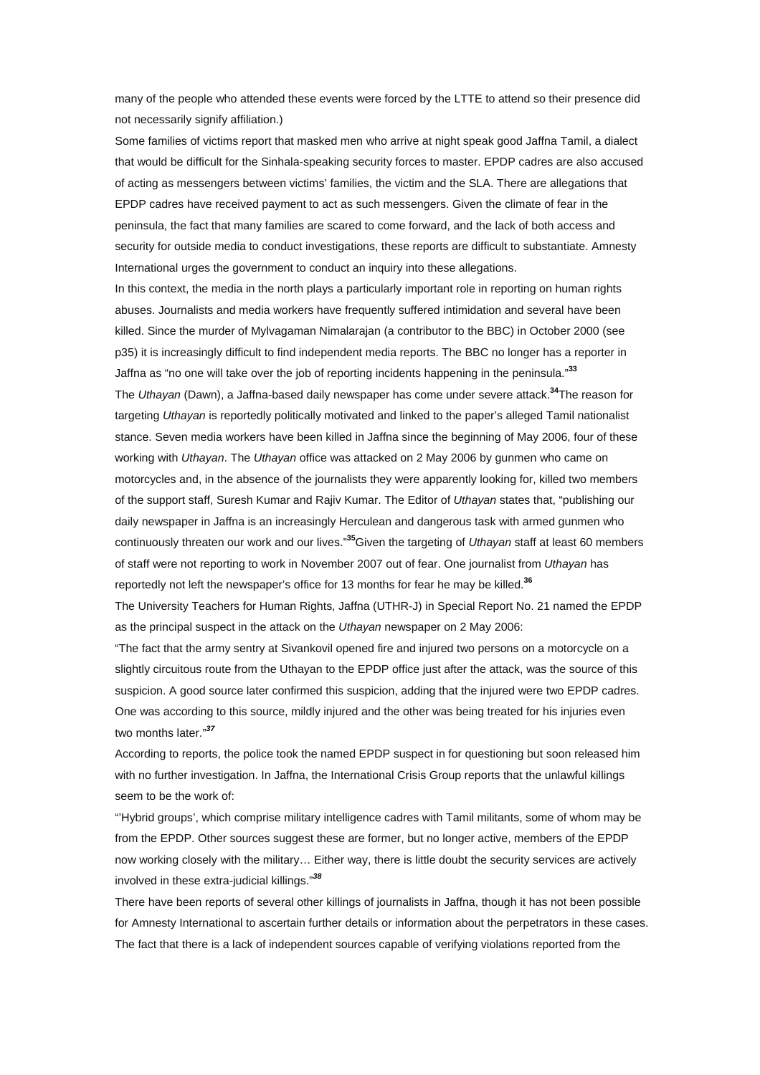many of the people who attended these events were forced by the LTTE to attend so their presence did not necessarily signify affiliation.)

Some families of victims report that masked men who arrive at night speak good Jaffna Tamil, a dialect that would be difficult for the Sinhala-speaking security forces to master. EPDP cadres are also accused of acting as messengers between victims' families, the victim and the SLA. There are allegations that EPDP cadres have received payment to act as such messengers. Given the climate of fear in the peninsula, the fact that many families are scared to come forward, and the lack of both access and security for outside media to conduct investigations, these reports are difficult to substantiate. Amnesty International urges the government to conduct an inquiry into these allegations.

In this context, the media in the north plays a particularly important role in reporting on human rights abuses. Journalists and media workers have frequently suffered intimidation and several have been killed. Since the murder of Mylvagaman Nimalarajan (a contributor to the BBC) in October 2000 (see p35) it is increasingly difficult to find independent media reports. The BBC no longer has a reporter in Jaffna as "no one will take over the job of reporting incidents happening in the peninsula."**[33](http://www.amnesty.org/en/alfresco_asset/0d18ed0f-cb33-11dc-b181-d35374267ce9/asa370012008eng.html#sdfootnote33sym#sdfootnote33sym)**

The *Uthayan* (Dawn), a Jaffna-based daily newspaper has come under severe attack.**[34](http://www.amnesty.org/en/alfresco_asset/0d18ed0f-cb33-11dc-b181-d35374267ce9/asa370012008eng.html#sdfootnote34sym#sdfootnote34sym)**The reason for targeting *Uthayan* is reportedly politically motivated and linked to the paper's alleged Tamil nationalist stance. Seven media workers have been killed in Jaffna since the beginning of May 2006, four of these working with *Uthayan*. The *Uthayan* office was attacked on 2 May 2006 by gunmen who came on motorcycles and, in the absence of the journalists they were apparently looking for, killed two members of the support staff, Suresh Kumar and Rajiv Kumar. The Editor of *Uthayan* states that, "publishing our daily newspaper in Jaffna is an increasingly Herculean and dangerous task with armed gunmen who continuously threaten our work and our lives."**[35](http://www.amnesty.org/en/alfresco_asset/0d18ed0f-cb33-11dc-b181-d35374267ce9/asa370012008eng.html#sdfootnote35sym#sdfootnote35sym)**Given the targeting of *Uthayan* staff at least 60 members of staff were not reporting to work in November 2007 out of fear. One journalist from *Uthayan* has reportedly not left the newspaper's office for 13 months for fear he may be killed.**[36](http://www.amnesty.org/en/alfresco_asset/0d18ed0f-cb33-11dc-b181-d35374267ce9/asa370012008eng.html#sdfootnote36sym#sdfootnote36sym)**

The University Teachers for Human Rights, Jaffna (UTHR-J) in Special Report No. 21 named the EPDP as the principal suspect in the attack on the *Uthayan* newspaper on 2 May 2006:

"The fact that the army sentry at Sivankovil opened fire and injured two persons on a motorcycle on a slightly circuitous route from the Uthayan to the EPDP office just after the attack, was the source of this suspicion. A good source later confirmed this suspicion, adding that the injured were two EPDP cadres. One was according to this source, mildly injured and the other was being treated for his injuries even two months later."*[37](http://www.amnesty.org/en/alfresco_asset/0d18ed0f-cb33-11dc-b181-d35374267ce9/asa370012008eng.html#sdfootnote37sym#sdfootnote37sym)*

According to reports, the police took the named EPDP suspect in for questioning but soon released him with no further investigation. In Jaffna, the International Crisis Group reports that the unlawful killings seem to be the work of:

"'Hybrid groups', which comprise military intelligence cadres with Tamil militants, some of whom may be from the EPDP. Other sources suggest these are former, but no longer active, members of the EPDP now working closely with the military… Either way, there is little doubt the security services are actively involved in these extra-judicial killings."*[38](http://www.amnesty.org/en/alfresco_asset/0d18ed0f-cb33-11dc-b181-d35374267ce9/asa370012008eng.html#sdfootnote38sym#sdfootnote38sym)*

There have been reports of several other killings of journalists in Jaffna, though it has not been possible for Amnesty International to ascertain further details or information about the perpetrators in these cases. The fact that there is a lack of independent sources capable of verifying violations reported from the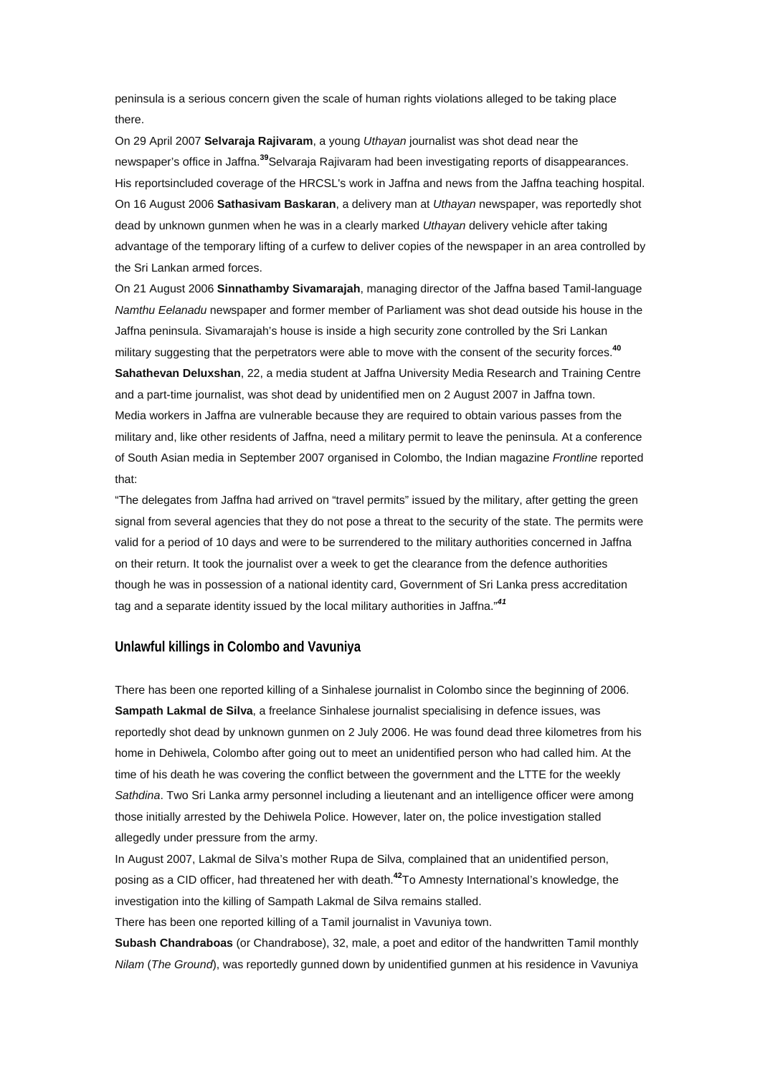peninsula is a serious concern given the scale of human rights violations alleged to be taking place there.

On 29 April 2007 **Selvaraja Rajivaram**, a young *Uthayan* journalist was shot dead near the newspaper's office in Jaffna.**[39](http://www.amnesty.org/en/alfresco_asset/0d18ed0f-cb33-11dc-b181-d35374267ce9/asa370012008eng.html#sdfootnote39sym#sdfootnote39sym)**Selvaraja Rajivaram had been investigating reports of disappearances. His reportsincluded coverage of the HRCSL's work in Jaffna and news from the Jaffna teaching hospital. On 16 August 2006 **Sathasivam Baskaran**, a delivery man at *Uthayan* newspaper, was reportedly shot dead by unknown gunmen when he was in a clearly marked *Uthayan* delivery vehicle after taking advantage of the temporary lifting of a curfew to deliver copies of the newspaper in an area controlled by the Sri Lankan armed forces.

On 21 August 2006 **Sinnathamby Sivamarajah**, managing director of the Jaffna based Tamil-language *Namthu Eelanadu* newspaper and former member of Parliament was shot dead outside his house in the Jaffna peninsula. Sivamarajah's house is inside a high security zone controlled by the Sri Lankan military suggesting that the perpetrators were able to move with the consent of the security forces.**[40](http://www.amnesty.org/en/alfresco_asset/0d18ed0f-cb33-11dc-b181-d35374267ce9/asa370012008eng.html#sdfootnote40sym#sdfootnote40sym) Sahathevan Deluxshan**, 22, a media student at Jaffna University Media Research and Training Centre and a part-time journalist, was shot dead by unidentified men on 2 August 2007 in Jaffna town. Media workers in Jaffna are vulnerable because they are required to obtain various passes from the military and, like other residents of Jaffna, need a military permit to leave the peninsula. At a conference of South Asian media in September 2007 organised in Colombo, the Indian magazine *Frontline* reported that:

"The delegates from Jaffna had arrived on "travel permits" issued by the military, after getting the green signal from several agencies that they do not pose a threat to the security of the state. The permits were valid for a period of 10 days and were to be surrendered to the military authorities concerned in Jaffna on their return. It took the journalist over a week to get the clearance from the defence authorities though he was in possession of a national identity card, Government of Sri Lanka press accreditation tag and a separate identity issued by the local military authorities in Jaffna."*[41](http://www.amnesty.org/en/alfresco_asset/0d18ed0f-cb33-11dc-b181-d35374267ce9/asa370012008eng.html#sdfootnote41sym#sdfootnote41sym)*

#### **Unlawful killings in Colombo and Vavuniya**

There has been one reported killing of a Sinhalese journalist in Colombo since the beginning of 2006. **Sampath Lakmal de Silva**, a freelance Sinhalese journalist specialising in defence issues, was reportedly shot dead by unknown gunmen on 2 July 2006. He was found dead three kilometres from his home in Dehiwela, Colombo after going out to meet an unidentified person who had called him. At the time of his death he was covering the conflict between the government and the LTTE for the weekly *Sathdina*. Two Sri Lanka army personnel including a lieutenant and an intelligence officer were among those initially arrested by the Dehiwela Police. However, later on, the police investigation stalled allegedly under pressure from the army.

In August 2007, Lakmal de Silva's mother Rupa de Silva, complained that an unidentified person, posing as a CID officer, had threatened her with death.**[42](http://www.amnesty.org/en/alfresco_asset/0d18ed0f-cb33-11dc-b181-d35374267ce9/asa370012008eng.html#sdfootnote42sym#sdfootnote42sym)**To Amnesty International's knowledge, the investigation into the killing of Sampath Lakmal de Silva remains stalled.

There has been one reported killing of a Tamil journalist in Vavuniya town.

**Subash Chandraboas** (or Chandrabose), 32, male, a poet and editor of the handwritten Tamil monthly *Nilam* (*The Ground*), was reportedly gunned down by unidentified gunmen at his residence in Vavuniya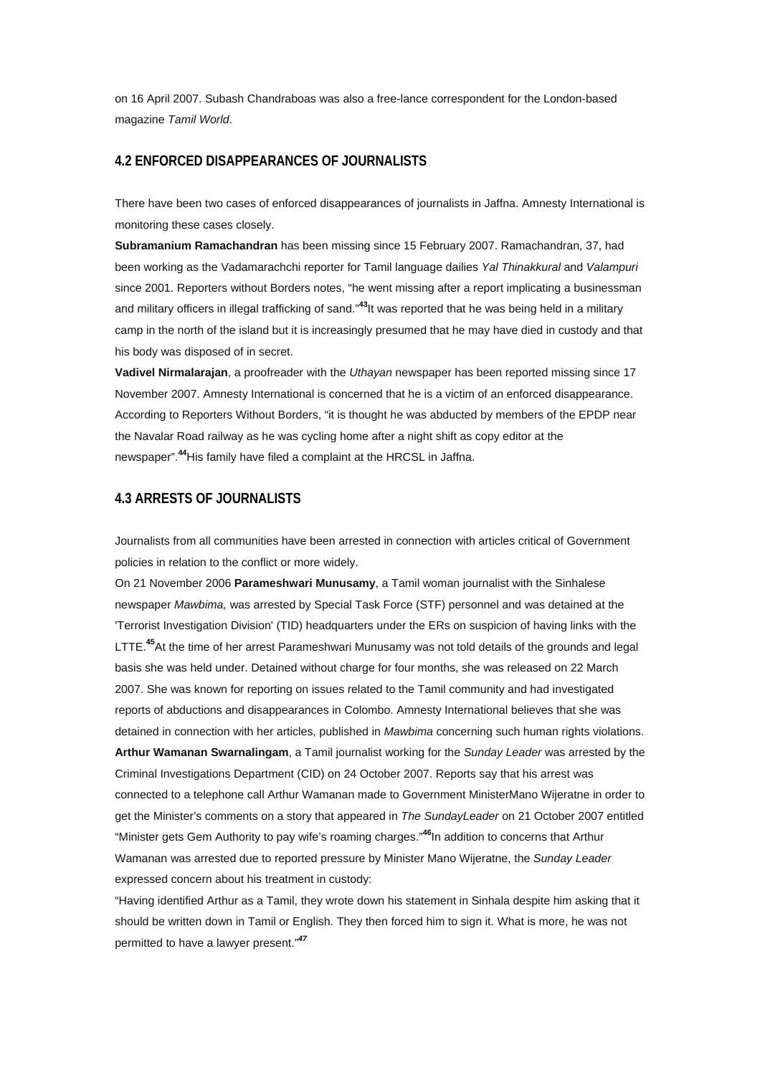on 16 April 2007. Subash Chandraboas was also a free-lance correspondent for the London-based magazine *Tamil World*.

### **4.2 ENFORCED DISAPPEARANCES OF JOURNALISTS**

There have been two cases of enforced disappearances of journalists in Jaffna. Amnesty International is monitoring these cases closely.

**Subramanium Ramachandran** has been missing since 15 February 2007. Ramachandran, 37, had been working as the Vadamarachchi reporter for Tamil language dailies *Yal Thinakkural* and *Valampuri* since 2001. Reporters without Borders notes, "he went missing after a report implicating a businessman and military officers in illegal trafficking of sand."**[43](http://www.amnesty.org/en/alfresco_asset/0d18ed0f-cb33-11dc-b181-d35374267ce9/asa370012008eng.html#sdfootnote43sym#sdfootnote43sym)**It was reported that he was being held in a military camp in the north of the island but it is increasingly presumed that he may have died in custody and that his body was disposed of in secret.

**Vadivel Nirmalarajan**, a proofreader with the *Uthayan* newspaper has been reported missing since 17 November 2007. Amnesty International is concerned that he is a victim of an enforced disappearance. According to Reporters Without Borders, "it is thought he was abducted by members of the EPDP near the Navalar Road railway as he was cycling home after a night shift as copy editor at the newspaper".**[44](http://www.amnesty.org/en/alfresco_asset/0d18ed0f-cb33-11dc-b181-d35374267ce9/asa370012008eng.html#sdfootnote44sym#sdfootnote44sym)**His family have filed a complaint at the HRCSL in Jaffna.

## **4.3 ARRESTS OF JOURNALISTS**

Journalists from all communities have been arrested in connection with articles critical of Government policies in relation to the conflict or more widely.

On 21 November 2006 **Parameshwari Munusamy**, a Tamil woman journalist with the Sinhalese newspaper *Mawbima,* was arrested by Special Task Force (STF) personnel and was detained at the 'Terrorist Investigation Division' (TID) headquarters under the ERs on suspicion of having links with the LTTE.**[45](http://www.amnesty.org/en/alfresco_asset/0d18ed0f-cb33-11dc-b181-d35374267ce9/asa370012008eng.html#sdfootnote45sym#sdfootnote45sym)**At the time of her arrest Parameshwari Munusamy was not told details of the grounds and legal basis she was held under. Detained without charge for four months, she was released on 22 March 2007. She was known for reporting on issues related to the Tamil community and had investigated reports of abductions and disappearances in Colombo. Amnesty International believes that she was detained in connection with her articles, published in *Mawbima* concerning such human rights violations. **Arthur Wamanan Swarnalingam**, a Tamil journalist working for the *Sunday Leader* was arrested by the Criminal Investigations Department (CID) on 24 October 2007. Reports say that his arrest was connected to a telephone call Arthur Wamanan made to Government MinisterMano Wijeratne in order to get the Minister's comments on a story that appeared in *The SundayLeader* on 21 October 2007 entitled "Minister gets Gem Authority to pay wife's roaming charges."**[46](http://www.amnesty.org/en/alfresco_asset/0d18ed0f-cb33-11dc-b181-d35374267ce9/asa370012008eng.html#sdfootnote46sym#sdfootnote46sym)**In addition to concerns that Arthur Wamanan was arrested due to reported pressure by Minister Mano Wijeratne, the *Sunday Leader* expressed concern about his treatment in custody:

"Having identified Arthur as a Tamil, they wrote down his statement in Sinhala despite him asking that it should be written down in Tamil or English. They then forced him to sign it. What is more, he was not permitted to have a lawyer present."*[47](http://www.amnesty.org/en/alfresco_asset/0d18ed0f-cb33-11dc-b181-d35374267ce9/asa370012008eng.html#sdfootnote47sym#sdfootnote47sym)*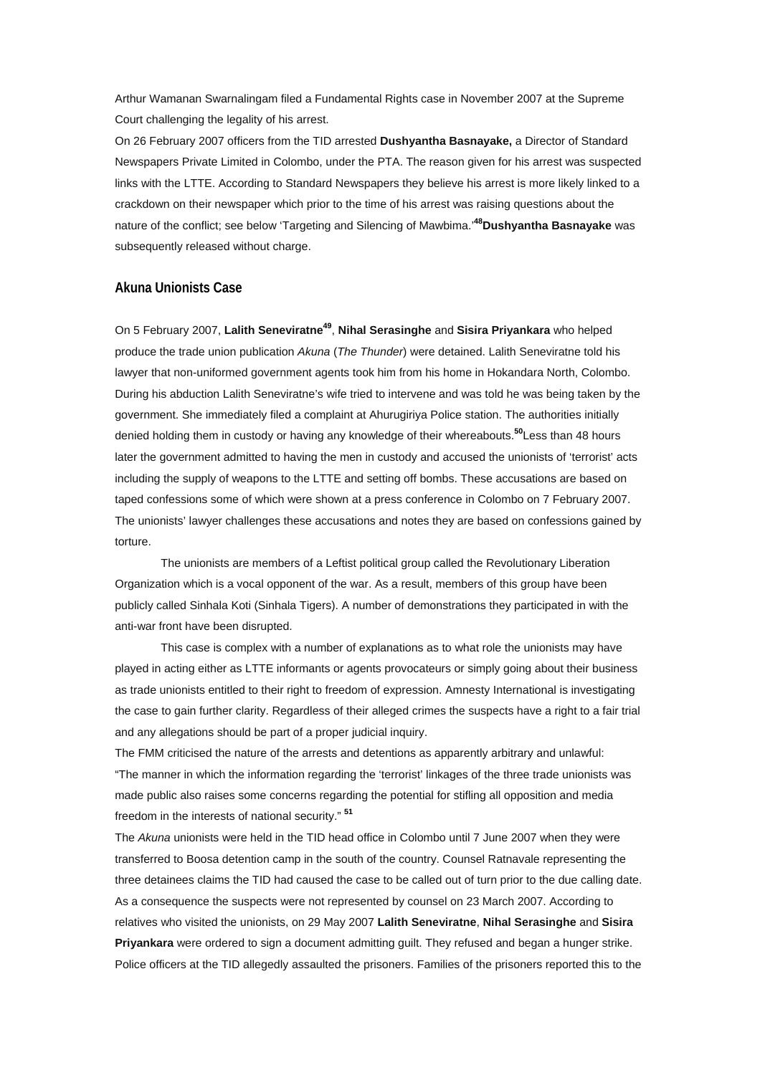Arthur Wamanan Swarnalingam filed a Fundamental Rights case in November 2007 at the Supreme Court challenging the legality of his arrest.

On 26 February 2007 officers from the TID arrested **Dushyantha Basnayake,** a Director of Standard Newspapers Private Limited in Colombo, under the PTA. The reason given for his arrest was suspected links with the LTTE. According to Standard Newspapers they believe his arrest is more likely linked to a crackdown on their newspaper which prior to the time of his arrest was raising questions about the nature of the conflict; see below 'Targeting and Silencing of Mawbima.'**[48D](http://www.amnesty.org/en/alfresco_asset/0d18ed0f-cb33-11dc-b181-d35374267ce9/asa370012008eng.html#sdfootnote48sym#sdfootnote48sym)ushyantha Basnayake** was subsequently released without charge.

#### **Akuna Unionists Case**

On 5 February 2007, **Lalith Seneviratn[e49](http://www.amnesty.org/en/alfresco_asset/0d18ed0f-cb33-11dc-b181-d35374267ce9/asa370012008eng.html#sdfootnote49sym#sdfootnote49sym)**, **Nihal Serasinghe** and **Sisira Priyankara** who helped produce the trade union publication *Akuna* (*The Thunder*) were detained. Lalith Seneviratne told his lawyer that non-uniformed government agents took him from his home in Hokandara North, Colombo. During his abduction Lalith Seneviratne's wife tried to intervene and was told he was being taken by the government. She immediately filed a complaint at Ahurugiriya Police station. The authorities initially denied holding them in custody or having any knowledge of their whereabouts.**[50](http://www.amnesty.org/en/alfresco_asset/0d18ed0f-cb33-11dc-b181-d35374267ce9/asa370012008eng.html#sdfootnote50sym#sdfootnote50sym)**Less than 48 hours later the government admitted to having the men in custody and accused the unionists of 'terrorist' acts including the supply of weapons to the LTTE and setting off bombs. These accusations are based on taped confessions some of which were shown at a press conference in Colombo on 7 February 2007. The unionists' lawyer challenges these accusations and notes they are based on confessions gained by torture.

The unionists are members of a Leftist political group called the Revolutionary Liberation Organization which is a vocal opponent of the war. As a result, members of this group have been publicly called Sinhala Koti (Sinhala Tigers). A number of demonstrations they participated in with the anti-war front have been disrupted.

This case is complex with a number of explanations as to what role the unionists may have played in acting either as LTTE informants or agents provocateurs or simply going about their business as trade unionists entitled to their right to freedom of expression. Amnesty International is investigating the case to gain further clarity. Regardless of their alleged crimes the suspects have a right to a fair trial and any allegations should be part of a proper judicial inquiry.

The FMM criticised the nature of the arrests and detentions as apparently arbitrary and unlawful: "The manner in which the information regarding the 'terrorist' linkages of the three trade unionists was made public also raises some concerns regarding the potential for stifling all opposition and media freedom in the interests of national security." **[51](http://www.amnesty.org/en/alfresco_asset/0d18ed0f-cb33-11dc-b181-d35374267ce9/asa370012008eng.html#sdfootnote51sym#sdfootnote51sym)**

The *Akuna* unionists were held in the TID head office in Colombo until 7 June 2007 when they were transferred to Boosa detention camp in the south of the country. Counsel Ratnavale representing the three detainees claims the TID had caused the case to be called out of turn prior to the due calling date. As a consequence the suspects were not represented by counsel on 23 March 2007. According to relatives who visited the unionists, on 29 May 2007 **Lalith Seneviratne**, **Nihal Serasinghe** and **Sisira Priyankara** were ordered to sign a document admitting guilt. They refused and began a hunger strike. Police officers at the TID allegedly assaulted the prisoners. Families of the prisoners reported this to the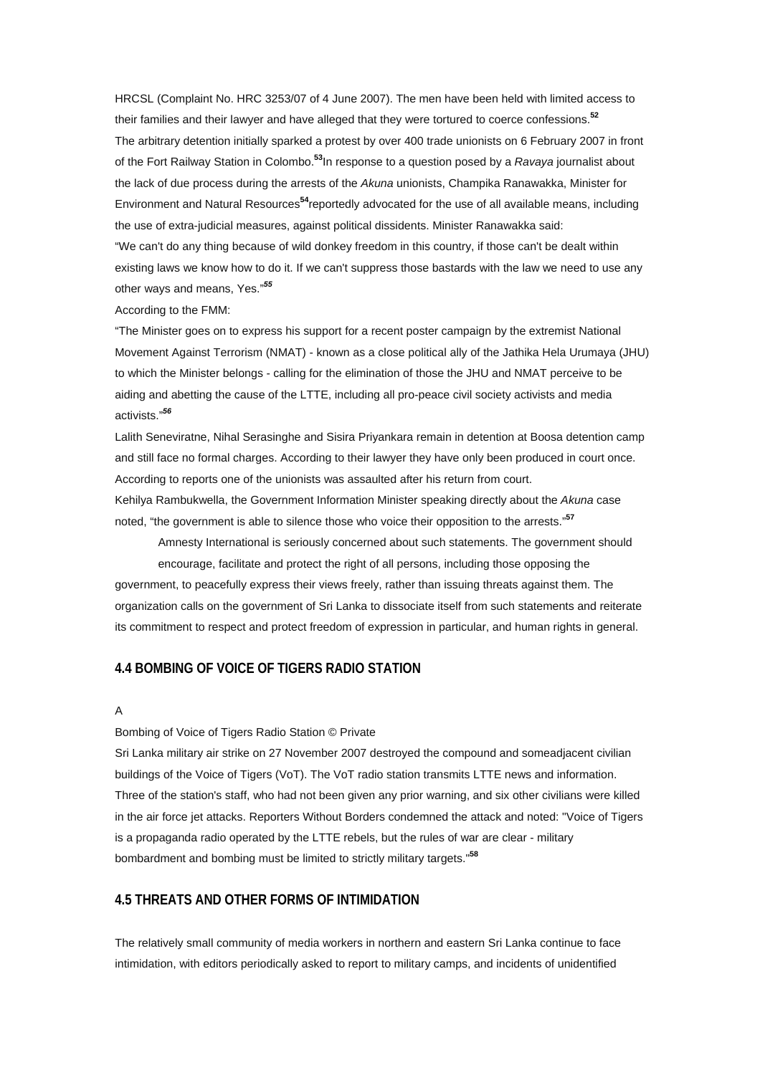HRCSL (Complaint No. HRC 3253/07 of 4 June 2007). The men have been held with limited access to their families and their lawyer and have alleged that they were tortured to coerce confessions.**[52](http://www.amnesty.org/en/alfresco_asset/0d18ed0f-cb33-11dc-b181-d35374267ce9/asa370012008eng.html#sdfootnote52sym#sdfootnote52sym)** The arbitrary detention initially sparked a protest by over 400 trade unionists on 6 February 2007 in front of the Fort Railway Station in Colombo.**[53](http://www.amnesty.org/en/alfresco_asset/0d18ed0f-cb33-11dc-b181-d35374267ce9/asa370012008eng.html#sdfootnote53sym#sdfootnote53sym)**In response to a question posed by a *Ravaya* journalist about the lack of due process during the arrests of the *Akuna* unionists, Champika Ranawakka, Minister for Environment and Natural Resources**[54](http://www.amnesty.org/en/alfresco_asset/0d18ed0f-cb33-11dc-b181-d35374267ce9/asa370012008eng.html#sdfootnote54sym#sdfootnote54sym)**reportedly advocated for the use of all available means, including the use of extra-judicial measures, against political dissidents. Minister Ranawakka said: "We can't do any thing because of wild donkey freedom in this country, if those can't be dealt within existing laws we know how to do it. If we can't suppress those bastards with the law we need to use any other ways and means, Yes."*[55](http://www.amnesty.org/en/alfresco_asset/0d18ed0f-cb33-11dc-b181-d35374267ce9/asa370012008eng.html#sdfootnote55sym#sdfootnote55sym)*

#### According to the FMM:

"The Minister goes on to express his support for a recent poster campaign by the extremist National Movement Against Terrorism (NMAT) - known as a close political ally of the Jathika Hela Urumaya (JHU) to which the Minister belongs - calling for the elimination of those the JHU and NMAT perceive to be aiding and abetting the cause of the LTTE, including all pro-peace civil society activists and media activists."*[56](http://www.amnesty.org/en/alfresco_asset/0d18ed0f-cb33-11dc-b181-d35374267ce9/asa370012008eng.html#sdfootnote56sym#sdfootnote56sym)*

Lalith Seneviratne, Nihal Serasinghe and Sisira Priyankara remain in detention at Boosa detention camp and still face no formal charges. According to their lawyer they have only been produced in court once. According to reports one of the unionists was assaulted after his return from court. Kehilya Rambukwella, the Government Information Minister speaking directly about the *Akuna* case

noted, "the government is able to silence those who voice their opposition to the arrests."**[57](http://www.amnesty.org/en/alfresco_asset/0d18ed0f-cb33-11dc-b181-d35374267ce9/asa370012008eng.html#sdfootnote57sym#sdfootnote57sym)**

Amnesty International is seriously concerned about such statements. The government should encourage, facilitate and protect the right of all persons, including those opposing the government, to peacefully express their views freely, rather than issuing threats against them. The organization calls on the government of Sri Lanka to dissociate itself from such statements and reiterate its commitment to respect and protect freedom of expression in particular, and human rights in general.

## **4.4 BOMBING OF VOICE OF TIGERS RADIO STATION**

#### A

### Bombing of Voice of Tigers Radio Station © Private

Sri Lanka military air strike on 27 November 2007 destroyed the compound and someadjacent civilian buildings of the Voice of Tigers (VoT). The VoT radio station transmits LTTE news and information. Three of the station's staff, who had not been given any prior warning, and six other civilians were killed in the air force jet attacks. Reporters Without Borders condemned the attack and noted: "Voice of Tigers is a propaganda radio operated by the LTTE rebels, but the rules of war are clear - military bombardment and bombing must be limited to strictly military targets."**[58](http://www.amnesty.org/en/alfresco_asset/0d18ed0f-cb33-11dc-b181-d35374267ce9/asa370012008eng.html#sdfootnote58sym#sdfootnote58sym)**

#### **4.5 THREATS AND OTHER FORMS OF INTIMIDATION**

The relatively small community of media workers in northern and eastern Sri Lanka continue to face intimidation, with editors periodically asked to report to military camps, and incidents of unidentified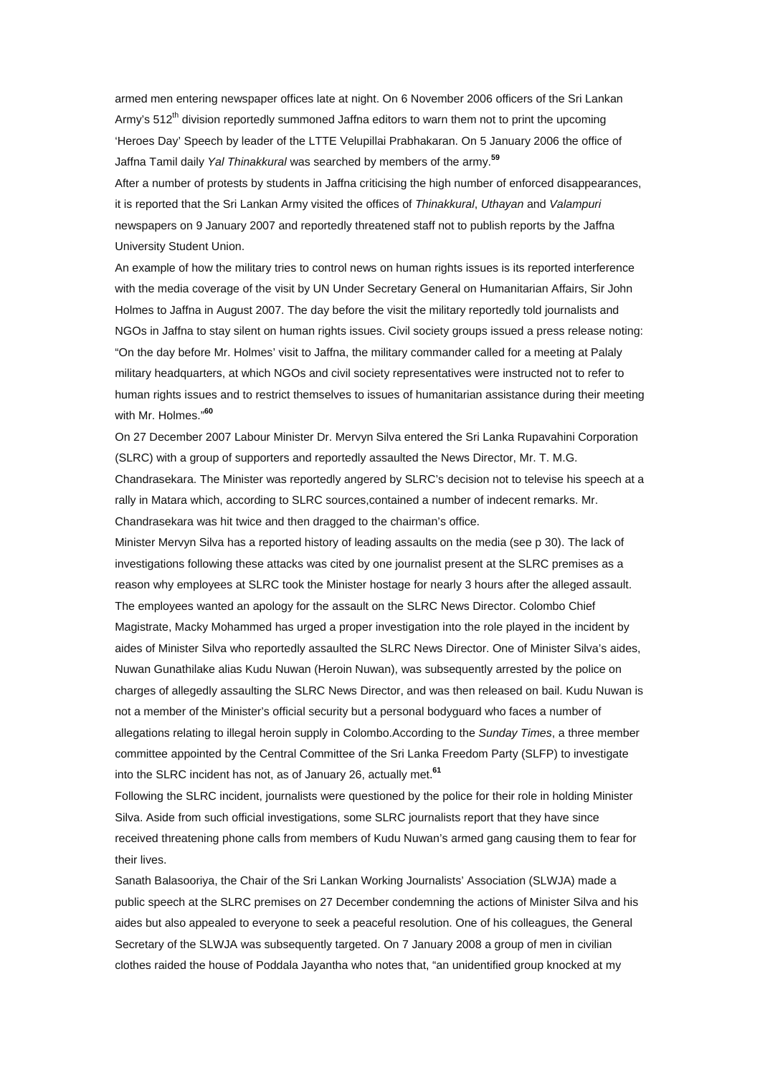armed men entering newspaper offices late at night. On 6 November 2006 officers of the Sri Lankan Army's  $512<sup>th</sup>$  division reportedly summoned Jaffna editors to warn them not to print the upcoming 'Heroes Day' Speech by leader of the LTTE Velupillai Prabhakaran. On 5 January 2006 the office of Jaffna Tamil daily *Yal Thinakkural* was searched by members of the army.**[59](http://www.amnesty.org/en/alfresco_asset/0d18ed0f-cb33-11dc-b181-d35374267ce9/asa370012008eng.html#sdfootnote59sym#sdfootnote59sym)**

After a number of protests by students in Jaffna criticising the high number of enforced disappearances, it is reported that the Sri Lankan Army visited the offices of *Thinakkural*, *Uthayan* and *Valampuri* newspapers on 9 January 2007 and reportedly threatened staff not to publish reports by the Jaffna University Student Union.

An example of how the military tries to control news on human rights issues is its reported interference with the media coverage of the visit by UN Under Secretary General on Humanitarian Affairs, Sir John Holmes to Jaffna in August 2007. The day before the visit the military reportedly told journalists and NGOs in Jaffna to stay silent on human rights issues. Civil society groups issued a press release noting: "On the day before Mr. Holmes' visit to Jaffna, the military commander called for a meeting at Palaly military headquarters, at which NGOs and civil society representatives were instructed not to refer to human rights issues and to restrict themselves to issues of humanitarian assistance during their meeting with Mr. Holmes."**[60](http://www.amnesty.org/en/alfresco_asset/0d18ed0f-cb33-11dc-b181-d35374267ce9/asa370012008eng.html#sdfootnote60sym#sdfootnote60sym)**

On 27 December 2007 Labour Minister Dr. Mervyn Silva entered the Sri Lanka Rupavahini Corporation (SLRC) with a group of supporters and reportedly assaulted the News Director, Mr. T. M.G. Chandrasekara. The Minister was reportedly angered by SLRC's decision not to televise his speech at a rally in Matara which, according to SLRC sources,contained a number of indecent remarks. Mr. Chandrasekara was hit twice and then dragged to the chairman's office.

Minister Mervyn Silva has a reported history of leading assaults on the media (see p 30). The lack of investigations following these attacks was cited by one journalist present at the SLRC premises as a reason why employees at SLRC took the Minister hostage for nearly 3 hours after the alleged assault. The employees wanted an apology for the assault on the SLRC News Director. Colombo Chief Magistrate, Macky Mohammed has urged a proper investigation into the role played in the incident by aides of Minister Silva who reportedly assaulted the SLRC News Director. One of Minister Silva's aides, Nuwan Gunathilake alias Kudu Nuwan (Heroin Nuwan), was subsequently arrested by the police on charges of allegedly assaulting the SLRC News Director, and was then released on bail. Kudu Nuwan is not a member of the Minister's official security but a personal bodyguard who faces a number of allegations relating to illegal heroin supply in Colombo.According to the *Sunday Times*, a three member committee appointed by the Central Committee of the Sri Lanka Freedom Party (SLFP) to investigate into the SLRC incident has not, as of January 26, actually met.**[61](http://www.amnesty.org/en/alfresco_asset/0d18ed0f-cb33-11dc-b181-d35374267ce9/asa370012008eng.html#sdfootnote61sym#sdfootnote61sym)**

Following the SLRC incident, journalists were questioned by the police for their role in holding Minister Silva. Aside from such official investigations, some SLRC journalists report that they have since received threatening phone calls from members of Kudu Nuwan's armed gang causing them to fear for their lives.

Sanath Balasooriya, the Chair of the Sri Lankan Working Journalists' Association (SLWJA) made a public speech at the SLRC premises on 27 December condemning the actions of Minister Silva and his aides but also appealed to everyone to seek a peaceful resolution. One of his colleagues, the General Secretary of the SLWJA was subsequently targeted. On 7 January 2008 a group of men in civilian clothes raided the house of Poddala Jayantha who notes that, "an unidentified group knocked at my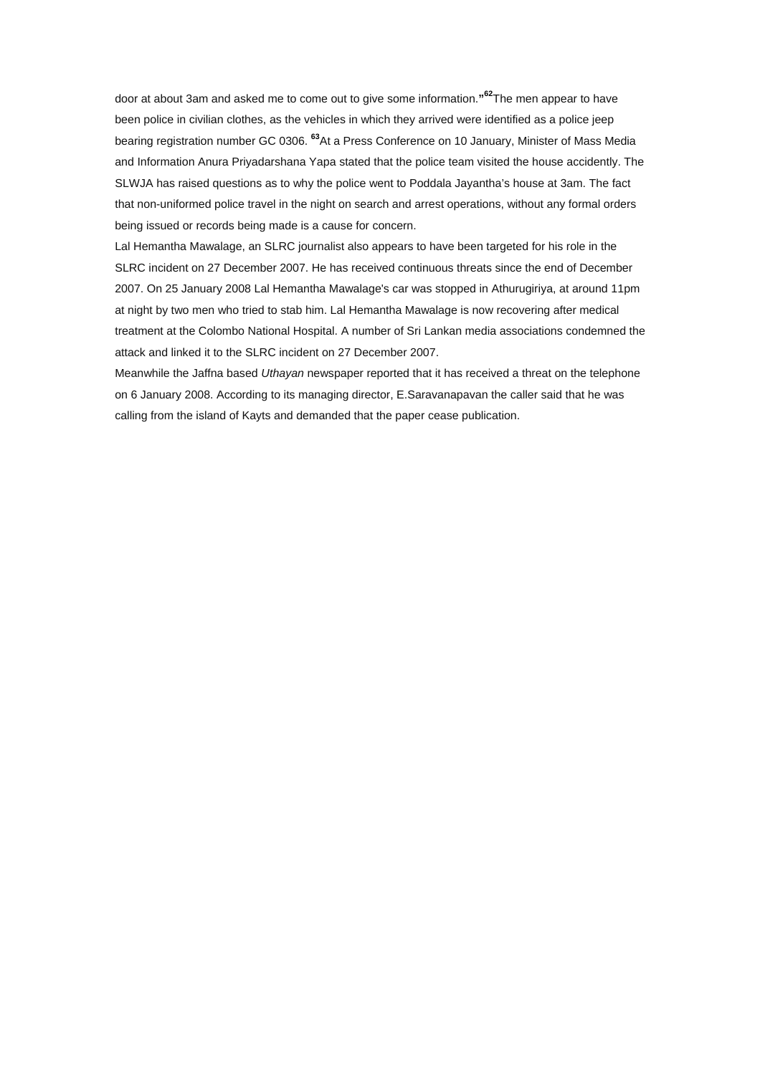door at about 3am and asked me to come out to give some information.**" [62](http://www.amnesty.org/en/alfresco_asset/0d18ed0f-cb33-11dc-b181-d35374267ce9/asa370012008eng.html#sdfootnote62sym#sdfootnote62sym)**The men appear to have been police in civilian clothes, as the vehicles in which they arrived were identified as a police jeep bearing registration number GC 0306. **[63](http://www.amnesty.org/en/alfresco_asset/0d18ed0f-cb33-11dc-b181-d35374267ce9/asa370012008eng.html#sdfootnote63sym#sdfootnote63sym)**At a Press Conference on 10 January, Minister of Mass Media and Information Anura Priyadarshana Yapa stated that the police team visited the house accidently. The SLWJA has raised questions as to why the police went to Poddala Jayantha's house at 3am. The fact that non-uniformed police travel in the night on search and arrest operations, without any formal orders being issued or records being made is a cause for concern.

Lal Hemantha Mawalage, an SLRC journalist also appears to have been targeted for his role in the SLRC incident on 27 December 2007. He has received continuous threats since the end of December 2007. On 25 January 2008 Lal Hemantha Mawalage's car was stopped in Athurugiriya, at around 11pm at night by two men who tried to stab him. Lal Hemantha Mawalage is now recovering after medical treatment at the Colombo National Hospital. A number of Sri Lankan media associations condemned the attack and linked it to the SLRC incident on 27 December 2007.

Meanwhile the Jaffna based *Uthayan* newspaper reported that it has received a threat on the telephone on 6 January 2008. According to its managing director, E.Saravanapavan the caller said that he was calling from the island of Kayts and demanded that the paper cease publication.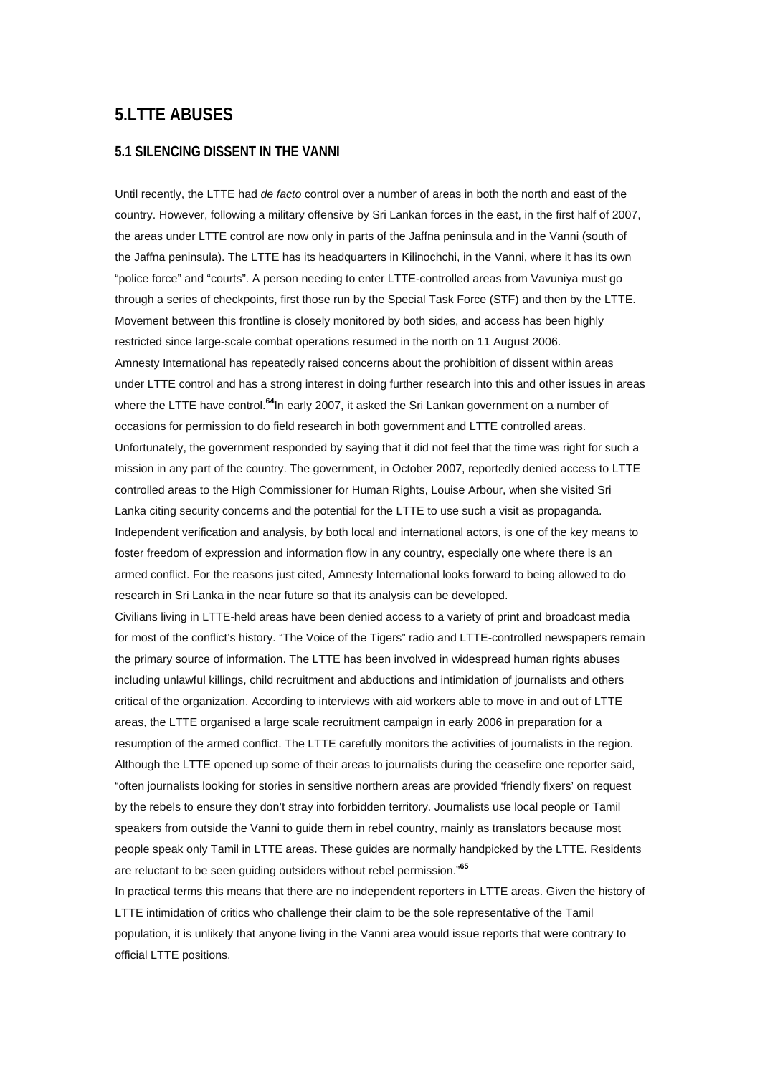# **5.LTTE ABUSES**

### **5.1 SILENCING DISSENT IN THE VANNI**

Until recently, the LTTE had *de facto* control over a number of areas in both the north and east of the country. However, following a military offensive by Sri Lankan forces in the east, in the first half of 2007, the areas under LTTE control are now only in parts of the Jaffna peninsula and in the Vanni (south of the Jaffna peninsula). The LTTE has its headquarters in Kilinochchi, in the Vanni, where it has its own "police force" and "courts". A person needing to enter LTTE-controlled areas from Vavuniya must go through a series of checkpoints, first those run by the Special Task Force (STF) and then by the LTTE. Movement between this frontline is closely monitored by both sides, and access has been highly restricted since large-scale combat operations resumed in the north on 11 August 2006. Amnesty International has repeatedly raised concerns about the prohibition of dissent within areas under LTTE control and has a strong interest in doing further research into this and other issues in areas where the LTTE have control.**[64](http://www.amnesty.org/en/alfresco_asset/0d18ed0f-cb33-11dc-b181-d35374267ce9/asa370012008eng.html#sdfootnote64sym#sdfootnote64sym)**In early 2007, it asked the Sri Lankan government on a number of occasions for permission to do field research in both government and LTTE controlled areas. Unfortunately, the government responded by saying that it did not feel that the time was right for such a mission in any part of the country. The government, in October 2007, reportedly denied access to LTTE controlled areas to the High Commissioner for Human Rights, Louise Arbour, when she visited Sri Lanka citing security concerns and the potential for the LTTE to use such a visit as propaganda. Independent verification and analysis, by both local and international actors, is one of the key means to foster freedom of expression and information flow in any country, especially one where there is an armed conflict. For the reasons just cited, Amnesty International looks forward to being allowed to do research in Sri Lanka in the near future so that its analysis can be developed.

Civilians living in LTTE-held areas have been denied access to a variety of print and broadcast media for most of the conflict's history. "The Voice of the Tigers" radio and LTTE-controlled newspapers remain the primary source of information. The LTTE has been involved in widespread human rights abuses including unlawful killings, child recruitment and abductions and intimidation of journalists and others critical of the organization. According to interviews with aid workers able to move in and out of LTTE areas, the LTTE organised a large scale recruitment campaign in early 2006 in preparation for a resumption of the armed conflict. The LTTE carefully monitors the activities of journalists in the region. Although the LTTE opened up some of their areas to journalists during the ceasefire one reporter said, "often journalists looking for stories in sensitive northern areas are provided 'friendly fixers' on request by the rebels to ensure they don't stray into forbidden territory. Journalists use local people or Tamil speakers from outside the Vanni to guide them in rebel country, mainly as translators because most people speak only Tamil in LTTE areas. These guides are normally handpicked by the LTTE. Residents are reluctant to be seen guiding outsiders without rebel permission."**[65](http://www.amnesty.org/en/alfresco_asset/0d18ed0f-cb33-11dc-b181-d35374267ce9/asa370012008eng.html#sdfootnote65sym#sdfootnote65sym)**

In practical terms this means that there are no independent reporters in LTTE areas. Given the history of LTTE intimidation of critics who challenge their claim to be the sole representative of the Tamil population, it is unlikely that anyone living in the Vanni area would issue reports that were contrary to official LTTE positions.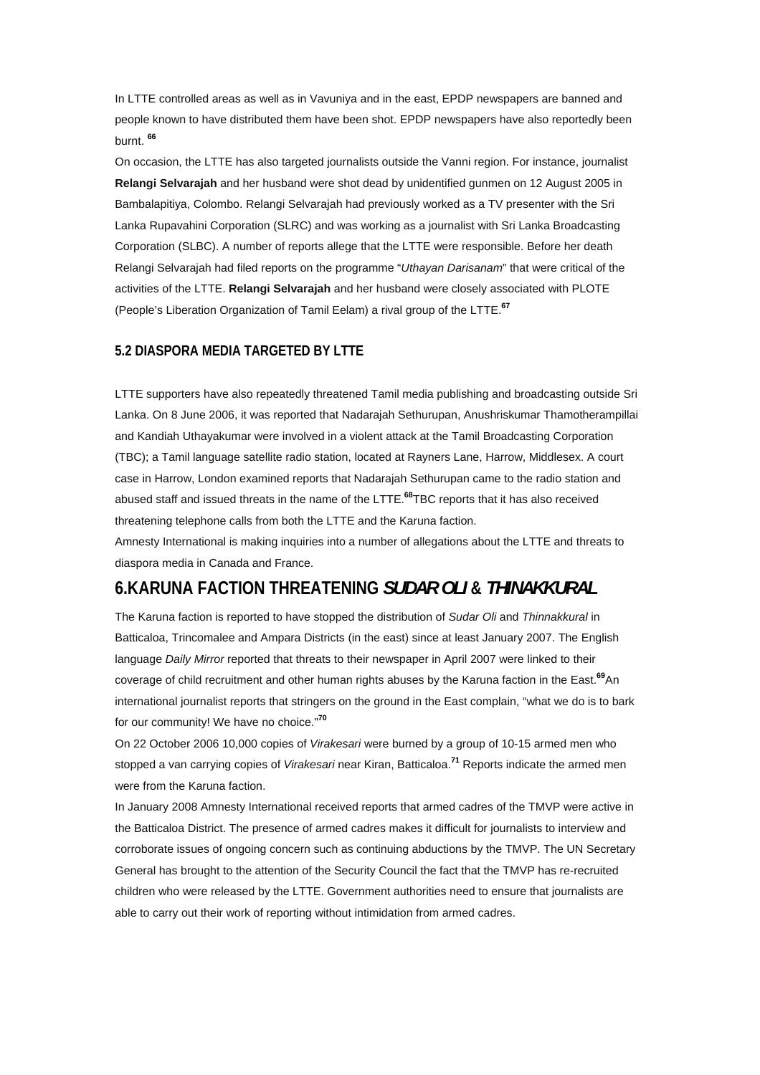In LTTE controlled areas as well as in Vavuniya and in the east, EPDP newspapers are banned and people known to have distributed them have been shot. EPDP newspapers have also reportedly been burnt. **[66](http://www.amnesty.org/en/alfresco_asset/0d18ed0f-cb33-11dc-b181-d35374267ce9/asa370012008eng.html#sdfootnote66sym#sdfootnote66sym)**

On occasion, the LTTE has also targeted journalists outside the Vanni region. For instance, journalist **Relangi Selvarajah** and her husband were shot dead by unidentified gunmen on 12 August 2005 in Bambalapitiya, Colombo. Relangi Selvarajah had previously worked as a TV presenter with the Sri Lanka Rupavahini Corporation (SLRC) and was working as a journalist with Sri Lanka Broadcasting Corporation (SLBC). A number of reports allege that the LTTE were responsible. Before her death Relangi Selvarajah had filed reports on the programme "*Uthayan Darisanam*" that were critical of the activities of the LTTE. **Relangi Selvarajah** and her husband were closely associated with PLOTE (People's Liberation Organization of Tamil Eelam) a rival group of the LTTE.**[67](http://www.amnesty.org/en/alfresco_asset/0d18ed0f-cb33-11dc-b181-d35374267ce9/asa370012008eng.html#sdfootnote67sym#sdfootnote67sym)**

## **5.2 DIASPORA MEDIA TARGETED BY LTTE**

LTTE supporters have also repeatedly threatened Tamil media publishing and broadcasting outside Sri Lanka. On 8 June 2006, it was reported that Nadarajah Sethurupan, Anushriskumar Thamotherampillai and Kandiah Uthayakumar were involved in a violent attack at the Tamil Broadcasting Corporation (TBC); a Tamil language satellite radio station, located at Rayners Lane, Harrow, Middlesex. A court case in Harrow, London examined reports that Nadarajah Sethurupan came to the radio station and abused staff and issued threats in the name of the LTTE.**[68](http://www.amnesty.org/en/alfresco_asset/0d18ed0f-cb33-11dc-b181-d35374267ce9/asa370012008eng.html#sdfootnote68sym#sdfootnote68sym)**TBC reports that it has also received threatening telephone calls from both the LTTE and the Karuna faction.

Amnesty International is making inquiries into a number of allegations about the LTTE and threats to diaspora media in Canada and France.

# **6.KARUNA FACTION THREATENING** *SUDAR OLI* **&** *THINAKKURAL*

The Karuna faction is reported to have stopped the distribution of *Sudar Oli* and *Thinnakkural* in Batticaloa, Trincomalee and Ampara Districts (in the east) since at least January 2007. The English language *Daily Mirror* reported that threats to their newspaper in April 2007 were linked to their coverage of child recruitment and other human rights abuses by the Karuna faction in the East.**[69](http://www.amnesty.org/en/alfresco_asset/0d18ed0f-cb33-11dc-b181-d35374267ce9/asa370012008eng.html#sdfootnote69sym#sdfootnote69sym)**An international journalist reports that stringers on the ground in the East complain, "what we do is to bark for our community! We have no choice."**[70](http://www.amnesty.org/en/alfresco_asset/0d18ed0f-cb33-11dc-b181-d35374267ce9/asa370012008eng.html#sdfootnote70sym#sdfootnote70sym)**

On 22 October 2006 10,000 copies of *Virakesari* were burned by a group of 10-15 armed men who stopped a van carrying copies of *Virakesari* near Kiran, Batticaloa.**[71](http://www.amnesty.org/en/alfresco_asset/0d18ed0f-cb33-11dc-b181-d35374267ce9/asa370012008eng.html#sdfootnote71sym#sdfootnote71sym)** Reports indicate the armed men were from the Karuna faction.

In January 2008 Amnesty International received reports that armed cadres of the TMVP were active in the Batticaloa District. The presence of armed cadres makes it difficult for journalists to interview and corroborate issues of ongoing concern such as continuing abductions by the TMVP. The UN Secretary General has brought to the attention of the Security Council the fact that the TMVP has re-recruited children who were released by the LTTE. Government authorities need to ensure that journalists are able to carry out their work of reporting without intimidation from armed cadres.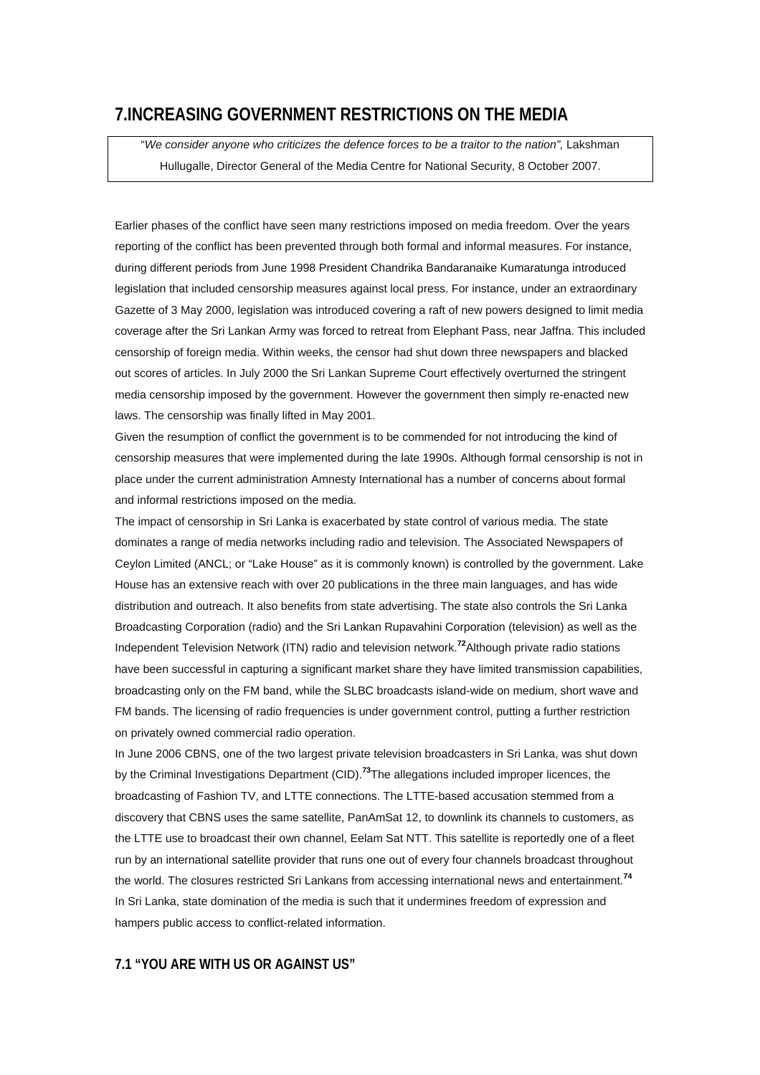# **7.INCREASING GOVERNMENT RESTRICTIONS ON THE MEDIA**

"*We consider anyone who criticizes the defence forces to be a traitor to the nation",* Lakshman Hullugalle, Director General of the Media Centre for National Security, 8 October 2007.

Earlier phases of the conflict have seen many restrictions imposed on media freedom. Over the years reporting of the conflict has been prevented through both formal and informal measures. For instance, during different periods from June 1998 President Chandrika Bandaranaike Kumaratunga introduced legislation that included censorship measures against local press. For instance, under an extraordinary Gazette of 3 May 2000, legislation was introduced covering a raft of new powers designed to limit media coverage after the Sri Lankan Army was forced to retreat from Elephant Pass, near Jaffna. This included censorship of foreign media. Within weeks, the censor had shut down three newspapers and blacked out scores of articles. In July 2000 the Sri Lankan Supreme Court effectively overturned the stringent media censorship imposed by the government. However the government then simply re-enacted new laws. The censorship was finally lifted in May 2001.

Given the resumption of conflict the government is to be commended for not introducing the kind of censorship measures that were implemented during the late 1990s. Although formal censorship is not in place under the current administration Amnesty International has a number of concerns about formal and informal restrictions imposed on the media.

The impact of censorship in Sri Lanka is exacerbated by state control of various media. The state dominates a range of media networks including radio and television. The Associated Newspapers of Ceylon Limited (ANCL; or "Lake House" as it is commonly known) is controlled by the government. Lake House has an extensive reach with over 20 publications in the three main languages, and has wide distribution and outreach. It also benefits from state advertising. The state also controls the Sri Lanka Broadcasting Corporation (radio) and the Sri Lankan Rupavahini Corporation (television) as well as the Independent Television Network (ITN) radio and television network.**[72](http://www.amnesty.org/en/alfresco_asset/0d18ed0f-cb33-11dc-b181-d35374267ce9/asa370012008eng.html#sdfootnote72sym#sdfootnote72sym)**Although private radio stations have been successful in capturing a significant market share they have limited transmission capabilities, broadcasting only on the FM band, while the SLBC broadcasts island-wide on medium, short wave and FM bands. The licensing of radio frequencies is under government control, putting a further restriction on privately owned commercial radio operation.

In June 2006 CBNS, one of the two largest private television broadcasters in Sri Lanka, was shut down by the Criminal Investigations Department (CID).**[73](http://www.amnesty.org/en/alfresco_asset/0d18ed0f-cb33-11dc-b181-d35374267ce9/asa370012008eng.html#sdfootnote73sym#sdfootnote73sym)**The allegations included improper licences, the broadcasting of Fashion TV, and LTTE connections. The LTTE-based accusation stemmed from a discovery that CBNS uses the same satellite, PanAmSat 12, to downlink its channels to customers, as the LTTE use to broadcast their own channel, Eelam Sat NTT. This satellite is reportedly one of a fleet run by an international satellite provider that runs one out of every four channels broadcast throughout the world. The closures restricted Sri Lankans from accessing international news and entertainment.**[74](http://www.amnesty.org/en/alfresco_asset/0d18ed0f-cb33-11dc-b181-d35374267ce9/asa370012008eng.html#sdfootnote74sym#sdfootnote74sym)** In Sri Lanka, state domination of the media is such that it undermines freedom of expression and hampers public access to conflict-related information.

### **7.1 "YOU ARE WITH US OR AGAINST US"**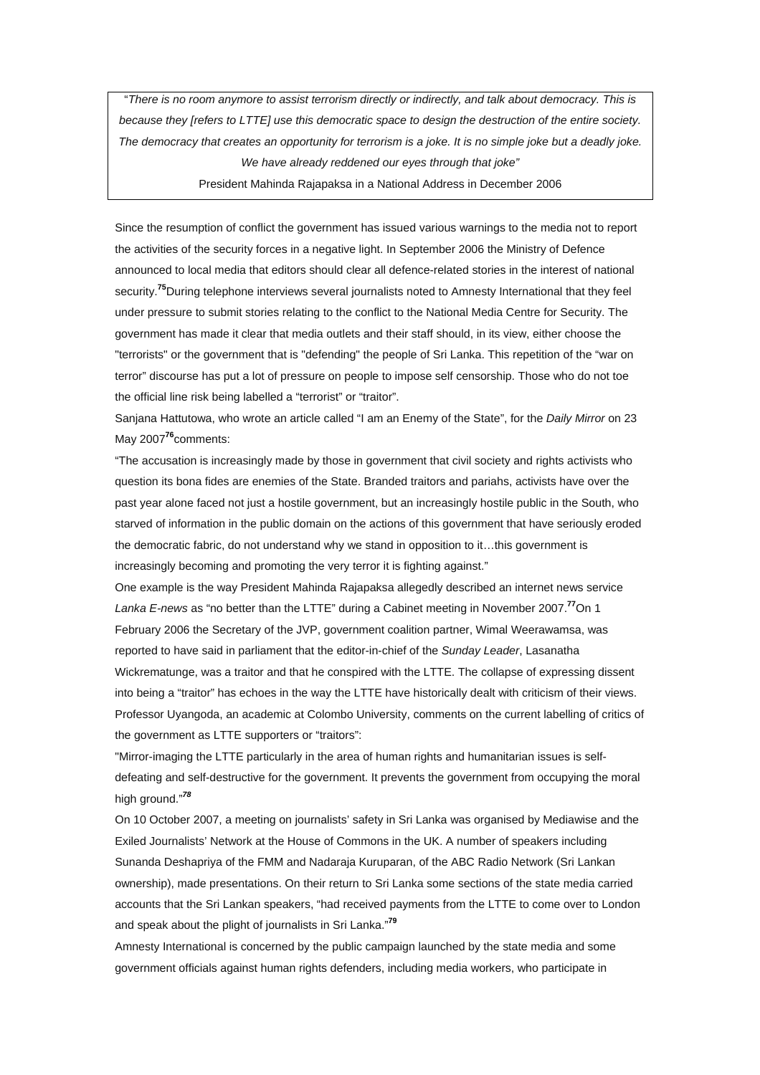"*There is no room anymore to assist terrorism directly or indirectly, and talk about democracy. This is because they [refers to LTTE] use this democratic space to design the destruction of the entire society. The democracy that creates an opportunity for terrorism is a joke. It is no simple joke but a deadly joke. We have already reddened our eyes through that joke"*

President Mahinda Rajapaksa in a National Address in December 2006

Since the resumption of conflict the government has issued various warnings to the media not to report the activities of the security forces in a negative light. In September 2006 the Ministry of Defence announced to local media that editors should clear all defence-related stories in the interest of national security.**[75](http://www.amnesty.org/en/alfresco_asset/0d18ed0f-cb33-11dc-b181-d35374267ce9/asa370012008eng.html#sdfootnote75sym#sdfootnote75sym)**During telephone interviews several journalists noted to Amnesty International that they feel under pressure to submit stories relating to the conflict to the National Media Centre for Security. The government has made it clear that media outlets and their staff should, in its view, either choose the "terrorists" or the government that is "defending" the people of Sri Lanka. This repetition of the "war on terror" discourse has put a lot of pressure on people to impose self censorship. Those who do not toe the official line risk being labelled a "terrorist" or "traitor".

Sanjana Hattutowa, who wrote an article called "I am an Enemy of the State", for the *Daily Mirror* on 23 May 2007**[76](http://www.amnesty.org/en/alfresco_asset/0d18ed0f-cb33-11dc-b181-d35374267ce9/asa370012008eng.html#sdfootnote76sym#sdfootnote76sym)**comments:

"The accusation is increasingly made by those in government that civil society and rights activists who question its bona fides are enemies of the State. Branded traitors and pariahs, activists have over the past year alone faced not just a hostile government, but an increasingly hostile public in the South, who starved of information in the public domain on the actions of this government that have seriously eroded the democratic fabric, do not understand why we stand in opposition to it…this government is increasingly becoming and promoting the very terror it is fighting against."

One example is the way President Mahinda Rajapaksa allegedly described an internet news service *Lanka E-news* as "no better than the LTTE" during a Cabinet meeting in November 2007.**[77](http://www.amnesty.org/en/alfresco_asset/0d18ed0f-cb33-11dc-b181-d35374267ce9/asa370012008eng.html#sdfootnote77sym#sdfootnote77sym)**On 1 February 2006 the Secretary of the JVP, government coalition partner, Wimal Weerawamsa, was reported to have said in parliament that the editor-in-chief of the *Sunday Leader*, Lasanatha Wickrematunge, was a traitor and that he conspired with the LTTE. The collapse of expressing dissent into being a "traitor" has echoes in the way the LTTE have historically dealt with criticism of their views. Professor Uyangoda, an academic at Colombo University, comments on the current labelling of critics of the government as LTTE supporters or "traitors":

"Mirror-imaging the LTTE particularly in the area of human rights and humanitarian issues is selfdefeating and self-destructive for the government. It prevents the government from occupying the moral high ground."*[78](http://www.amnesty.org/en/alfresco_asset/0d18ed0f-cb33-11dc-b181-d35374267ce9/asa370012008eng.html#sdfootnote78sym#sdfootnote78sym)*

On 10 October 2007, a meeting on journalists' safety in Sri Lanka was organised by Mediawise and the Exiled Journalists' Network at the House of Commons in the UK. A number of speakers including Sunanda Deshapriya of the FMM and Nadaraja Kuruparan, of the ABC Radio Network (Sri Lankan ownership), made presentations. On their return to Sri Lanka some sections of the state media carried accounts that the Sri Lankan speakers, "had received payments from the LTTE to come over to London and speak about the plight of journalists in Sri Lanka."**[79](http://www.amnesty.org/en/alfresco_asset/0d18ed0f-cb33-11dc-b181-d35374267ce9/asa370012008eng.html#sdfootnote79sym#sdfootnote79sym)**

Amnesty International is concerned by the public campaign launched by the state media and some government officials against human rights defenders, including media workers, who participate in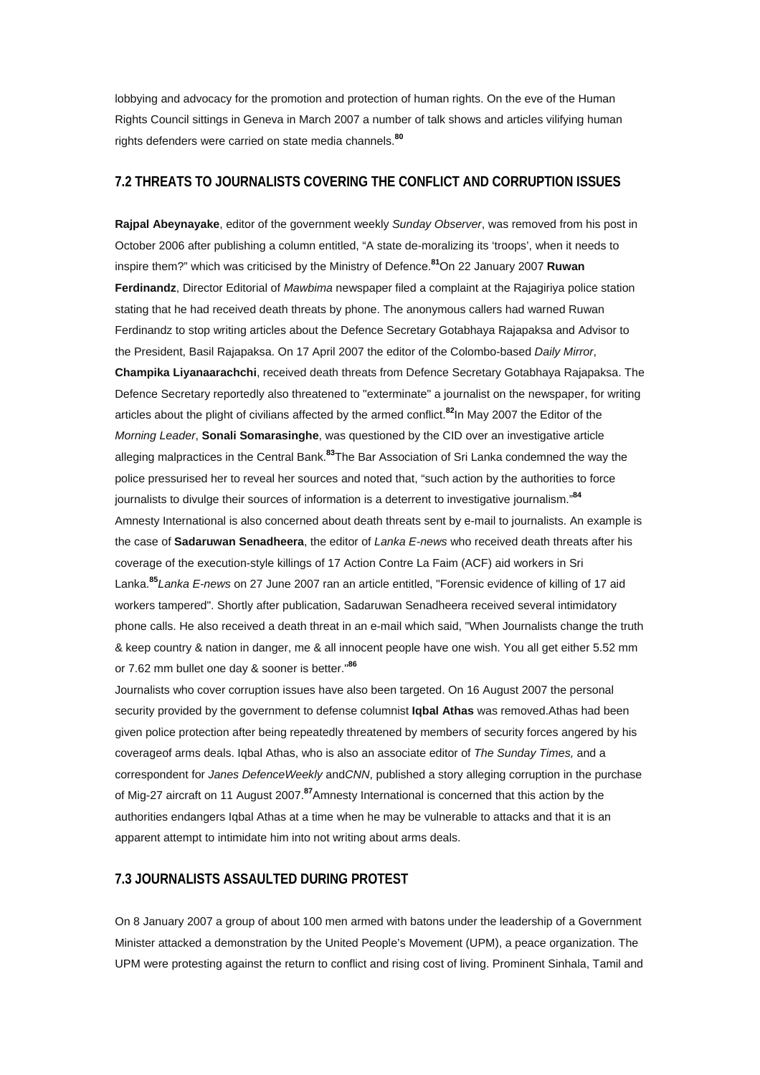lobbying and advocacy for the promotion and protection of human rights. On the eve of the Human Rights Council sittings in Geneva in March 2007 a number of talk shows and articles vilifying human rights defenders were carried on state media channels.**[80](http://www.amnesty.org/en/alfresco_asset/0d18ed0f-cb33-11dc-b181-d35374267ce9/asa370012008eng.html#sdfootnote80sym#sdfootnote80sym)**

## **7.2 THREATS TO JOURNALISTS COVERING THE CONFLICT AND CORRUPTION ISSUES**

**Rajpal Abeynayake**, editor of the government weekly *Sunday Observer*, was removed from his post in October 2006 after publishing a column entitled, "A state de-moralizing its 'troops', when it needs to inspire them?" which was criticised by the Ministry of Defence.**[81](http://www.amnesty.org/en/alfresco_asset/0d18ed0f-cb33-11dc-b181-d35374267ce9/asa370012008eng.html#sdfootnote81sym#sdfootnote81sym)**On 22 January 2007 **Ruwan Ferdinandz**, Director Editorial of *Mawbima* newspaper filed a complaint at the Rajagiriya police station stating that he had received death threats by phone. The anonymous callers had warned Ruwan Ferdinandz to stop writing articles about the Defence Secretary Gotabhaya Rajapaksa and Advisor to the President, Basil Rajapaksa. On 17 April 2007 the editor of the Colombo-based *Daily Mirror*, **Champika Liyanaarachchi**, received death threats from Defence Secretary Gotabhaya Rajapaksa. The Defence Secretary reportedly also threatened to "exterminate" a journalist on the newspaper, for writing articles about the plight of civilians affected by the armed conflict.**[82](http://www.amnesty.org/en/alfresco_asset/0d18ed0f-cb33-11dc-b181-d35374267ce9/asa370012008eng.html#sdfootnote82sym#sdfootnote82sym)**In May 2007 the Editor of the *Morning Leader*, **Sonali Somarasinghe**, was questioned by the CID over an investigative article alleging malpractices in the Central Bank.**[83](http://www.amnesty.org/en/alfresco_asset/0d18ed0f-cb33-11dc-b181-d35374267ce9/asa370012008eng.html#sdfootnote83sym#sdfootnote83sym)**The Bar Association of Sri Lanka condemned the way the police pressurised her to reveal her sources and noted that, "such action by the authorities to force journalists to divulge their sources of information is a deterrent to investigative journalism."**[84](http://www.amnesty.org/en/alfresco_asset/0d18ed0f-cb33-11dc-b181-d35374267ce9/asa370012008eng.html#sdfootnote84sym#sdfootnote84sym)** Amnesty International is also concerned about death threats sent by e-mail to journalists. An example is the case of **Sadaruwan Senadheera**, the editor of *Lanka E-news* who received death threats after his coverage of the execution-style killings of 17 Action Contre La Faim (ACF) aid workers in Sri Lanka.**[85](http://www.amnesty.org/en/alfresco_asset/0d18ed0f-cb33-11dc-b181-d35374267ce9/asa370012008eng.html#sdfootnote85sym#sdfootnote85sym)***Lanka E-news* on 27 June 2007 ran an article entitled, "Forensic evidence of killing of 17 aid workers tampered". Shortly after publication, Sadaruwan Senadheera received several intimidatory phone calls. He also received a death threat in an e-mail which said, "When Journalists change the truth & keep country & nation in danger, me & all innocent people have one wish. You all get either 5.52 mm or 7.62 mm bullet one day & sooner is better."**[86](http://www.amnesty.org/en/alfresco_asset/0d18ed0f-cb33-11dc-b181-d35374267ce9/asa370012008eng.html#sdfootnote86sym#sdfootnote86sym)**

Journalists who cover corruption issues have also been targeted. On 16 August 2007 the personal security provided by the government to defense columnist **Iqbal Athas** was removed.Athas had been given police protection after being repeatedly threatened by members of security forces angered by his coverageof arms deals. Iqbal Athas, who is also an associate editor of *The Sunday Times,* and a correspondent for *Janes DefenceWeekly* and*CNN*, published a story alleging corruption in the purchase of Mig-27 aircraft on 11 August 2007.**[87](http://www.amnesty.org/en/alfresco_asset/0d18ed0f-cb33-11dc-b181-d35374267ce9/asa370012008eng.html#sdfootnote87sym#sdfootnote87sym)**Amnesty International is concerned that this action by the authorities endangers Iqbal Athas at a time when he may be vulnerable to attacks and that it is an apparent attempt to intimidate him into not writing about arms deals.

### **7.3 JOURNALISTS ASSAULTED DURING PROTEST**

On 8 January 2007 a group of about 100 men armed with batons under the leadership of a Government Minister attacked a demonstration by the United People's Movement (UPM), a peace organization. The UPM were protesting against the return to conflict and rising cost of living. Prominent Sinhala, Tamil and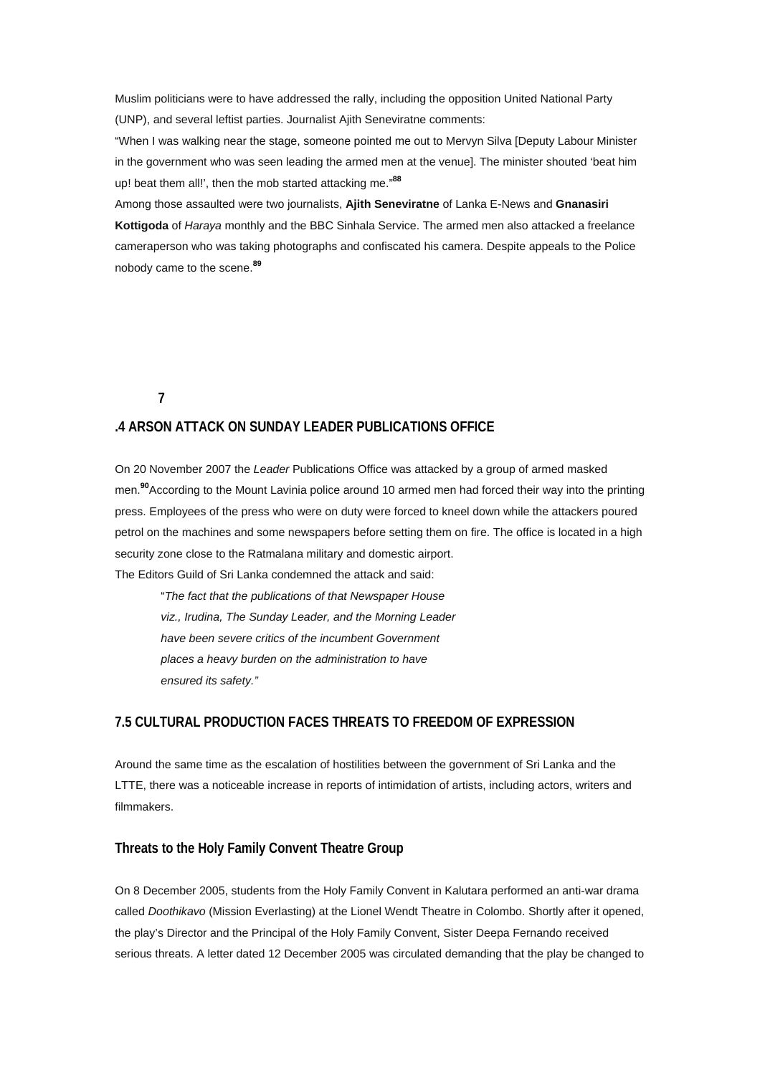Muslim politicians were to have addressed the rally, including the opposition United National Party (UNP), and several leftist parties. Journalist Ajith Seneviratne comments:

"When I was walking near the stage, someone pointed me out to Mervyn Silva [Deputy Labour Minister in the government who was seen leading the armed men at the venue]. The minister shouted 'beat him up! beat them all!', then the mob started attacking me."**[88](http://www.amnesty.org/en/alfresco_asset/0d18ed0f-cb33-11dc-b181-d35374267ce9/asa370012008eng.html#sdfootnote88sym#sdfootnote88sym)**

Among those assaulted were two journalists, **Ajith Seneviratne** of Lanka E-News and **Gnanasiri Kottigoda** of *Haraya* monthly and the BBC Sinhala Service. The armed men also attacked a freelance cameraperson who was taking photographs and confiscated his camera. Despite appeals to the Police nobody came to the scene.**[89](http://www.amnesty.org/en/alfresco_asset/0d18ed0f-cb33-11dc-b181-d35374267ce9/asa370012008eng.html#sdfootnote89sym#sdfootnote89sym)**

**7** 

### **.4 ARSON ATTACK ON SUNDAY LEADER PUBLICATIONS OFFICE**

On 20 November 2007 the *Leader* Publications Office was attacked by a group of armed masked men.**[90](http://www.amnesty.org/en/alfresco_asset/0d18ed0f-cb33-11dc-b181-d35374267ce9/asa370012008eng.html#sdfootnote90sym#sdfootnote90sym)**According to the Mount Lavinia police around 10 armed men had forced their way into the printing press. Employees of the press who were on duty were forced to kneel down while the attackers poured petrol on the machines and some newspapers before setting them on fire. The office is located in a high security zone close to the Ratmalana military and domestic airport. The Editors Guild of Sri Lanka condemned the attack and said:

"*The fact that the publications of that Newspaper House viz., Irudina, The Sunday Leader, and the Morning Leader have been severe critics of the incumbent Government places a heavy burden on the administration to have ensured its safety."*

## **7.5 CULTURAL PRODUCTION FACES THREATS TO FREEDOM OF EXPRESSION**

Around the same time as the escalation of hostilities between the government of Sri Lanka and the LTTE, there was a noticeable increase in reports of intimidation of artists, including actors, writers and filmmakers.

## **Threats to the Holy Family Convent Theatre Group**

On 8 December 2005, students from the Holy Family Convent in Kalutara performed an anti-war drama called *Doothikavo* (Mission Everlasting) at the Lionel Wendt Theatre in Colombo. Shortly after it opened, the play's Director and the Principal of the Holy Family Convent, Sister Deepa Fernando received serious threats. A letter dated 12 December 2005 was circulated demanding that the play be changed to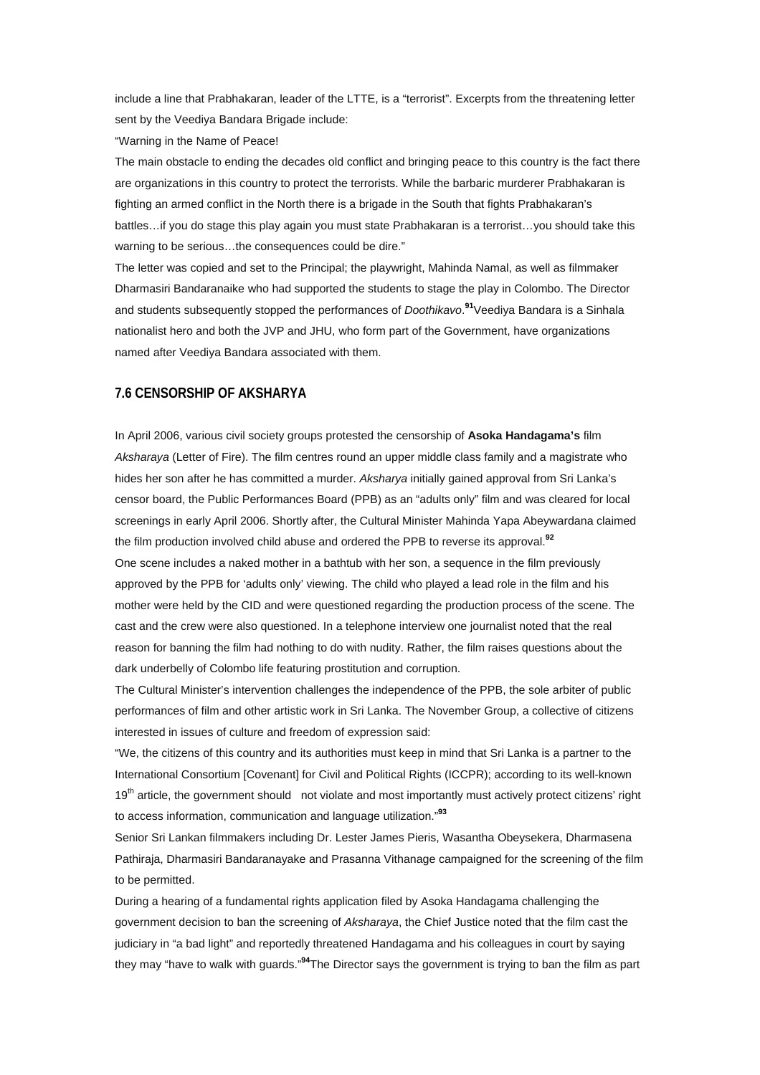include a line that Prabhakaran, leader of the LTTE, is a "terrorist". Excerpts from the threatening letter sent by the Veediya Bandara Brigade include:

"Warning in the Name of Peace!

The main obstacle to ending the decades old conflict and bringing peace to this country is the fact there are organizations in this country to protect the terrorists. While the barbaric murderer Prabhakaran is fighting an armed conflict in the North there is a brigade in the South that fights Prabhakaran's battles…if you do stage this play again you must state Prabhakaran is a terrorist…you should take this warning to be serious…the consequences could be dire."

The letter was copied and set to the Principal; the playwright, Mahinda Namal, as well as filmmaker Dharmasiri Bandaranaike who had supported the students to stage the play in Colombo. The Director and students subsequently stopped the performances of *Doothikavo*. **[91](http://www.amnesty.org/en/alfresco_asset/0d18ed0f-cb33-11dc-b181-d35374267ce9/asa370012008eng.html#sdfootnote91sym#sdfootnote91sym)**Veediya Bandara is a Sinhala nationalist hero and both the JVP and JHU, who form part of the Government, have organizations named after Veediya Bandara associated with them.

## **7.6 CENSORSHIP OF AKSHARYA**

In April 2006, various civil society groups protested the censorship of **Asoka Handagama's** film *Aksharaya* (Letter of Fire). The film centres round an upper middle class family and a magistrate who hides her son after he has committed a murder. *Aksharya* initially gained approval from Sri Lanka's censor board, the Public Performances Board (PPB) as an "adults only" film and was cleared for local screenings in early April 2006. Shortly after, the Cultural Minister Mahinda Yapa Abeywardana claimed the film production involved child abuse and ordered the PPB to reverse its approval.**[92](http://www.amnesty.org/en/alfresco_asset/0d18ed0f-cb33-11dc-b181-d35374267ce9/asa370012008eng.html#sdfootnote92sym#sdfootnote92sym)**

One scene includes a naked mother in a bathtub with her son, a sequence in the film previously approved by the PPB for 'adults only' viewing. The child who played a lead role in the film and his mother were held by the CID and were questioned regarding the production process of the scene. The cast and the crew were also questioned. In a telephone interview one journalist noted that the real reason for banning the film had nothing to do with nudity. Rather, the film raises questions about the dark underbelly of Colombo life featuring prostitution and corruption.

The Cultural Minister's intervention challenges the independence of the PPB, the sole arbiter of public performances of film and other artistic work in Sri Lanka. The November Group, a collective of citizens interested in issues of culture and freedom of expression said:

"We, the citizens of this country and its authorities must keep in mind that Sri Lanka is a partner to the International Consortium [Covenant] for Civil and Political Rights (ICCPR); according to its well-known 19<sup>th</sup> article, the government should not violate and most importantly must actively protect citizens' right to access information, communication and language utilization."**[93](http://www.amnesty.org/en/alfresco_asset/0d18ed0f-cb33-11dc-b181-d35374267ce9/asa370012008eng.html#sdfootnote93sym#sdfootnote93sym)**

Senior Sri Lankan filmmakers including Dr. Lester James Pieris, Wasantha Obeysekera, Dharmasena Pathiraja, Dharmasiri Bandaranayake and Prasanna Vithanage campaigned for the screening of the film to be permitted.

During a hearing of a fundamental rights application filed by Asoka Handagama challenging the government decision to ban the screening of *Aksharaya*, the Chief Justice noted that the film cast the judiciary in "a bad light" and reportedly threatened Handagama and his colleagues in court by saying they may "have to walk with guards."**[94](http://www.amnesty.org/en/alfresco_asset/0d18ed0f-cb33-11dc-b181-d35374267ce9/asa370012008eng.html#sdfootnote94sym#sdfootnote94sym)**The Director says the government is trying to ban the film as part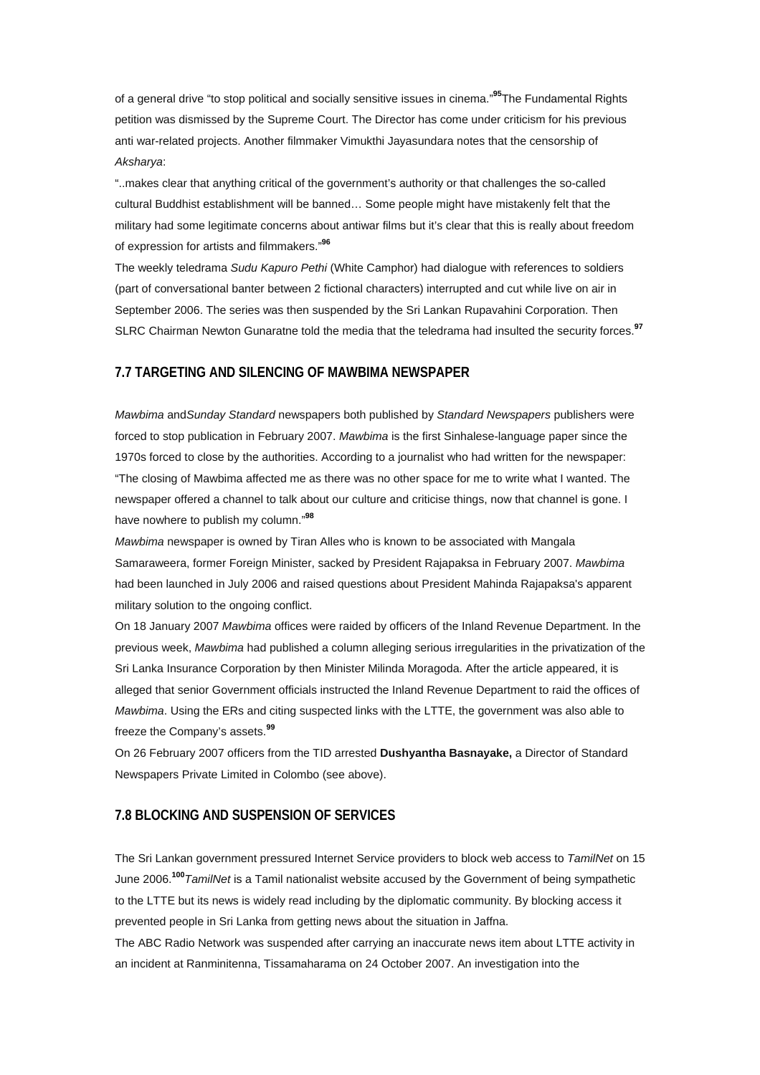of a general drive "to stop political and socially sensitive issues in cinema."**[95](http://www.amnesty.org/en/alfresco_asset/0d18ed0f-cb33-11dc-b181-d35374267ce9/asa370012008eng.html#sdfootnote95sym#sdfootnote95sym)**The Fundamental Rights petition was dismissed by the Supreme Court. The Director has come under criticism for his previous anti war-related projects. Another filmmaker Vimukthi Jayasundara notes that the censorship of *Aksharya*:

"..makes clear that anything critical of the government's authority or that challenges the so-called cultural Buddhist establishment will be banned… Some people might have mistakenly felt that the military had some legitimate concerns about antiwar films but it's clear that this is really about freedom of expression for artists and filmmakers."**[96](http://www.amnesty.org/en/alfresco_asset/0d18ed0f-cb33-11dc-b181-d35374267ce9/asa370012008eng.html#sdfootnote96sym#sdfootnote96sym)**

The weekly teledrama *Sudu Kapuro Pethi* (White Camphor) had dialogue with references to soldiers (part of conversational banter between 2 fictional characters) interrupted and cut while live on air in September 2006. The series was then suspended by the Sri Lankan Rupavahini Corporation. Then SLRC Chairman Newton Gunaratne told the media that the teledrama had insulted the security forces.**[97](http://www.amnesty.org/en/alfresco_asset/0d18ed0f-cb33-11dc-b181-d35374267ce9/asa370012008eng.html#sdfootnote97sym#sdfootnote97sym)**

### **7.7 TARGETING AND SILENCING OF MAWBIMA NEWSPAPER**

*Mawbima* and*Sunday Standard* newspapers both published by *Standard Newspapers* publishers were forced to stop publication in February 2007. *Mawbima* is the first Sinhalese-language paper since the 1970s forced to close by the authorities. According to a journalist who had written for the newspaper: "The closing of Mawbima affected me as there was no other space for me to write what I wanted. The newspaper offered a channel to talk about our culture and criticise things, now that channel is gone. I have nowhere to publish my column."**[98](http://www.amnesty.org/en/alfresco_asset/0d18ed0f-cb33-11dc-b181-d35374267ce9/asa370012008eng.html#sdfootnote98sym#sdfootnote98sym)**

*Mawbima* newspaper is owned by Tiran Alles who is known to be associated with Mangala Samaraweera, former Foreign Minister, sacked by President Rajapaksa in February 2007. *Mawbima* had been launched in July 2006 and raised questions about President Mahinda Rajapaksa's apparent military solution to the ongoing conflict.

On 18 January 2007 *Mawbima* offices were raided by officers of the Inland Revenue Department. In the previous week, *Mawbima* had published a column alleging serious irregularities in the privatization of the Sri Lanka Insurance Corporation by then Minister Milinda Moragoda. After the article appeared, it is alleged that senior Government officials instructed the Inland Revenue Department to raid the offices of *Mawbima*. Using the ERs and citing suspected links with the LTTE, the government was also able to freeze the Company's assets.**[99](http://www.amnesty.org/en/alfresco_asset/0d18ed0f-cb33-11dc-b181-d35374267ce9/asa370012008eng.html#sdfootnote99sym#sdfootnote99sym)**

On 26 February 2007 officers from the TID arrested **Dushyantha Basnayake,** a Director of Standard Newspapers Private Limited in Colombo (see above).

### **7.8 BLOCKING AND SUSPENSION OF SERVICES**

The Sri Lankan government pressured Internet Service providers to block web access to *TamilNet* on 15 June 2006.**[100](http://www.amnesty.org/en/alfresco_asset/0d18ed0f-cb33-11dc-b181-d35374267ce9/asa370012008eng.html#sdfootnote100sym#sdfootnote100sym)***TamilNet* is a Tamil nationalist website accused by the Government of being sympathetic to the LTTE but its news is widely read including by the diplomatic community. By blocking access it prevented people in Sri Lanka from getting news about the situation in Jaffna.

The ABC Radio Network was suspended after carrying an inaccurate news item about LTTE activity in an incident at Ranminitenna, Tissamaharama on 24 October 2007. An investigation into the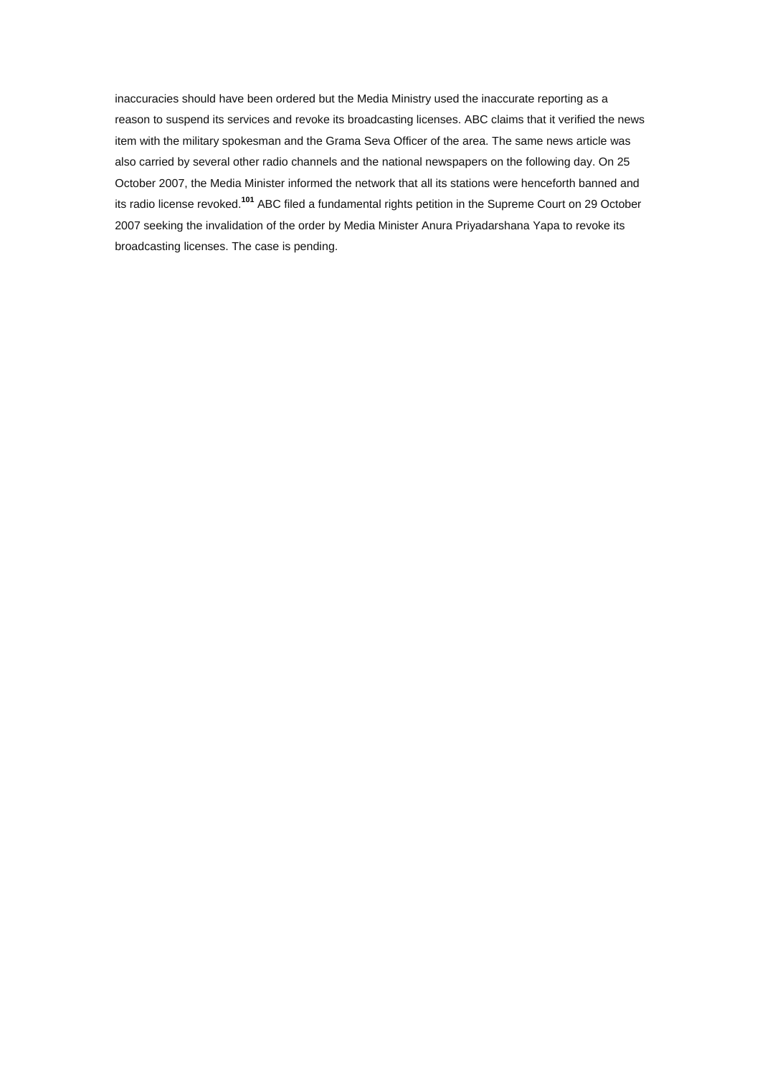inaccuracies should have been ordered but the Media Ministry used the inaccurate reporting as a reason to suspend its services and revoke its broadcasting licenses. ABC claims that it verified the news item with the military spokesman and the Grama Seva Officer of the area. The same news article was also carried by several other radio channels and the national newspapers on the following day. On 25 October 2007, the Media Minister informed the network that all its stations were henceforth banned and its radio license revoked.**[101](http://www.amnesty.org/en/alfresco_asset/0d18ed0f-cb33-11dc-b181-d35374267ce9/asa370012008eng.html#sdfootnote101sym#sdfootnote101sym)** ABC filed a fundamental rights petition in the Supreme Court on 29 October 2007 seeking the invalidation of the order by Media Minister Anura Priyadarshana Yapa to revoke its broadcasting licenses. The case is pending.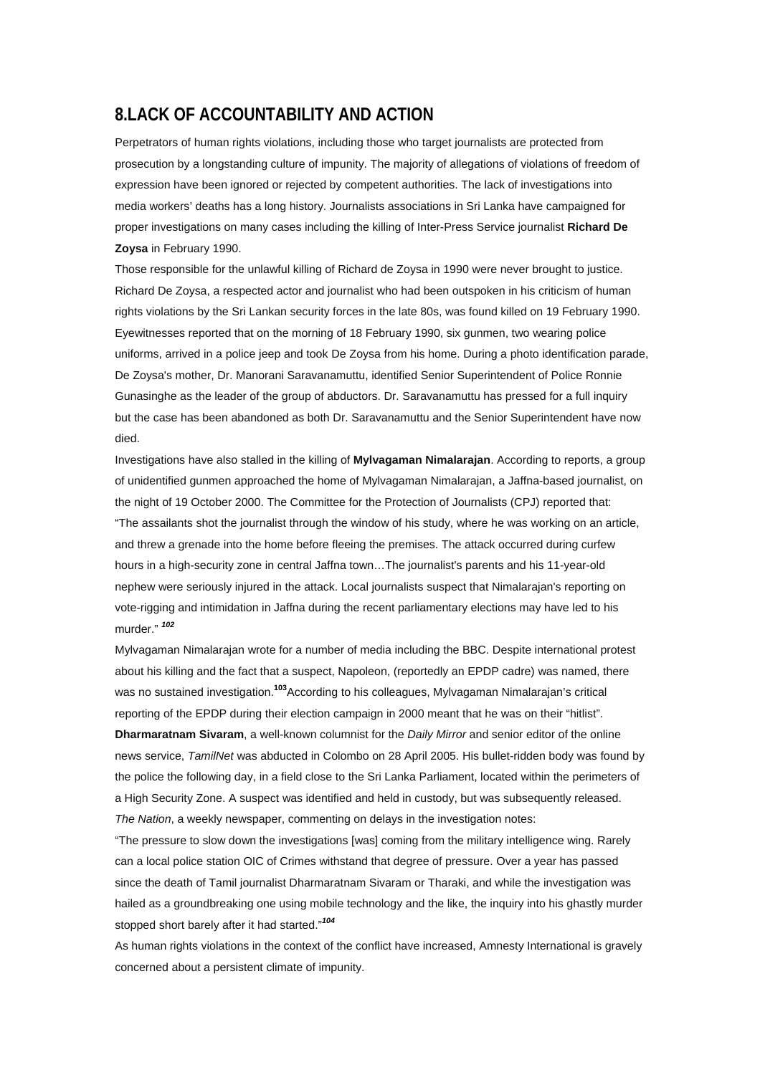# **8.LACK OF ACCOUNTABILITY AND ACTION**

Perpetrators of human rights violations, including those who target journalists are protected from prosecution by a longstanding culture of impunity. The majority of allegations of violations of freedom of expression have been ignored or rejected by competent authorities. The lack of investigations into media workers' deaths has a long history. Journalists associations in Sri Lanka have campaigned for proper investigations on many cases including the killing of Inter-Press Service journalist **Richard De Zoysa** in February 1990.

Those responsible for the unlawful killing of Richard de Zoysa in 1990 were never brought to justice. Richard De Zoysa, a respected actor and journalist who had been outspoken in his criticism of human rights violations by the Sri Lankan security forces in the late 80s, was found killed on 19 February 1990. Eyewitnesses reported that on the morning of 18 February 1990, six gunmen, two wearing police uniforms, arrived in a police jeep and took De Zoysa from his home. During a photo identification parade, De Zoysa's mother, Dr. Manorani Saravanamuttu, identified Senior Superintendent of Police Ronnie Gunasinghe as the leader of the group of abductors. Dr. Saravanamuttu has pressed for a full inquiry but the case has been abandoned as both Dr. Saravanamuttu and the Senior Superintendent have now died.

Investigations have also stalled in the killing of **Mylvagaman Nimalarajan**. According to reports, a group of unidentified gunmen approached the home of Mylvagaman Nimalarajan, a Jaffna-based journalist, on the night of 19 October 2000. The Committee for the Protection of Journalists (CPJ) reported that: "The assailants shot the journalist through the window of his study, where he was working on an article, and threw a grenade into the home before fleeing the premises. The attack occurred during curfew hours in a high-security zone in central Jaffna town…The journalist's parents and his 11-year-old nephew were seriously injured in the attack. Local journalists suspect that Nimalarajan's reporting on vote-rigging and intimidation in Jaffna during the recent parliamentary elections may have led to his murder." *[102](http://www.amnesty.org/en/alfresco_asset/0d18ed0f-cb33-11dc-b181-d35374267ce9/asa370012008eng.html#sdfootnote102sym#sdfootnote102sym)*

Mylvagaman Nimalarajan wrote for a number of media including the BBC. Despite international protest about his killing and the fact that a suspect, Napoleon, (reportedly an EPDP cadre) was named, there was no sustained investigation.**[103](http://www.amnesty.org/en/alfresco_asset/0d18ed0f-cb33-11dc-b181-d35374267ce9/asa370012008eng.html#sdfootnote103sym#sdfootnote103sym)**According to his colleagues, Mylvagaman Nimalarajan's critical reporting of the EPDP during their election campaign in 2000 meant that he was on their "hitlist". **Dharmaratnam Sivaram**, a well-known columnist for the *Daily Mirror* and senior editor of the online news service, *TamilNet* was abducted in Colombo on 28 April 2005. His bullet-ridden body was found by the police the following day, in a field close to the Sri Lanka Parliament, located within the perimeters of a High Security Zone. A suspect was identified and held in custody, but was subsequently released. *The Nation*, a weekly newspaper, commenting on delays in the investigation notes:

"The pressure to slow down the investigations [was] coming from the military intelligence wing. Rarely can a local police station OIC of Crimes withstand that degree of pressure. Over a year has passed since the death of Tamil journalist Dharmaratnam Sivaram or Tharaki, and while the investigation was hailed as a groundbreaking one using mobile technology and the like, the inquiry into his ghastly murder stopped short barely after it had started."*[104](http://www.amnesty.org/en/alfresco_asset/0d18ed0f-cb33-11dc-b181-d35374267ce9/asa370012008eng.html#sdfootnote104sym#sdfootnote104sym)*

As human rights violations in the context of the conflict have increased, Amnesty International is gravely concerned about a persistent climate of impunity.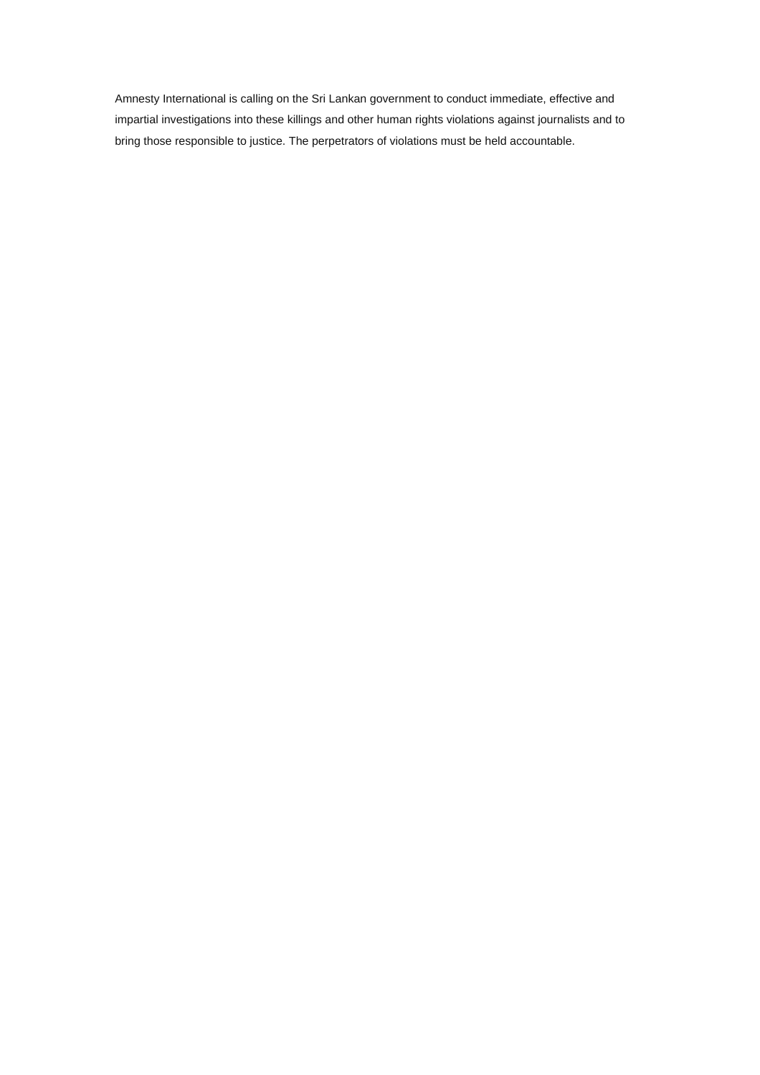Amnesty International is calling on the Sri Lankan government to conduct immediate, effective and impartial investigations into these killings and other human rights violations against journalists and to bring those responsible to justice. The perpetrators of violations must be held accountable.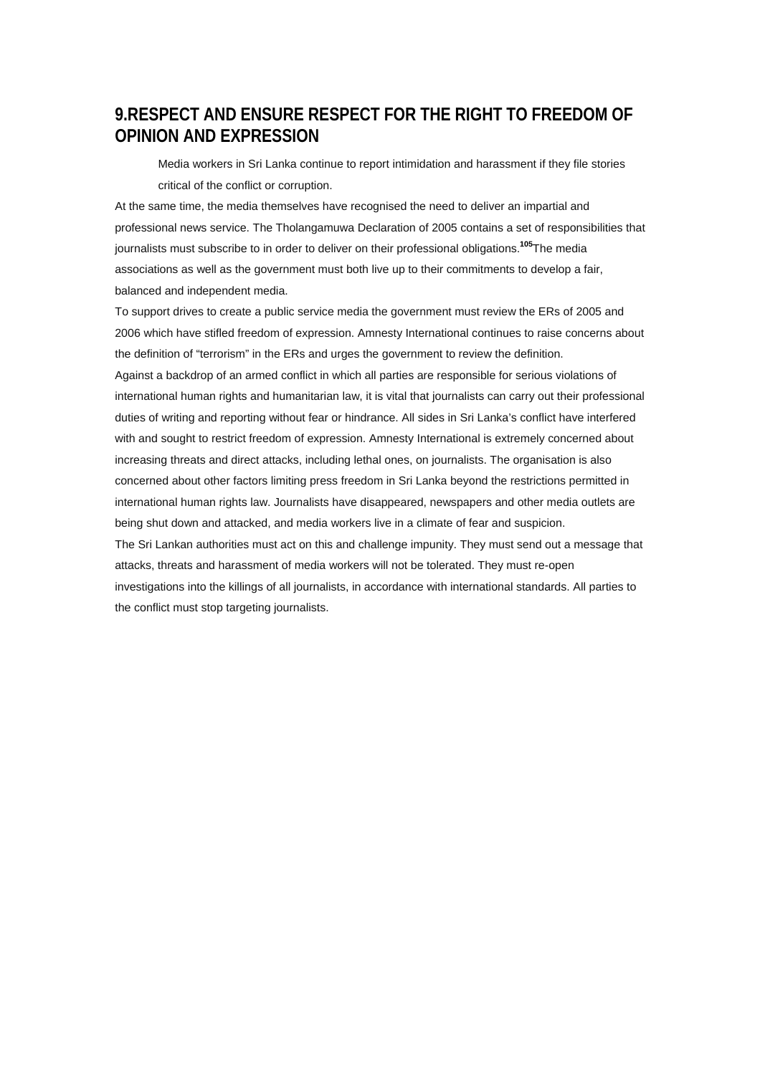# **9.RESPECT AND ENSURE RESPECT FOR THE RIGHT TO FREEDOM OF OPINION AND EXPRESSION**

Media workers in Sri Lanka continue to report intimidation and harassment if they file stories critical of the conflict or corruption.

At the same time, the media themselves have recognised the need to deliver an impartial and professional news service. The Tholangamuwa Declaration of 2005 contains a set of responsibilities that journalists must subscribe to in order to deliver on their professional obligations.**[105](http://www.amnesty.org/en/alfresco_asset/0d18ed0f-cb33-11dc-b181-d35374267ce9/asa370012008eng.html#sdfootnote105sym#sdfootnote105sym)**The media associations as well as the government must both live up to their commitments to develop a fair, balanced and independent media.

To support drives to create a public service media the government must review the ERs of 2005 and 2006 which have stifled freedom of expression. Amnesty International continues to raise concerns about the definition of "terrorism" in the ERs and urges the government to review the definition.

Against a backdrop of an armed conflict in which all parties are responsible for serious violations of international human rights and humanitarian law, it is vital that journalists can carry out their professional duties of writing and reporting without fear or hindrance. All sides in Sri Lanka's conflict have interfered with and sought to restrict freedom of expression. Amnesty International is extremely concerned about increasing threats and direct attacks, including lethal ones, on journalists. The organisation is also concerned about other factors limiting press freedom in Sri Lanka beyond the restrictions permitted in international human rights law. Journalists have disappeared, newspapers and other media outlets are being shut down and attacked, and media workers live in a climate of fear and suspicion.

The Sri Lankan authorities must act on this and challenge impunity. They must send out a message that attacks, threats and harassment of media workers will not be tolerated. They must re-open investigations into the killings of all journalists, in accordance with international standards. All parties to the conflict must stop targeting journalists.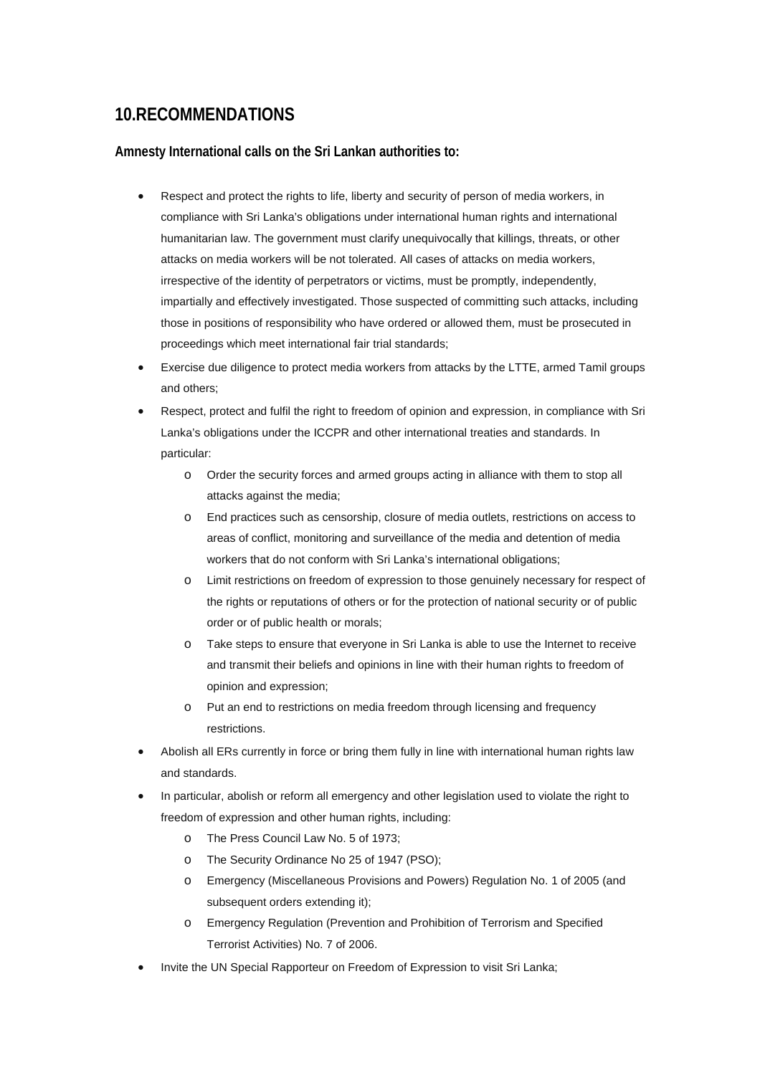# **10.RECOMMENDATIONS**

## **Amnesty International calls on the Sri Lankan authorities to:**

- Respect and protect the rights to life, liberty and security of person of media workers, in compliance with Sri Lanka's obligations under international human rights and international humanitarian law. The government must clarify unequivocally that killings, threats, or other attacks on media workers will be not tolerated. All cases of attacks on media workers, irrespective of the identity of perpetrators or victims, must be promptly, independently, impartially and effectively investigated. Those suspected of committing such attacks, including those in positions of responsibility who have ordered or allowed them, must be prosecuted in proceedings which meet international fair trial standards;
- Exercise due diligence to protect media workers from attacks by the LTTE, armed Tamil groups and others;
- Respect, protect and fulfil the right to freedom of opinion and expression, in compliance with Sri Lanka's obligations under the ICCPR and other international treaties and standards. In particular:
	- o Order the security forces and armed groups acting in alliance with them to stop all attacks against the media;
	- o End practices such as censorship, closure of media outlets, restrictions on access to areas of conflict, monitoring and surveillance of the media and detention of media workers that do not conform with Sri Lanka's international obligations;
	- o Limit restrictions on freedom of expression to those genuinely necessary for respect of the rights or reputations of others or for the protection of national security or of public order or of public health or morals;
	- o Take steps to ensure that everyone in Sri Lanka is able to use the Internet to receive and transmit their beliefs and opinions in line with their human rights to freedom of opinion and expression;
	- o Put an end to restrictions on media freedom through licensing and frequency restrictions.
- Abolish all ERs currently in force or bring them fully in line with international human rights law and standards.
- In particular, abolish or reform all emergency and other legislation used to violate the right to freedom of expression and other human rights, including:
	- o The Press Council Law No. 5 of 1973;
	- o The Security Ordinance No 25 of 1947 (PSO);
	- o Emergency (Miscellaneous Provisions and Powers) Regulation No. 1 of 2005 (and subsequent orders extending it);
	- o Emergency Regulation (Prevention and Prohibition of Terrorism and Specified Terrorist Activities) No. 7 of 2006.
- Invite the UN Special Rapporteur on Freedom of Expression to visit Sri Lanka;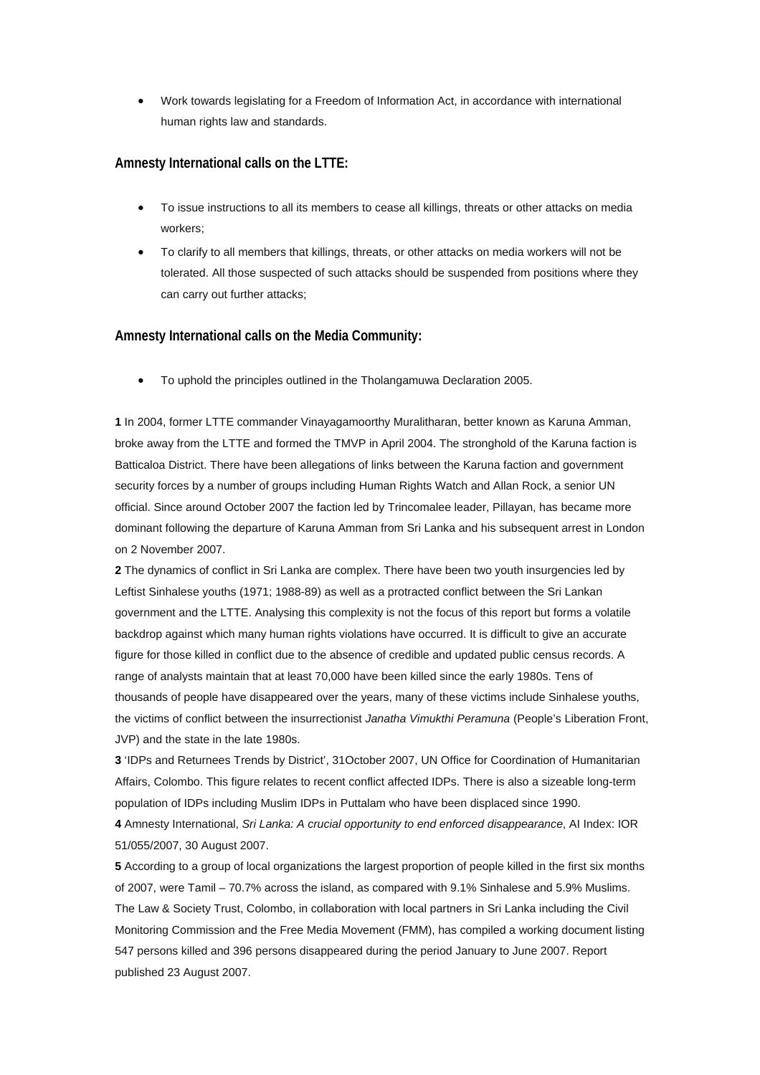• Work towards legislating for a Freedom of Information Act, in accordance with international human rights law and standards.

### **Amnesty International calls on the LTTE:**

- To issue instructions to all its members to cease all killings, threats or other attacks on media workers;
- To clarify to all members that killings, threats, or other attacks on media workers will not be tolerated. All those suspected of such attacks should be suspended from positions where they can carry out further attacks;

#### **Amnesty International calls on the Media Community:**

• To uphold the principles outlined in the Tholangamuwa Declaration 2005.

**[1](http://www.amnesty.org/en/alfresco_asset/0d18ed0f-cb33-11dc-b181-d35374267ce9/asa370012008eng.html#sdfootnote1anc#sdfootnote1anc)** In 2004, former LTTE commander Vinayagamoorthy Muralitharan, better known as Karuna Amman, broke away from the LTTE and formed the TMVP in April 2004. The stronghold of the Karuna faction is Batticaloa District. There have been allegations of links between the Karuna faction and government security forces by a number of groups including Human Rights Watch and Allan Rock, a senior UN official. Since around October 2007 the faction led by Trincomalee leader, Pillayan, has became more dominant following the departure of Karuna Amman from Sri Lanka and his subsequent arrest in London on 2 November 2007.

**[2](http://www.amnesty.org/en/alfresco_asset/0d18ed0f-cb33-11dc-b181-d35374267ce9/asa370012008eng.html#sdfootnote2anc#sdfootnote2anc)** The dynamics of conflict in Sri Lanka are complex. There have been two youth insurgencies led by Leftist Sinhalese youths (1971; 1988-89) as well as a protracted conflict between the Sri Lankan government and the LTTE. Analysing this complexity is not the focus of this report but forms a volatile backdrop against which many human rights violations have occurred. It is difficult to give an accurate figure for those killed in conflict due to the absence of credible and updated public census records. A range of analysts maintain that at least 70,000 have been killed since the early 1980s. Tens of thousands of people have disappeared over the years, many of these victims include Sinhalese youths, the victims of conflict between the insurrectionist *Janatha Vimukthi Peramuna* (People's Liberation Front, JVP) and the state in the late 1980s.

**[3](http://www.amnesty.org/en/alfresco_asset/0d18ed0f-cb33-11dc-b181-d35374267ce9/asa370012008eng.html#sdfootnote3anc#sdfootnote3anc)** 'IDPs and Returnees Trends by District', 31October 2007, UN Office for Coordination of Humanitarian Affairs, Colombo. This figure relates to recent conflict affected IDPs. There is also a sizeable long-term population of IDPs including Muslim IDPs in Puttalam who have been displaced since 1990.

**[4](http://www.amnesty.org/en/alfresco_asset/0d18ed0f-cb33-11dc-b181-d35374267ce9/asa370012008eng.html#sdfootnote4anc#sdfootnote4anc)** Amnesty International, *Sri Lanka: A crucial opportunity to end enforced disappearance*, AI Index: IOR 51/055/2007, 30 August 2007.

**[5](http://www.amnesty.org/en/alfresco_asset/0d18ed0f-cb33-11dc-b181-d35374267ce9/asa370012008eng.html#sdfootnote5anc#sdfootnote5anc)** According to a group of local organizations the largest proportion of people killed in the first six months of 2007, were Tamil – 70.7% across the island, as compared with 9.1% Sinhalese and 5.9% Muslims. The Law & Society Trust, Colombo, in collaboration with local partners in Sri Lanka including the Civil Monitoring Commission and the Free Media Movement (FMM), has compiled a working document listing 547 persons killed and 396 persons disappeared during the period January to June 2007. Report published 23 August 2007.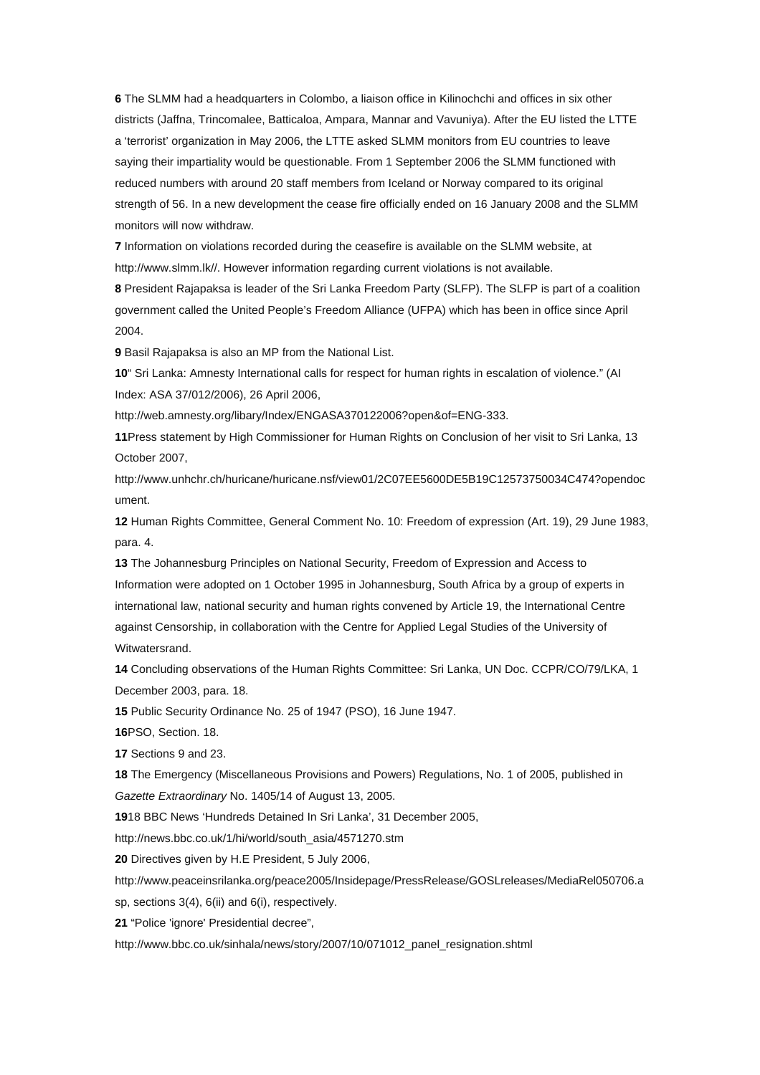**[6](http://www.amnesty.org/en/alfresco_asset/0d18ed0f-cb33-11dc-b181-d35374267ce9/asa370012008eng.html#sdfootnote6anc#sdfootnote6anc)** The SLMM had a headquarters in Colombo, a liaison office in Kilinochchi and offices in six other districts (Jaffna, Trincomalee, Batticaloa, Ampara, Mannar and Vavuniya). After the EU listed the LTTE a 'terrorist' organization in May 2006, the LTTE asked SLMM monitors from EU countries to leave saying their impartiality would be questionable. From 1 September 2006 the SLMM functioned with reduced numbers with around 20 staff members from Iceland or Norway compared to its original strength of 56. In a new development the cease fire officially ended on 16 January 2008 and the SLMM monitors will now withdraw.

**[7](http://www.amnesty.org/en/alfresco_asset/0d18ed0f-cb33-11dc-b181-d35374267ce9/asa370012008eng.html#sdfootnote7anc#sdfootnote7anc)** Information on violations recorded during the ceasefire is available on the SLMM website, at http://www.slmm.lk//. However information regarding current violations is not available.

**[8](http://www.amnesty.org/en/alfresco_asset/0d18ed0f-cb33-11dc-b181-d35374267ce9/asa370012008eng.html#sdfootnote8anc#sdfootnote8anc)** President Rajapaksa is leader of the Sri Lanka Freedom Party (SLFP). The SLFP is part of a coalition government called the United People's Freedom Alliance (UFPA) which has been in office since April 2004.

**[9](http://www.amnesty.org/en/alfresco_asset/0d18ed0f-cb33-11dc-b181-d35374267ce9/asa370012008eng.html#sdfootnote9anc#sdfootnote9anc)** Basil Rajapaksa is also an MP from the National List.

**[10](http://www.amnesty.org/en/alfresco_asset/0d18ed0f-cb33-11dc-b181-d35374267ce9/asa370012008eng.html#sdfootnote10anc#sdfootnote10anc)**" Sri Lanka: Amnesty International calls for respect for human rights in escalation of violence." (AI Index: ASA 37/012/2006), 26 April 2006,

http://web.amnesty.org/libary/Index/ENGASA370122006?open&of=ENG-333.

**[11](http://www.amnesty.org/en/alfresco_asset/0d18ed0f-cb33-11dc-b181-d35374267ce9/asa370012008eng.html#sdfootnote11anc#sdfootnote11anc)**Press statement by High Commissioner for Human Rights on Conclusion of her visit to Sri Lanka, 13 October 2007,

http://www.unhchr.ch/huricane/huricane.nsf/view01/2C07EE5600DE5B19C12573750034C474?opendoc ument.

**[12](http://www.amnesty.org/en/alfresco_asset/0d18ed0f-cb33-11dc-b181-d35374267ce9/asa370012008eng.html#sdfootnote12anc#sdfootnote12anc)** Human Rights Committee, General Comment No. 10: Freedom of expression (Art. 19), 29 June 1983, para. 4.

**[13](http://www.amnesty.org/en/alfresco_asset/0d18ed0f-cb33-11dc-b181-d35374267ce9/asa370012008eng.html#sdfootnote13anc#sdfootnote13anc)** The Johannesburg Principles on National Security, Freedom of Expression and Access to Information were adopted on 1 October 1995 in Johannesburg, South Africa by a group of experts in international law, national security and human rights convened by Article 19, the International Centre against Censorship, in collaboration with the Centre for Applied Legal Studies of the University of Witwatersrand.

**[14](http://www.amnesty.org/en/alfresco_asset/0d18ed0f-cb33-11dc-b181-d35374267ce9/asa370012008eng.html#sdfootnote14anc#sdfootnote14anc)** Concluding observations of the Human Rights Committee: Sri Lanka, UN Doc. CCPR/CO/79/LKA, 1 December 2003, para. 18.

**[15](http://www.amnesty.org/en/alfresco_asset/0d18ed0f-cb33-11dc-b181-d35374267ce9/asa370012008eng.html#sdfootnote15anc#sdfootnote15anc)** Public Security Ordinance No. 25 of 1947 (PSO), 16 June 1947.

**[16](http://www.amnesty.org/en/alfresco_asset/0d18ed0f-cb33-11dc-b181-d35374267ce9/asa370012008eng.html#sdfootnote16anc#sdfootnote16anc)**PSO, Section. 18.

**[17](http://www.amnesty.org/en/alfresco_asset/0d18ed0f-cb33-11dc-b181-d35374267ce9/asa370012008eng.html#sdfootnote17anc#sdfootnote17anc)** Sections 9 and 23.

**[18](http://www.amnesty.org/en/alfresco_asset/0d18ed0f-cb33-11dc-b181-d35374267ce9/asa370012008eng.html#sdfootnote18anc#sdfootnote18anc)** The Emergency (Miscellaneous Provisions and Powers) Regulations, No. 1 of 2005, published in *Gazette Extraordinary* No. 1405/14 of August 13, 2005.

**[19](http://www.amnesty.org/en/alfresco_asset/0d18ed0f-cb33-11dc-b181-d35374267ce9/asa370012008eng.html#sdfootnote19anc#sdfootnote19anc)**18 BBC News 'Hundreds Detained In Sri Lanka', 31 December 2005,

http://news.bbc.co.uk/1/hi/world/south\_asia/4571270.stm

**[20](http://www.amnesty.org/en/alfresco_asset/0d18ed0f-cb33-11dc-b181-d35374267ce9/asa370012008eng.html#sdfootnote20anc#sdfootnote20anc)** Directives given by H.E President, 5 July 2006,

http://www.peaceinsrilanka.org/peace2005/Insidepage/PressRelease/GOSLreleases/MediaRel050706.a

sp, sections 3(4), 6(ii) and 6(i), respectively.

**[21](http://www.amnesty.org/en/alfresco_asset/0d18ed0f-cb33-11dc-b181-d35374267ce9/asa370012008eng.html#sdfootnote21anc#sdfootnote21anc)** "Police 'ignore' Presidential decree",

http://www.bbc.co.uk/sinhala/news/story/2007/10/071012\_panel\_resignation.shtml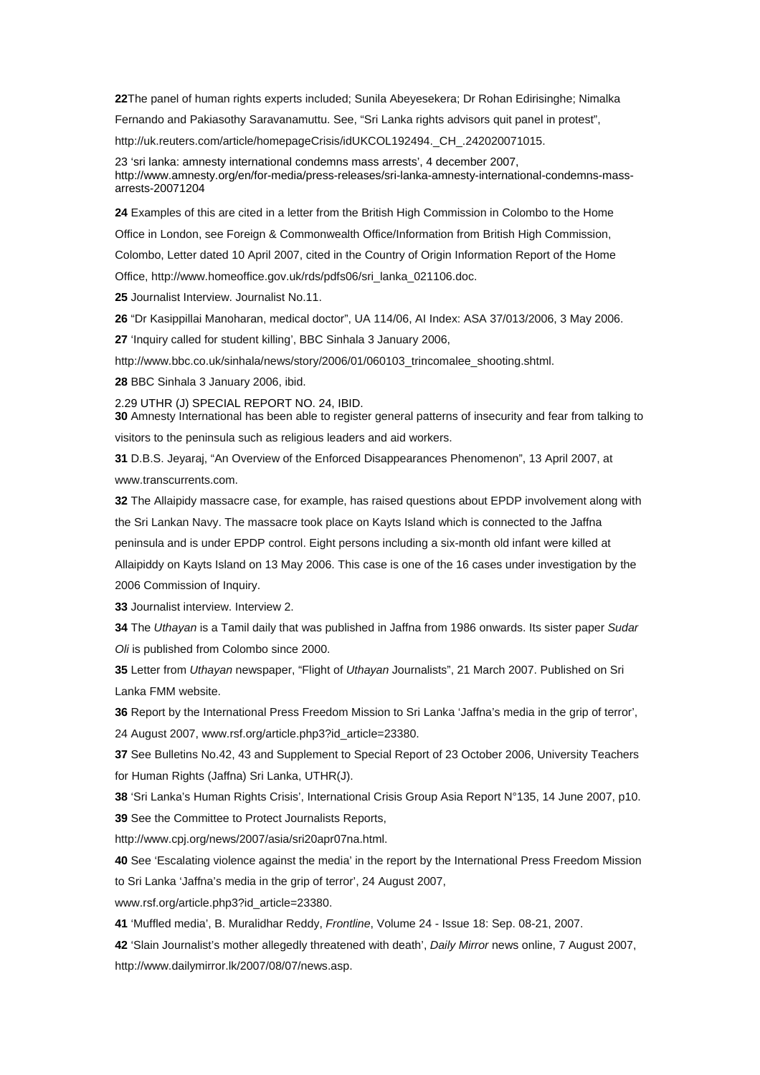**[22](http://www.amnesty.org/en/alfresco_asset/0d18ed0f-cb33-11dc-b181-d35374267ce9/asa370012008eng.html#sdfootnote22anc#sdfootnote22anc)**The panel of human rights experts included; Sunila Abeyesekera; Dr Rohan Edirisinghe; Nimalka

Fernando and Pakiasothy Saravanamuttu. See, "Sri Lanka rights advisors quit panel in protest",

http://uk.reuters.com/article/homepageCrisis/idUKCOL192494. CH. 242020071015.

[23](http://www.amnesty.org/en/alfresco_asset/0d18ed0f-cb33-11dc-b181-d35374267ce9/asa370012008eng.html#sdfootnote23anc#sdfootnote23anc) 'sri lanka: amnesty international condemns mass arrests', 4 december 2007, http://www.amnesty.org/en/for-media/press-releases/sri-lanka-amnesty-international-condemns-massarrests-20071204

**[24](http://www.amnesty.org/en/alfresco_asset/0d18ed0f-cb33-11dc-b181-d35374267ce9/asa370012008eng.html#sdfootnote24anc#sdfootnote24anc)** Examples of this are cited in a letter from the British High Commission in Colombo to the Home

Office in London, see Foreign & Commonwealth Office/Information from British High Commission,

Colombo, Letter dated 10 April 2007, cited in the Country of Origin Information Report of the Home

Office, http://www.homeoffice.gov.uk/rds/pdfs06/sri\_lanka\_021106.doc.

**[25](http://www.amnesty.org/en/alfresco_asset/0d18ed0f-cb33-11dc-b181-d35374267ce9/asa370012008eng.html#sdfootnote25anc#sdfootnote25anc)** Journalist Interview. Journalist No.11.

**[26](http://www.amnesty.org/en/alfresco_asset/0d18ed0f-cb33-11dc-b181-d35374267ce9/asa370012008eng.html#sdfootnote26anc#sdfootnote26anc)** "Dr Kasippillai Manoharan, medical doctor", UA 114/06, AI Index: ASA 37/013/2006, 3 May 2006.

**[27](http://www.amnesty.org/en/alfresco_asset/0d18ed0f-cb33-11dc-b181-d35374267ce9/asa370012008eng.html#sdfootnote27anc#sdfootnote27anc)** 'Inquiry called for student killing', BBC Sinhala 3 January 2006,

http://www.bbc.co.uk/sinhala/news/story/2006/01/060103\_trincomalee\_shooting.shtml.

**[28](http://www.amnesty.org/en/alfresco_asset/0d18ed0f-cb33-11dc-b181-d35374267ce9/asa370012008eng.html#sdfootnote28anc#sdfootnote28anc)** BBC Sinhala 3 January 2006, ibid.

2.[29](http://www.amnesty.org/en/alfresco_asset/0d18ed0f-cb33-11dc-b181-d35374267ce9/asa370012008eng.html#sdfootnote29anc#sdfootnote29anc) UTHR (J) SPECIAL REPORT NO. 24, IBID.

**[30](http://www.amnesty.org/en/alfresco_asset/0d18ed0f-cb33-11dc-b181-d35374267ce9/asa370012008eng.html#sdfootnote30anc#sdfootnote30anc)** Amnesty International has been able to register general patterns of insecurity and fear from talking to visitors to the peninsula such as religious leaders and aid workers.

**[31](http://www.amnesty.org/en/alfresco_asset/0d18ed0f-cb33-11dc-b181-d35374267ce9/asa370012008eng.html#sdfootnote31anc#sdfootnote31anc)** D.B.S. Jeyaraj, "An Overview of the Enforced Disappearances Phenomenon", 13 April 2007, at www.transcurrents.com.

**[32](http://www.amnesty.org/en/alfresco_asset/0d18ed0f-cb33-11dc-b181-d35374267ce9/asa370012008eng.html#sdfootnote32anc#sdfootnote32anc)** The Allaipidy massacre case, for example, has raised questions about EPDP involvement along with the Sri Lankan Navy. The massacre took place on Kayts Island which is connected to the Jaffna peninsula and is under EPDP control. Eight persons including a six-month old infant were killed at Allaipiddy on Kayts Island on 13 May 2006. This case is one of the 16 cases under investigation by the 2006 Commission of Inquiry.

**[33](http://www.amnesty.org/en/alfresco_asset/0d18ed0f-cb33-11dc-b181-d35374267ce9/asa370012008eng.html#sdfootnote33anc#sdfootnote33anc)** Journalist interview. Interview 2.

**[34](http://www.amnesty.org/en/alfresco_asset/0d18ed0f-cb33-11dc-b181-d35374267ce9/asa370012008eng.html#sdfootnote34anc#sdfootnote34anc)** The *Uthayan* is a Tamil daily that was published in Jaffna from 1986 onwards. Its sister paper *Sudar Oli* is published from Colombo since 2000.

**[35](http://www.amnesty.org/en/alfresco_asset/0d18ed0f-cb33-11dc-b181-d35374267ce9/asa370012008eng.html#sdfootnote35anc#sdfootnote35anc)** Letter from *Uthayan* newspaper, "Flight of *Uthayan* Journalists", 21 March 2007. Published on Sri Lanka FMM website.

**[36](http://www.amnesty.org/en/alfresco_asset/0d18ed0f-cb33-11dc-b181-d35374267ce9/asa370012008eng.html#sdfootnote36anc#sdfootnote36anc)** Report by the International Press Freedom Mission to Sri Lanka 'Jaffna's media in the grip of terror', 24 August 2007, www.rsf.org/article.php3?id\_article=23380.

**[37](http://www.amnesty.org/en/alfresco_asset/0d18ed0f-cb33-11dc-b181-d35374267ce9/asa370012008eng.html#sdfootnote37anc#sdfootnote37anc)** See Bulletins No.42, 43 and Supplement to Special Report of 23 October 2006, University Teachers for Human Rights (Jaffna) Sri Lanka, UTHR(J).

**[38](http://www.amnesty.org/en/alfresco_asset/0d18ed0f-cb33-11dc-b181-d35374267ce9/asa370012008eng.html#sdfootnote38anc#sdfootnote38anc)** 'Sri Lanka's Human Rights Crisis', International Crisis Group Asia Report N°135, 14 June 2007, p10. **[39](http://www.amnesty.org/en/alfresco_asset/0d18ed0f-cb33-11dc-b181-d35374267ce9/asa370012008eng.html#sdfootnote39anc#sdfootnote39anc)** See the Committee to Protect Journalists Reports,

http://www.cpj.org/news/2007/asia/sri20apr07na.html.

**[40](http://www.amnesty.org/en/alfresco_asset/0d18ed0f-cb33-11dc-b181-d35374267ce9/asa370012008eng.html#sdfootnote40anc#sdfootnote40anc)** See 'Escalating violence against the media' in the report by the International Press Freedom Mission to Sri Lanka 'Jaffna's media in the grip of terror', 24 August 2007,

www.rsf.org/article.php3?id\_article=23380.

**[41](http://www.amnesty.org/en/alfresco_asset/0d18ed0f-cb33-11dc-b181-d35374267ce9/asa370012008eng.html#sdfootnote41anc#sdfootnote41anc)** 'Muffled media', B. Muralidhar Reddy, *Frontline*, Volume 24 - Issue 18: Sep. 08-21, 2007.

**[42](http://www.amnesty.org/en/alfresco_asset/0d18ed0f-cb33-11dc-b181-d35374267ce9/asa370012008eng.html#sdfootnote42anc#sdfootnote42anc)** 'Slain Journalist's mother allegedly threatened with death', *Daily Mirror* news online, 7 August 2007, http://www.dailymirror.lk/2007/08/07/news.asp.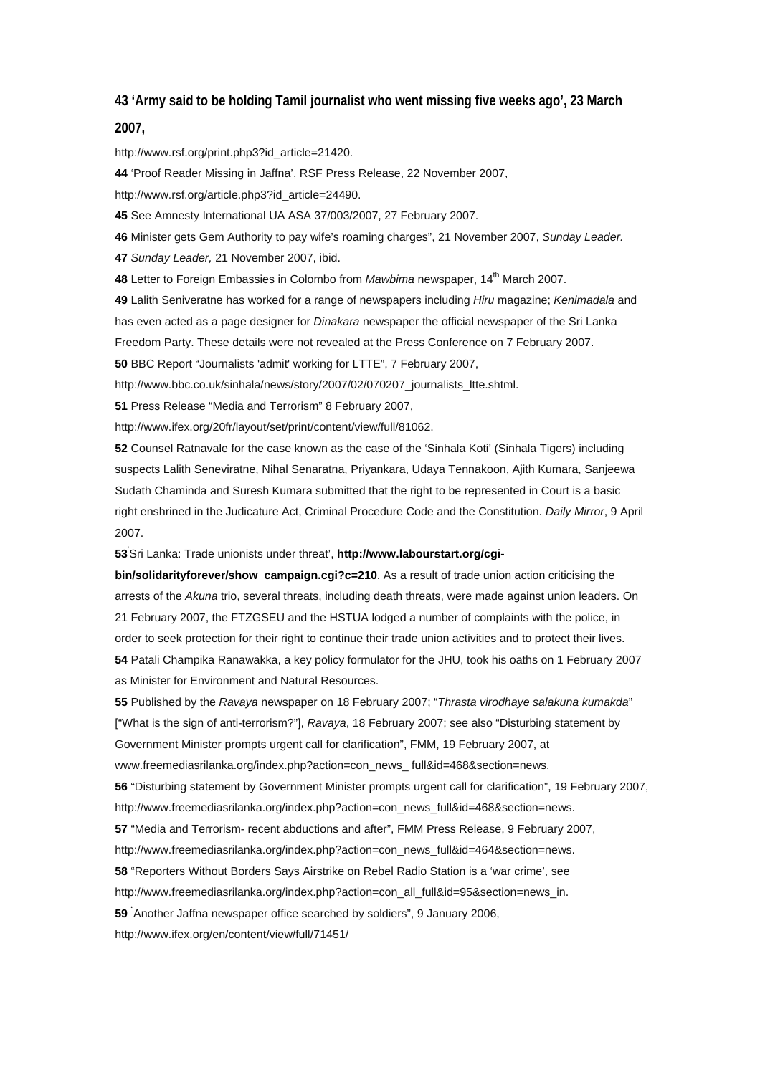# **[43](http://www.amnesty.org/en/alfresco_asset/0d18ed0f-cb33-11dc-b181-d35374267ce9/asa370012008eng.html#sdfootnote43anc#sdfootnote43anc) 'Army said to be holding Tamil journalist who went missing five weeks ago', 23 March**

#### **2007,**

http://www.rsf.org/print.php3?id\_article=21420.

**[44](http://www.amnesty.org/en/alfresco_asset/0d18ed0f-cb33-11dc-b181-d35374267ce9/asa370012008eng.html#sdfootnote44anc#sdfootnote44anc)** 'Proof Reader Missing in Jaffna', RSF Press Release, 22 November 2007,

http://www.rsf.org/article.php3?id\_article=24490.

**[45](http://www.amnesty.org/en/alfresco_asset/0d18ed0f-cb33-11dc-b181-d35374267ce9/asa370012008eng.html#sdfootnote45anc#sdfootnote45anc)** See Amnesty International UA ASA 37/003/2007, 27 February 2007.

**[46](http://www.amnesty.org/en/alfresco_asset/0d18ed0f-cb33-11dc-b181-d35374267ce9/asa370012008eng.html#sdfootnote46anc#sdfootnote46anc)** Minister gets Gem Authority to pay wife's roaming charges", 21 November 2007, *Sunday Leader.*

**[47](http://www.amnesty.org/en/alfresco_asset/0d18ed0f-cb33-11dc-b181-d35374267ce9/asa370012008eng.html#sdfootnote47anc#sdfootnote47anc)** *Sunday Leader,* 21 November 2007, ibid.

**[48](http://www.amnesty.org/en/alfresco_asset/0d18ed0f-cb33-11dc-b181-d35374267ce9/asa370012008eng.html#sdfootnote48anc#sdfootnote48anc)** Letter to Foreign Embassies in Colombo from *Mawbima* newspaper, 14<sup>th</sup> March 2007.

**[49](http://www.amnesty.org/en/alfresco_asset/0d18ed0f-cb33-11dc-b181-d35374267ce9/asa370012008eng.html#sdfootnote49anc#sdfootnote49anc)** Lalith Seniveratne has worked for a range of newspapers including *Hiru* magazine; *Kenimadala* and has even acted as a page designer for *Dinakara* newspaper the official newspaper of the Sri Lanka Freedom Party. These details were not revealed at the Press Conference on 7 February 2007.

**[50](http://www.amnesty.org/en/alfresco_asset/0d18ed0f-cb33-11dc-b181-d35374267ce9/asa370012008eng.html#sdfootnote50anc#sdfootnote50anc)** BBC Report "Journalists 'admit' working for LTTE", 7 February 2007,

http://www.bbc.co.uk/sinhala/news/story/2007/02/070207\_journalists\_ltte.shtml.

**[51](http://www.amnesty.org/en/alfresco_asset/0d18ed0f-cb33-11dc-b181-d35374267ce9/asa370012008eng.html#sdfootnote51anc#sdfootnote51anc)** Press Release "Media and Terrorism" 8 February 2007,

http://www.ifex.org/20fr/layout/set/print/content/view/full/81062.

**[52](http://www.amnesty.org/en/alfresco_asset/0d18ed0f-cb33-11dc-b181-d35374267ce9/asa370012008eng.html#sdfootnote52anc#sdfootnote52anc)** Counsel Ratnavale for the case known as the case of the 'Sinhala Koti' (Sinhala Tigers) including suspects Lalith Seneviratne, Nihal Senaratna, Priyankara, Udaya Tennakoon, Ajith Kumara, Sanjeewa Sudath Chaminda and Suresh Kumara submitted that the right to be represented in Court is a basic right enshrined in the Judicature Act, Criminal Procedure Code and the Constitution. *Daily Mirror*, 9 April 2007.

**[53](http://www.amnesty.org/en/alfresco_asset/0d18ed0f-cb33-11dc-b181-d35374267ce9/asa370012008eng.html#sdfootnote53anc#sdfootnote53anc)**' Sri Lanka: Trade unionists under threat', **[http://www.labourstart.org/cgi-](http://www.labourstart.org/cgi-bin/solidarityforever/show_campaign.cgi?c=210)**

**[bin/solidarityforever/show\\_campaign.cgi?c=210](http://www.labourstart.org/cgi-bin/solidarityforever/show_campaign.cgi?c=210)**. As a result of trade union action criticising the arrests of the *Akuna* trio, several threats, including death threats, were made against union leaders. On 21 February 2007, the FTZGSEU and the HSTUA lodged a number of complaints with the police, in order to seek protection for their right to continue their trade union activities and to protect their lives. **[54](http://www.amnesty.org/en/alfresco_asset/0d18ed0f-cb33-11dc-b181-d35374267ce9/asa370012008eng.html#sdfootnote54anc#sdfootnote54anc)** Patali Champika Ranawakka, a key policy formulator for the JHU, took his oaths on 1 February 2007 as Minister for Environment and Natural Resources.

**[55](http://www.amnesty.org/en/alfresco_asset/0d18ed0f-cb33-11dc-b181-d35374267ce9/asa370012008eng.html#sdfootnote55anc#sdfootnote55anc)** Published by the *Ravaya* newspaper on 18 February 2007; "*Thrasta virodhaye salakuna kumakda*" ["What is the sign of anti-terrorism?"], *Ravaya*, 18 February 2007; see also "Disturbing statement by Government Minister prompts urgent call for clarification", FMM, 19 February 2007, at www.freemediasrilanka.org/index.php?action=con\_news\_full&id=468&section=news.

**[56](http://www.amnesty.org/en/alfresco_asset/0d18ed0f-cb33-11dc-b181-d35374267ce9/asa370012008eng.html#sdfootnote56anc#sdfootnote56anc)** "Disturbing statement by Government Minister prompts urgent call for clarification", 19 February 2007, http://www.freemediasrilanka.org/index.php?action=con\_news\_full&id=468&section=news.

**[57](http://www.amnesty.org/en/alfresco_asset/0d18ed0f-cb33-11dc-b181-d35374267ce9/asa370012008eng.html#sdfootnote57anc#sdfootnote57anc)** "Media and Terrorism- recent abductions and after", FMM Press Release, 9 February 2007,

http://www.freemediasrilanka.org/index.php?action=con\_news\_full&id=464&section=news.

**[58](http://www.amnesty.org/en/alfresco_asset/0d18ed0f-cb33-11dc-b181-d35374267ce9/asa370012008eng.html#sdfootnote58anc#sdfootnote58anc)** "Reporters Without Borders Says Airstrike on Rebel Radio Station is a 'war crime', see

http://www.freemediasrilanka.org/index.php?action=con\_all\_full&id=95&section=news\_in.

**[59](http://www.amnesty.org/en/alfresco_asset/0d18ed0f-cb33-11dc-b181-d35374267ce9/asa370012008eng.html#sdfootnote59anc#sdfootnote59anc)** " Another Jaffna newspaper office searched by soldiers", 9 January 2006,

http://www.ifex.org/en/content/view/full/71451/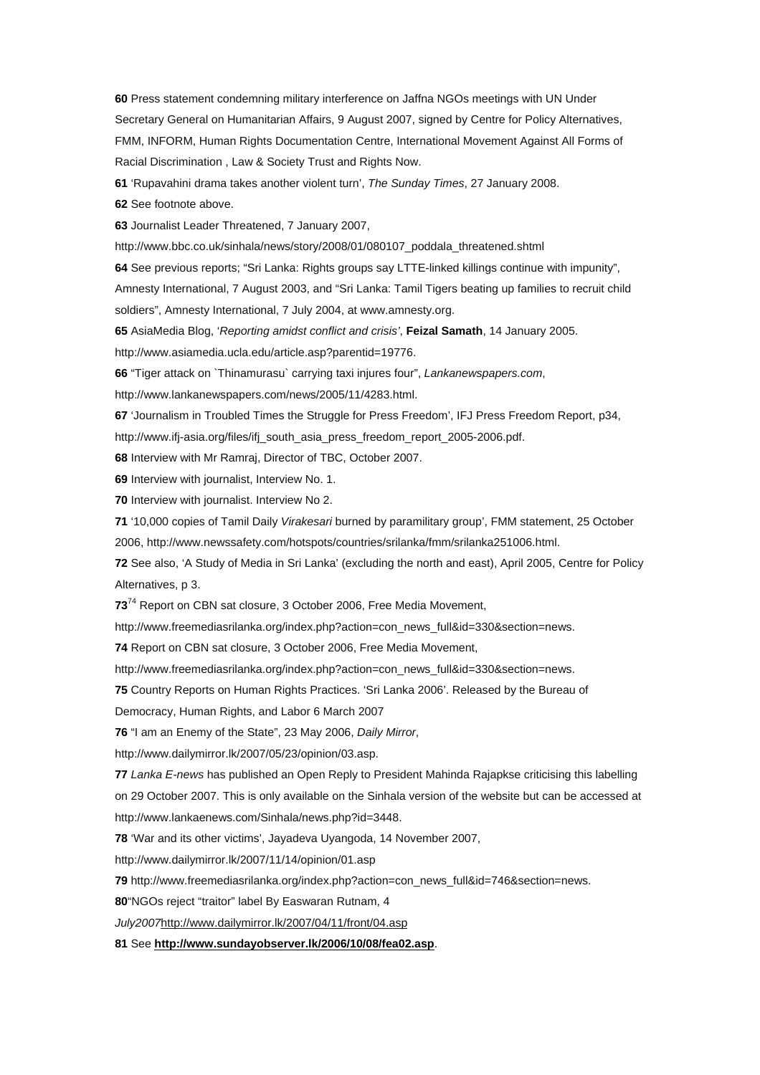**[60](http://www.amnesty.org/en/alfresco_asset/0d18ed0f-cb33-11dc-b181-d35374267ce9/asa370012008eng.html#sdfootnote60anc#sdfootnote60anc)** Press statement condemning military interference on Jaffna NGOs meetings with UN Under Secretary General on Humanitarian Affairs, 9 August 2007, signed by Centre for Policy Alternatives, FMM, INFORM, Human Rights Documentation Centre, International Movement Against All Forms of Racial Discrimination , Law & Society Trust and Rights Now.

**[61](http://www.amnesty.org/en/alfresco_asset/0d18ed0f-cb33-11dc-b181-d35374267ce9/asa370012008eng.html#sdfootnote61anc#sdfootnote61anc)** 'Rupavahini drama takes another violent turn', *The Sunday Times*, 27 January 2008.

**[62](http://www.amnesty.org/en/alfresco_asset/0d18ed0f-cb33-11dc-b181-d35374267ce9/asa370012008eng.html#sdfootnote62anc#sdfootnote62anc)** See footnote above.

**[63](http://www.amnesty.org/en/alfresco_asset/0d18ed0f-cb33-11dc-b181-d35374267ce9/asa370012008eng.html#sdfootnote63anc#sdfootnote63anc)** Journalist Leader Threatened, 7 January 2007,

http://www.bbc.co.uk/sinhala/news/story/2008/01/080107\_poddala\_threatened.shtml

**[64](http://www.amnesty.org/en/alfresco_asset/0d18ed0f-cb33-11dc-b181-d35374267ce9/asa370012008eng.html#sdfootnote64anc#sdfootnote64anc)** See previous reports; "Sri Lanka: Rights groups say LTTE-linked killings continue with impunity",

Amnesty International, 7 August 2003, and "Sri Lanka: Tamil Tigers beating up families to recruit child soldiers", Amnesty International, 7 July 2004, at www.amnesty.org.

**[65](http://www.amnesty.org/en/alfresco_asset/0d18ed0f-cb33-11dc-b181-d35374267ce9/asa370012008eng.html#sdfootnote65anc#sdfootnote65anc)** AsiaMedia Blog, '*Reporting amidst conflict and crisis'*, **[Feizal Samath](http://www.asiamedia.ucla.edu/author.asp?Author_ID=247)**, 14 January 2005.

http://www.asiamedia.ucla.edu/article.asp?parentid=19776.

**[66](http://www.amnesty.org/en/alfresco_asset/0d18ed0f-cb33-11dc-b181-d35374267ce9/asa370012008eng.html#sdfootnote66anc#sdfootnote66anc)** "Tiger attack on `Thinamurasu` carrying taxi injures four", *Lankanewspapers.com*,

http://www.lankanewspapers.com/news/2005/11/4283.html.

**[67](http://www.amnesty.org/en/alfresco_asset/0d18ed0f-cb33-11dc-b181-d35374267ce9/asa370012008eng.html#sdfootnote67anc#sdfootnote67anc)** 'Journalism in Troubled Times the Struggle for Press Freedom', IFJ Press Freedom Report, p34,

http://www.ifj-asia.org/files/ifj\_south\_asia\_press\_freedom\_report\_2005-2006.pdf.

**[68](http://www.amnesty.org/en/alfresco_asset/0d18ed0f-cb33-11dc-b181-d35374267ce9/asa370012008eng.html#sdfootnote68anc#sdfootnote68anc)** Interview with Mr Ramraj, Director of TBC, October 2007.

**[69](http://www.amnesty.org/en/alfresco_asset/0d18ed0f-cb33-11dc-b181-d35374267ce9/asa370012008eng.html#sdfootnote69anc#sdfootnote69anc)** Interview with journalist, Interview No. 1.

**[70](http://www.amnesty.org/en/alfresco_asset/0d18ed0f-cb33-11dc-b181-d35374267ce9/asa370012008eng.html#sdfootnote70anc#sdfootnote70anc)** Interview with journalist. Interview No 2.

**[71](http://www.amnesty.org/en/alfresco_asset/0d18ed0f-cb33-11dc-b181-d35374267ce9/asa370012008eng.html#sdfootnote71anc#sdfootnote71anc)** '10,000 copies of Tamil Daily *Virakesari* burned by paramilitary group', FMM statement, 25 October 2006, http://www.newssafety.com/hotspots/countries/srilanka/fmm/srilanka251006.html.

**[72](http://www.amnesty.org/en/alfresco_asset/0d18ed0f-cb33-11dc-b181-d35374267ce9/asa370012008eng.html#sdfootnote72anc#sdfootnote72anc)** See also, 'A Study of Media in Sri Lanka' (excluding the north and east), April 2005, Centre for Policy Alternatives, p 3.

**[73](http://www.amnesty.org/en/alfresco_asset/0d18ed0f-cb33-11dc-b181-d35374267ce9/asa370012008eng.html#sdfootnote73anc#sdfootnote73anc)**74 Report on CBN sat closure, 3 October 2006, Free Media Movement,

http://www.freemediasrilanka.org/index.php?action=con\_news\_full&id=330&section=news.

**[74](http://www.amnesty.org/en/alfresco_asset/0d18ed0f-cb33-11dc-b181-d35374267ce9/asa370012008eng.html#sdfootnote74anc#sdfootnote74anc)** Report on CBN sat closure, 3 October 2006, Free Media Movement,

http://www.freemediasrilanka.org/index.php?action=con\_news\_full&id=330&section=news.

**[75](http://www.amnesty.org/en/alfresco_asset/0d18ed0f-cb33-11dc-b181-d35374267ce9/asa370012008eng.html#sdfootnote75anc#sdfootnote75anc)** Country Reports on Human Rights Practices. 'Sri Lanka 2006'. Released by the Bureau of

Democracy, Human Rights, and Labor 6 March 2007

**[76](http://www.amnesty.org/en/alfresco_asset/0d18ed0f-cb33-11dc-b181-d35374267ce9/asa370012008eng.html#sdfootnote76anc#sdfootnote76anc)** "I am an Enemy of the State", 23 May 2006, *Daily Mirror*,

http://www.dailymirror.lk/2007/05/23/opinion/03.asp.

**[77](http://www.amnesty.org/en/alfresco_asset/0d18ed0f-cb33-11dc-b181-d35374267ce9/asa370012008eng.html#sdfootnote77anc#sdfootnote77anc)** *Lanka E-news* has published an Open Reply to President Mahinda Rajapkse criticising this labelling on 29 October 2007. This is only available on the Sinhala version of the website but can be accessed at http://www.lankaenews.com/Sinhala/news.php?id=3448.

**[78](http://www.amnesty.org/en/alfresco_asset/0d18ed0f-cb33-11dc-b181-d35374267ce9/asa370012008eng.html#sdfootnote78anc#sdfootnote78anc)** 'War and its other victims', Jayadeva Uyangoda, 14 November 2007,

http://www.dailymirror.lk/2007/11/14/opinion/01.asp

**[79](http://www.amnesty.org/en/alfresco_asset/0d18ed0f-cb33-11dc-b181-d35374267ce9/asa370012008eng.html#sdfootnote79anc#sdfootnote79anc)** http://www.freemediasrilanka.org/index.php?action=con\_news\_full&id=746&section=news.

**[80](http://www.amnesty.org/en/alfresco_asset/0d18ed0f-cb33-11dc-b181-d35374267ce9/asa370012008eng.html#sdfootnote80anc#sdfootnote80anc)**"NGOs reject "traitor" label By Easwaran Rutnam, 4

*July2007*http://www.dailymirror.lk/2007/04/11/front/04.asp

**[81](http://www.amnesty.org/en/alfresco_asset/0d18ed0f-cb33-11dc-b181-d35374267ce9/asa370012008eng.html#sdfootnote81anc#sdfootnote81anc)** See **<http://www.sundayobserver.lk/2006/10/08/fea02.asp>**.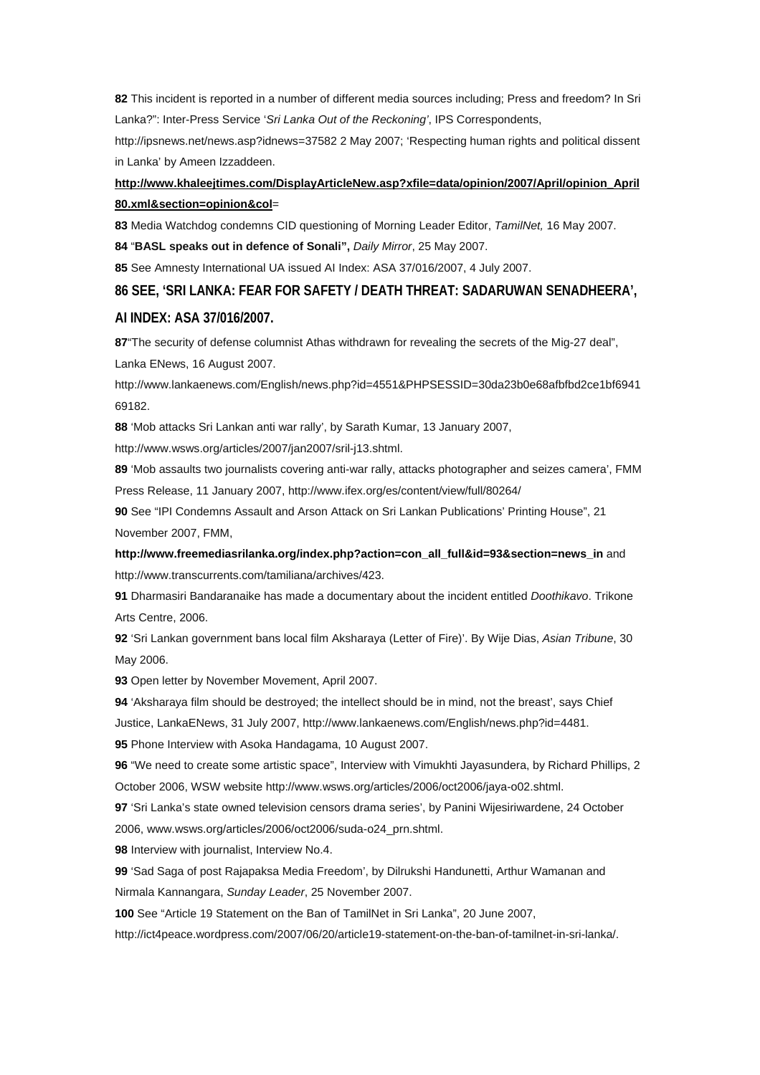**[82](http://www.amnesty.org/en/alfresco_asset/0d18ed0f-cb33-11dc-b181-d35374267ce9/asa370012008eng.html#sdfootnote82anc#sdfootnote82anc)** This incident is reported in a number of different media sources including; Press and freedom? In Sri Lanka?": Inter-Press Service '*Sri Lanka Out of the Reckoning'*, IPS Correspondents,

http://ipsnews.net/news.asp?idnews=37582 2 May 2007; 'Respecting human rights and political dissent in Lanka' by Ameen Izzaddeen.

## **[http://www.khaleejtimes.com/DisplayArticleNew.asp?xfile=data/opinion/2007/April/opinion\\_April](http://www.khaleejtimes.com/DisplayArticleNew.asp?xfile=data/opinion/2007/April/opinion_April80.xml§ion=opinion&col) [80.xml&section=opinion&col](http://www.khaleejtimes.com/DisplayArticleNew.asp?xfile=data/opinion/2007/April/opinion_April80.xml§ion=opinion&col)**=

**[83](http://www.amnesty.org/en/alfresco_asset/0d18ed0f-cb33-11dc-b181-d35374267ce9/asa370012008eng.html#sdfootnote83anc#sdfootnote83anc)** Media Watchdog condemns CID questioning of Morning Leader Editor, *TamilNet,* 16 May 2007.

**[84](http://www.amnesty.org/en/alfresco_asset/0d18ed0f-cb33-11dc-b181-d35374267ce9/asa370012008eng.html#sdfootnote84anc#sdfootnote84anc)** "**BASL speaks out in defence of Sonali",** *Daily Mirror*, 25 May 2007.

**[85](http://www.amnesty.org/en/alfresco_asset/0d18ed0f-cb33-11dc-b181-d35374267ce9/asa370012008eng.html#sdfootnote85anc#sdfootnote85anc)** See Amnesty International UA issued AI Index: ASA 37/016/2007, 4 July 2007.

### **[86](http://www.amnesty.org/en/alfresco_asset/0d18ed0f-cb33-11dc-b181-d35374267ce9/asa370012008eng.html#sdfootnote86anc#sdfootnote86anc) SEE, 'SRI LANKA: FEAR FOR SAFETY / DEATH THREAT: SADARUWAN SENADHEERA',**

#### **AI INDEX: ASA 37/016/2007.**

**[87](http://www.amnesty.org/en/alfresco_asset/0d18ed0f-cb33-11dc-b181-d35374267ce9/asa370012008eng.html#sdfootnote87anc#sdfootnote87anc)**"The security of defense columnist Athas withdrawn for revealing the secrets of the Mig-27 deal", Lanka ENews, 16 August 2007.

http://www.lankaenews.com/English/news.php?id=4551&PHPSESSID=30da23b0e68afbfbd2ce1bf6941 69182.

**[88](http://www.amnesty.org/en/alfresco_asset/0d18ed0f-cb33-11dc-b181-d35374267ce9/asa370012008eng.html#sdfootnote88anc#sdfootnote88anc)** 'Mob attacks Sri Lankan anti war rally', by Sarath Kumar, 13 January 2007,

http://www.wsws.org/articles/2007/jan2007/sril-j13.shtml.

**[89](http://www.amnesty.org/en/alfresco_asset/0d18ed0f-cb33-11dc-b181-d35374267ce9/asa370012008eng.html#sdfootnote89anc#sdfootnote89anc)** 'Mob assaults two journalists covering anti-war rally, attacks photographer and seizes camera', FMM Press Release, 11 January 2007, http://www.ifex.org/es/content/view/full/80264/

**[90](http://www.amnesty.org/en/alfresco_asset/0d18ed0f-cb33-11dc-b181-d35374267ce9/asa370012008eng.html#sdfootnote90anc#sdfootnote90anc)** See "IPI Condemns Assault and Arson Attack on Sri Lankan Publications' Printing House", 21 November 2007, FMM,

**[http://www.freemediasrilanka.org/index.php?action=con\\_all\\_full&id=93&section=news\\_in](http://www.freemediasrilanka.org/index.php?action=con_all_full&id=93§ion=news_in)** and http://www.transcurrents.com/tamiliana/archives/423.

**[91](http://www.amnesty.org/en/alfresco_asset/0d18ed0f-cb33-11dc-b181-d35374267ce9/asa370012008eng.html#sdfootnote91anc#sdfootnote91anc)** Dharmasiri Bandaranaike has made a documentary about the incident entitled *Doothikavo*. Trikone Arts Centre, 2006.

**[92](http://www.amnesty.org/en/alfresco_asset/0d18ed0f-cb33-11dc-b181-d35374267ce9/asa370012008eng.html#sdfootnote92anc#sdfootnote92anc)** 'Sri Lankan government bans local film Aksharaya (Letter of Fire)'. By Wije Dias, *Asian Tribune*, 30 May 2006.

**[93](http://www.amnesty.org/en/alfresco_asset/0d18ed0f-cb33-11dc-b181-d35374267ce9/asa370012008eng.html#sdfootnote93anc#sdfootnote93anc)** Open letter by November Movement, April 2007.

**[94](http://www.amnesty.org/en/alfresco_asset/0d18ed0f-cb33-11dc-b181-d35374267ce9/asa370012008eng.html#sdfootnote94anc#sdfootnote94anc)** 'Aksharaya film should be destroyed; the intellect should be in mind, not the breast', says Chief Justice, LankaENews, 31 July 2007, http://www.lankaenews.com/English/news.php?id=4481.

**[95](http://www.amnesty.org/en/alfresco_asset/0d18ed0f-cb33-11dc-b181-d35374267ce9/asa370012008eng.html#sdfootnote95anc#sdfootnote95anc)** Phone Interview with Asoka Handagama, 10 August 2007.

**[96](http://www.amnesty.org/en/alfresco_asset/0d18ed0f-cb33-11dc-b181-d35374267ce9/asa370012008eng.html#sdfootnote96anc#sdfootnote96anc)** "We need to create some artistic space", Interview with Vimukhti Jayasundera, by Richard Phillips, 2 October 2006, WSW website http://www.wsws.org/articles/2006/oct2006/jaya-o02.shtml.

**[97](http://www.amnesty.org/en/alfresco_asset/0d18ed0f-cb33-11dc-b181-d35374267ce9/asa370012008eng.html#sdfootnote97anc#sdfootnote97anc)** 'Sri Lanka's state owned television censors drama series', by Panini Wijesiriwardene, 24 October 2006, www.wsws.org/articles/2006/oct2006/suda-o24\_prn.shtml.

**[98](http://www.amnesty.org/en/alfresco_asset/0d18ed0f-cb33-11dc-b181-d35374267ce9/asa370012008eng.html#sdfootnote98anc#sdfootnote98anc)** Interview with journalist, Interview No.4.

**[99](http://www.amnesty.org/en/alfresco_asset/0d18ed0f-cb33-11dc-b181-d35374267ce9/asa370012008eng.html#sdfootnote99anc#sdfootnote99anc)** 'Sad Saga of post Rajapaksa Media Freedom', by Dilrukshi Handunetti, Arthur Wamanan and Nirmala Kannangara, *Sunday Leader*, 25 November 2007.

**[100](http://www.amnesty.org/en/alfresco_asset/0d18ed0f-cb33-11dc-b181-d35374267ce9/asa370012008eng.html#sdfootnote100anc#sdfootnote100anc)** See "Article 19 Statement on the Ban of TamilNet in Sri Lanka", 20 June 2007,

http://ict4peace.wordpress.com/2007/06/20/article19-statement-on-the-ban-of-tamilnet-in-sri-lanka/.